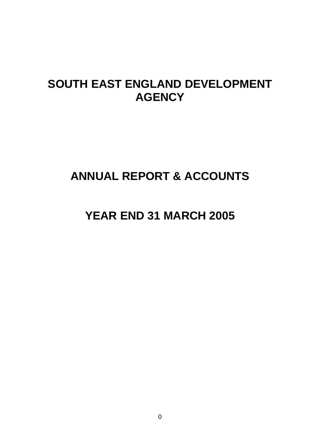# **SOUTH EAST ENGLAND DEVELOPMENT AGENCY**

# **ANNUAL REPORT & ACCOUNTS**

# **YEAR END 31 MARCH 2005**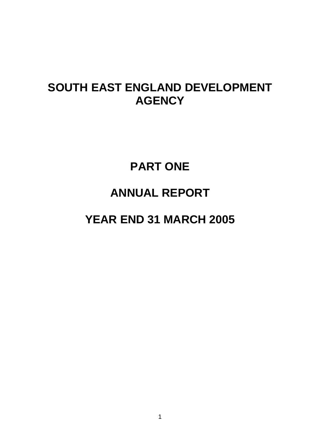# **SOUTH EAST ENGLAND DEVELOPMENT AGENCY**

# **PART ONE ANNUAL REPORT YEAR END 31 MARCH 2005**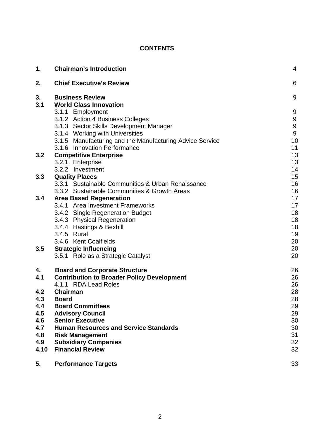# **CONTENTS**

| 1.        | <b>Chairman's Introduction</b>                                            | 4                |
|-----------|---------------------------------------------------------------------------|------------------|
| 2.        | <b>Chief Executive's Review</b>                                           | 6                |
| 3.<br>3.1 | <b>Business Review</b><br><b>World Class Innovation</b>                   | 9                |
|           | 3.1.1 Employment                                                          | 9                |
|           | 3.1.2 Action 4 Business Colleges                                          | $\boldsymbol{9}$ |
|           | 3.1.3 Sector Skills Development Manager                                   | 9                |
|           | 3.1.4 Working with Universities                                           | 9                |
|           | 3.1.5 Manufacturing and the Manufacturing Advice Service                  | 10               |
|           | 3.1.6 Innovation Performance                                              | 11               |
| 3.2       | <b>Competitive Enterprise</b><br>3.2.1. Enterprise                        | 13<br>13         |
|           | 3.2.2 Investment                                                          | 14               |
| 3.3       | <b>Quality Places</b>                                                     | 15               |
|           | 3.3.1 Sustainable Communities & Urban Renaissance                         | 16               |
|           | 3.3.2 Sustainable Communities & Growth Areas                              | 16               |
| 3.4       | <b>Area Based Regeneration</b>                                            | 17               |
|           | 3.4.1 Area Investment Frameworks                                          | 17               |
|           | 3.4.2 Single Regeneration Budget                                          | 18               |
|           | 3.4.3 Physical Regeneration                                               | 18               |
|           | 3.4.4 Hastings & Bexhill                                                  | 18               |
|           | 3.4.5 Rural                                                               | 19               |
|           | 3.4.6 Kent Coalfields                                                     | 20               |
| 3.5       | <b>Strategic Influencing</b><br>3.5.1 Role as a Strategic Catalyst        | 20<br>20         |
|           |                                                                           |                  |
| 4.        | <b>Board and Corporate Structure</b>                                      | 26               |
| 4.1       | <b>Contribution to Broader Policy Development</b><br>4.1.1 RDA Lead Roles | 26<br>26         |
| 4.2       | Chairman                                                                  | 28               |
| 4.3       | <b>Board</b>                                                              | 28               |
| 4.4       | <b>Board Committees</b>                                                   | 29               |
| 4.5       | <b>Advisory Council</b>                                                   | 29               |
| 4.6       | <b>Senior Executive</b>                                                   | 30               |
| 4.7       | <b>Human Resources and Service Standards</b>                              | 30               |
| 4.8       | <b>Risk Management</b>                                                    | 31               |
| 4.9       | <b>Subsidiary Companies</b>                                               | 32               |
| 4.10      | <b>Financial Review</b>                                                   | 32               |
| 5.        | <b>Performance Targets</b>                                                | 33               |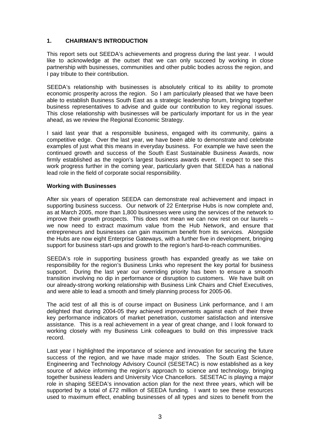#### **1. CHAIRMAN'S INTRODUCTION**

This report sets out SEEDA's achievements and progress during the last year. I would like to acknowledge at the outset that we can only succeed by working in close partnership with businesses, communities and other public bodies across the region, and I pay tribute to their contribution.

SEEDA's relationship with businesses is absolutely critical to its ability to promote economic prosperity across the region. So I am particularly pleased that we have been able to establish Business South East as a strategic leadership forum, bringing together business representatives to advise and guide our contribution to key regional issues. This close relationship with businesses will be particularly important for us in the year ahead, as we review the Regional Economic Strategy.

I said last year that a responsible business, engaged with its community, gains a competitive edge. Over the last year, we have been able to demonstrate and celebrate examples of just what this means in everyday business. For example we have seen the continued growth and success of the South East Sustainable Business Awards, now firmly established as the region's largest business awards event. I expect to see this work progress further in the coming year, particularly given that SEEDA has a national lead role in the field of corporate social responsibility.

#### **Working with Businesses**

After six years of operation SEEDA can demonstrate real achievement and impact in supporting business success. Our network of 22 Enterprise Hubs is now complete and, as at March 2005, more than 1,800 businesses were using the services of the network to improve their growth prospects. This does not mean we can now rest on our laurels – we now need to extract maximum value from the Hub Network, and ensure that entrepreneurs and businesses can gain maximum benefit from its services. Alongside the Hubs are now eight Enterprise Gateways, with a further five in development, bringing support for business start-ups and growth to the region's hard-to-reach communities.

SEEDA's role in supporting business growth has expanded greatly as we take on responsibility for the region's Business Links who represent the key portal for business support. During the last year our overriding priority has been to ensure a smooth transition involving no dip in performance or disruption to customers. We have built on our already-strong working relationship with Business Link Chairs and Chief Executives, and were able to lead a smooth and timely planning process for 2005-06.

The acid test of all this is of course impact on Business Link performance, and I am delighted that during 2004-05 they achieved improvements against each of their three key performance indicators of market penetration, customer satisfaction and intensive assistance. This is a real achievement in a year of great change, and I look forward to working closely with my Business Link colleagues to build on this impressive track record.

Last year I highlighted the importance of science and innovation for securing the future success of the region, and we have made major strides. The South East Science, Engineering and Technology Advisory Council (SESETAC) is now established as a key source of advice informing the region's approach to science and technology, bringing together business leaders and University Vice Chancellors. SESETAC is playing a major role in shaping SEEDA's innovation action plan for the next three years, which will be supported by a total of £72 million of SEEDA funding. I want to see these resources used to maximum effect, enabling businesses of all types and sizes to benefit from the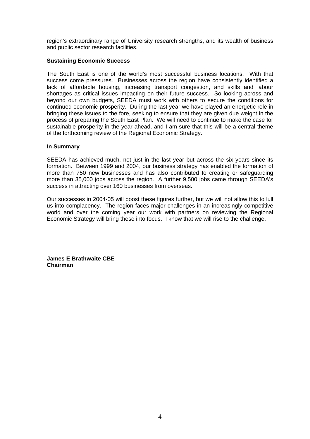region's extraordinary range of University research strengths, and its wealth of business and public sector research facilities.

#### **Sustaining Economic Success**

The South East is one of the world's most successful business locations. With that success come pressures. Businesses across the region have consistently identified a lack of affordable housing, increasing transport congestion, and skills and labour shortages as critical issues impacting on their future success. So looking across and beyond our own budgets, SEEDA must work with others to secure the conditions for continued economic prosperity. During the last year we have played an energetic role in bringing these issues to the fore, seeking to ensure that they are given due weight in the process of preparing the South East Plan. We will need to continue to make the case for sustainable prosperity in the year ahead, and I am sure that this will be a central theme of the forthcoming review of the Regional Economic Strategy.

#### **In Summary**

SEEDA has achieved much, not just in the last year but across the six years since its formation. Between 1999 and 2004, our business strategy has enabled the formation of more than 750 new businesses and has also contributed to creating or safeguarding more than 35,000 jobs across the region. A further 9,500 jobs came through SEEDA's success in attracting over 160 businesses from overseas.

Our successes in 2004-05 will boost these figures further, but we will not allow this to lull us into complacency. The region faces major challenges in an increasingly competitive world and over the coming year our work with partners on reviewing the Regional Economic Strategy will bring these into focus. I know that we will rise to the challenge.

**James E Brathwaite CBE Chairman**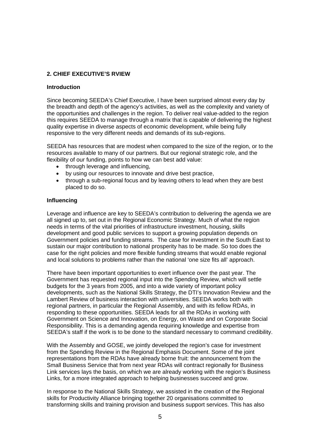## **2. CHIEF EXECUTIVE'S RVIEW**

#### **Introduction**

Since becoming SEEDA's Chief Executive, I have been surprised almost every day by the breadth and depth of the agency's activities, as well as the complexity and variety of the opportunities and challenges in the region. To deliver real value-added to the region this requires SEEDA to manage through a matrix that is capable of delivering the highest quality expertise in diverse aspects of economic development, while being fully responsive to the very different needs and demands of its sub-regions.

SEEDA has resources that are modest when compared to the size of the region, or to the resources available to many of our partners. But our regional strategic role, and the flexibility of our funding, points to how we can best add value:

- through leverage and influencing,
- by using our resources to innovate and drive best practice,
- through a sub-regional focus and by leaving others to lead when they are best placed to do so.

#### **Influencing**

Leverage and influence are key to SEEDA's contribution to delivering the agenda we are all signed up to, set out in the Regional Economic Strategy. Much of what the region needs in terms of the vital priorities of infrastructure investment, housing, skills development and good public services to support a growing population depends on Government policies and funding streams. The case for investment in the South East to sustain our major contribution to national prosperity has to be made. So too does the case for the right policies and more flexible funding streams that would enable regional and local solutions to problems rather than the national 'one size fits all' approach.

There have been important opportunities to exert influence over the past year. The Government has requested regional input into the Spending Review, which will settle budgets for the 3 years from 2005, and into a wide variety of important policy developments, such as the National Skills Strategy, the DTI's Innovation Review and the Lambert Review of business interaction with universities. SEEDA works both with regional partners, in particular the Regional Assembly, and with its fellow RDAs, in responding to these opportunities. SEEDA leads for all the RDAs in working with Government on Science and Innovation, on Energy, on Waste and on Corporate Social Responsibility. This is a demanding agenda requiring knowledge and expertise from SEEDA's staff if the work is to be done to the standard necessary to command credibility.

With the Assembly and GOSE, we jointly developed the region's case for investment from the Spending Review in the Regional Emphasis Document. Some of the joint representations from the RDAs have already borne fruit: the announcement from the Small Business Service that from next year RDAs will contract regionally for Business Link services lays the basis, on which we are already working with the region's Business Links, for a more integrated approach to helping businesses succeed and grow.

In response to the National Skills Strategy, we assisted in the creation of the Regional skills for Productivity Alliance bringing together 20 organisations committed to transforming skills and training provision and business support services. This has also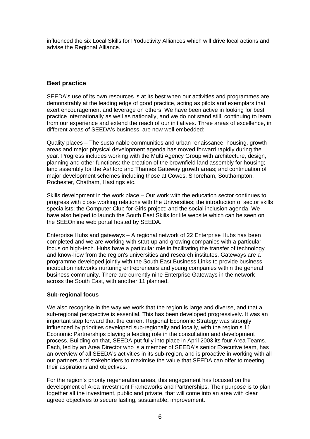influenced the six Local Skills for Productivity Alliances which will drive local actions and advise the Regional Alliance.

# **Best practice**

SEEDA's use of its own resources is at its best when our activities and programmes are demonstrably at the leading edge of good practice, acting as pilots and exemplars that exert encouragement and leverage on others. We have been active in looking for best practice internationally as well as nationally, and we do not stand still, continuing to learn from our experience and extend the reach of our initiatives. Three areas of excellence, in different areas of SEEDA's business. are now well embedded:

Quality places – The sustainable communities and urban renaissance, housing, growth areas and major physical development agenda has moved forward rapidly during the year. Progress includes working with the Multi Agency Group with architecture, design, planning and other functions; the creation of the brownfield land assembly for housing; land assembly for the Ashford and Thames Gateway growth areas; and continuation of major development schemes including those at Cowes, Shoreham, Southampton, Rochester, Chatham, Hastings etc.

Skills development in the work place – Our work with the education sector continues to progress with close working relations with the Universities; the introduction of sector skills specialists; the Computer Club for Girls project; and the social inclusion agenda. We have also helped to launch the South East Skills for life website which can be seen on the SEEOnline web portal hosted by SEEDA.

Enterprise Hubs and gateways – A regional network of 22 Enterprise Hubs has been completed and we are working with start-up and growing companies with a particular focus on high-tech. Hubs have a particular role in facilitating the transfer of technology and know-how from the region's universities and research institutes. Gateways are a programme developed jointly with the South East Business Links to provide business incubation networks nurturing entrepreneurs and young companies within the general business community. There are currently nine Enterprise Gateways in the network across the South East, with another 11 planned.

#### **Sub-regional focus**

We also recognise in the way we work that the region is large and diverse, and that a sub-regional perspective is essential. This has been developed progressively. It was an important step forward that the current Regional Economic Strategy was strongly influenced by priorities developed sub-regionally and locally, with the region's 11 Economic Partnerships playing a leading role in the consultation and development process. Building on that, SEEDA put fully into place in April 2003 its four Area Teams. Each, led by an Area Director who is a member of SEEDA's senior Executive team, has an overview of all SEEDA's activities in its sub-region, and is proactive in working with all our partners and stakeholders to maximise the value that SEEDA can offer to meeting their aspirations and objectives.

For the region's priority regeneration areas, this engagement has focused on the development of Area Investment Frameworks and Partnerships. Their purpose is to plan together all the investment, public and private, that will come into an area with clear agreed objectives to secure lasting, sustainable, improvement.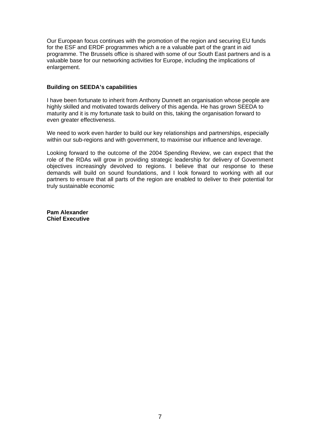Our European focus continues with the promotion of the region and securing EU funds for the ESF and ERDF programmes which a re a valuable part of the grant in aid programme. The Brussels office is shared with some of our South East partners and is a valuable base for our networking activities for Europe, including the implications of enlargement.

#### **Building on SEEDA's capabilities**

I have been fortunate to inherit from Anthony Dunnett an organisation whose people are highly skilled and motivated towards delivery of this agenda. He has grown SEEDA to maturity and it is my fortunate task to build on this, taking the organisation forward to even greater effectiveness.

We need to work even harder to build our key relationships and partnerships, especially within our sub-regions and with government, to maximise our influence and leverage.

Looking forward to the outcome of the 2004 Spending Review, we can expect that the role of the RDAs will grow in providing strategic leadership for delivery of Government objectives increasingly devolved to regions. I believe that our response to these demands will build on sound foundations, and I look forward to working with all our partners to ensure that all parts of the region are enabled to deliver to their potential for truly sustainable economic

**Pam Alexander Chief Executive**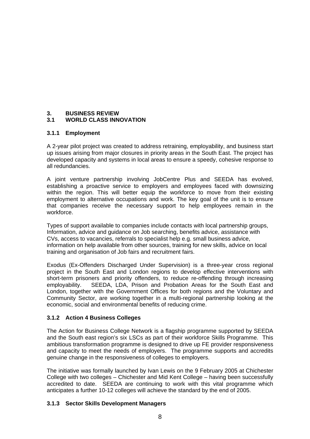# **3. BUSINESS REVIEW**

# **3.1 WORLD CLASS INNOVATION**

# **3.1.1 Employment**

A 2-year pilot project was created to address retraining, employability, and business start up issues arising from major closures in priority areas in the South East. The project has developed capacity and systems in local areas to ensure a speedy, cohesive response to all redundancies.

A joint venture partnership involving JobCentre Plus and SEEDA has evolved, establishing a proactive service to employers and employees faced with downsizing within the region. This will better equip the workforce to move from their existing employment to alternative occupations and work. The key goal of the unit is to ensure that companies receive the necessary support to help employees remain in the workforce.

Types of support available to companies include contacts with local partnership groups, Information, advice and guidance on Job searching, benefits advice, assistance with CVs, access to vacancies, referrals to specialist help e.g. small business advice, information on help available from other sources, training for new skills, advice on local training and organisation of Job fairs and recruitment fairs.

Exodus (Ex-Offenders Discharged Under Supervision) is a three-year cross regional project in the South East and London regions to develop effective interventions with short-term prisoners and priority offenders, to reduce re-offending through increasing employability. SEEDA, LDA, Prison and Probation Areas for the South East and London, together with the Government Offices for both regions and the Voluntary and Community Sector, are working together in a multi-regional partnership looking at the economic, social and environmental benefits of reducing crime.

# **3.1.2 Action 4 Business Colleges**

The Action for Business College Network is a flagship programme supported by SEEDA and the South east region's six LSCs as part of their workforce Skills Programme. This ambitious transformation programme is designed to drive up FE provider responsiveness and capacity to meet the needs of employers. The programme supports and accredits genuine change in the responsiveness of colleges to employers.

The initiative was formally launched by Ivan Lewis on the 9 February 2005 at Chichester College with two colleges – Chichester and Mid Kent College – having been successfully accredited to date. SEEDA are continuing to work with this vital programme which anticipates a further 10-12 colleges will achieve the standard by the end of 2005.

#### **3.1.3 Sector Skills Development Managers**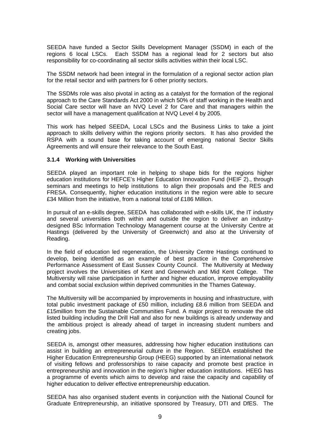SEEDA have funded a Sector Skills Development Manager (SSDM) in each of the regions 6 local LSCs. Each SSDM has a regional lead for 2 sectors but also responsibility for co-coordinating all sector skills activities within their local LSC.

The SSDM network had been integral in the formulation of a regional sector action plan for the retail sector and with partners for 6 other priority sectors.

The SSDMs role was also pivotal in acting as a catalyst for the formation of the regional approach to the Care Standards Act 2000 in which 50% of staff working in the Health and Social Care sector will have an NVQ Level 2 for Care and that managers within the sector will have a management qualification at NVQ Level 4 by 2005.

This work has helped SEEDA, Local LSCs and the Business Links to take a joint approach to skills delivery within the regions priority sectors. It has also provided the RSPA with a sound base for taking account of emerging national Sector Skills Agreements and will ensure their relevance to the South East.

#### **3.1.4 Working with Universities**

SEEDA played an important role in helping to shape bids for the regions higher education institutions for HEFCE's Higher Education Innovation Fund (HEIF 2)., through seminars and meetings to help institutions to align their proposals and the RES and FRESA. Consequently, higher education institutions in the region were able to secure £34 Million from the initiative, from a national total of £186 Million.

In pursuit of an e-skills degree, SEEDA has collaborated with e-skills UK, the IT industry and several universities both within and outside the region to deliver an industrydesigned BSc Information Technology Management course at the University Centre at Hastings (delivered by the University of Greenwich) and also at the University of Reading.

In the field of education led regeneration, the University Centre Hastings continued to develop, being identified as an example of best practice in the Comprehensive Performance Assessment of East Sussex County Council. The Multiversity at Medway project involves the Universities of Kent and Greenwich and Mid Kent College. The Multiversity will raise participation in further and higher education, improve employability and combat social exclusion within deprived communities in the Thames Gateway.

The Multiversity will be accompanied by improvements in housing and infrastructure, with total public investment package of £50 million, including £8.6 million from SEEDA and £15million from the Sustainable Communities Fund. A major project to renovate the old listed building including the Drill Hall and also for new buildings is already underway and the ambitious project is already ahead of target in increasing student numbers and creating jobs.

SEEDA is, amongst other measures, addressing how higher education institutions can assist in building an entrepreneurial culture in the Region. SEEDA established the Higher Education Entrepreneurship Group (HEEG) supported by an international network of visiting fellows and professorships to raise capacity and promote best practice in entrepreneurship and innovation in the region's higher education institutions. HEEG has a programme of events which aims to develop and raise the capacity and capability of higher education to deliver effective entrepreneurship education.

SEEDA has also organised student events in conjunction with the National Council for Graduate Entrepreneurship, an initiative sponsored by Treasury, DTI and DfES. The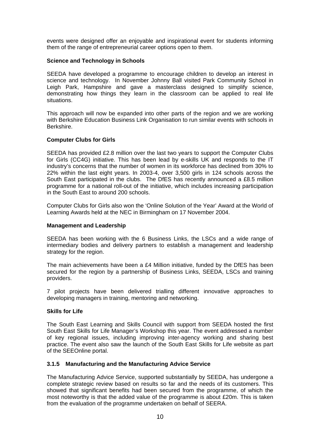events were designed offer an enjoyable and inspirational event for students informing them of the range of entrepreneurial career options open to them.

#### **Science and Technology in Schools**

SEEDA have developed a programme to encourage children to develop an interest in science and technology. In November Johnny Ball visited Park Community School in Leigh Park, Hampshire and gave a masterclass designed to simplify science, demonstrating how things they learn in the classroom can be applied to real life situations.

This approach will now be expanded into other parts of the region and we are working with Berkshire Education Business Link Organisation to run similar events with schools in Berkshire.

#### **Computer Clubs for Girls**

SEEDA has provided £2.8 million over the last two years to support the Computer Clubs for Girls (CC4G) initiative. This has been lead by e-skills UK and responds to the IT industry's concerns that the number of women in its workforce has declined from 30% to 22% within the last eight years. In 2003-4, over 3,500 girls in 124 schools across the South East participated in the clubs. The DfES has recently announced a £8.5 million programme for a national roll-out of the initiative, which includes increasing participation in the South East to around 200 schools.

Computer Clubs for Girls also won the 'Online Solution of the Year' Award at the World of Learning Awards held at the NEC in Birmingham on 17 November 2004.

#### **Management and Leadership**

SEEDA has been working with the 6 Business Links, the LSCs and a wide range of intermediary bodies and delivery partners to establish a management and leadership strategy for the region.

The main achievements have been a  $£4$  Million initiative, funded by the DfES has been secured for the region by a partnership of Business Links, SEEDA, LSCs and training providers.

7 pilot projects have been delivered trialling different innovative approaches to developing managers in training, mentoring and networking.

#### **Skills for Life**

The South East Learning and Skills Council with support from SEEDA hosted the first South East Skills for Life Manager's Workshop this year. The event addressed a number of key regional issues, including improving inter-agency working and sharing best practice. The event also saw the launch of the South East Skills for Life website as part of the SEEOnline portal.

#### **3.1.5 Manufacturing and the Manufacturing Advice Service**

The Manufacturing Advice Service, supported substantially by SEEDA, has undergone a complete strategic review based on results so far and the needs of its customers. This showed that significant benefits had been secured from the programme, of which the most noteworthy is that the added value of the programme is about £20m. This is taken from the evaluation of the programme undertaken on behalf of SEERA.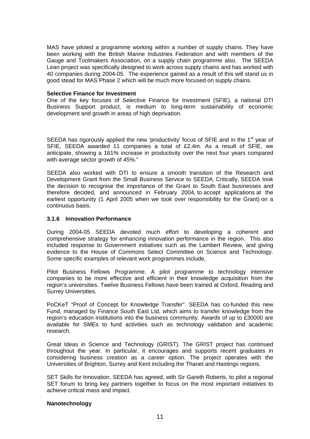MAS have piloted a programme working within a number of supply chains. They have been working with the British Marine Industries Federation and with members of the Gauge and Toolmakers Association, on a supply chain programme also. The SEEDA Lean project was specifically designed to work across supply chains and has worked with 40 companies during 2004-05. The experience gained as a result of this will stand us in good stead for MAS Phase 2 which will be much more focused on supply chains.

#### **Selective Finance for Investment**

One of the key focuses of Selective Finance for Investment (SFIE), a national DTI Business Support product, is medium to long-term sustainability of economic development and growth in areas of high deprivation.

SEEDA has rigorously applied the new 'productivity' focus of SFIE and in the 1<sup>st</sup> year of SFIE, SEEDA awarded 11 companies a total of £2.4m. As a result of SFIE, we anticipate, showing a 161% increase in productivity over the next four years compared with average sector growth of 45%."

SEEDA also worked with DTI to ensure a smooth transition of the Research and Development Grant from the Small Business Service to SEEDA. Critically, SEEDA took the decision to recognise the importance of the Grant to South East businesses and therefore decided, and announced in February 2004, to accept applications at the earliest opportunity (1 April 2005 when we took over responsibility for the Grant) on a continuous basis.

#### **3.1.6 Innovation Performance**

During 2004-05 SEEDA devoted much effort to developing a coherent and comprehensive strategy for enhancing innovation performance in the region. This also included response to Government initiatives such as the Lambert Review, and giving evidence to the House of Commons Select Committee on Science and Technology. Some specific examples of relevant work programmes include,

Pilot Business Fellows Programme. A pilot programme to technology intensive companies to be more effective and efficient in their knowledge acquisition from the region's universities. Twelve Business Fellows have been trained at Oxford, Reading and Surrey Universities.

PoCKeT "Proof of Concept for Knowledge Transfer". SEEDA has co-funded this new Fund, managed by Finance South East Ltd, which aims to transfer knowledge from the region's education institutions into the business community. Awards of up to £30000 are available for SMEs to fund activities such as technology validation and academic research.

Great Ideas in Science and Technology (GRIST). The GRIST project has continued throughout the year. In particular, it encourages and supports recent graduates in considering business creation as a career option. The project operates with the Universities of Brighton, Surrey and Kent including the Thanet and Hastings regions.

SET Skills for Innovation. SEEDA has agreed, with Sir Gareth Roberts, to pilot a regional SET forum to bring key partners together to focus on the most important initiatives to achieve critical mass and impact.

#### **Nanotechnology**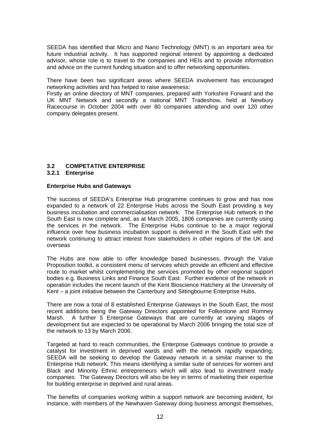SEEDA has identified that Micro and Nano Technology (MNT) is an important area for future industrial activity. It has supported regional interest by appointing a dedicated advisor, whose role is to travel to the companies and HEIs and to provide information and advice on the current funding situation and to offer networking opportunities.

There have been two significant areas where SEEDA involvement has encouraged networking activities and has helped to raise awareness:

Firstly an online directory of MNT companies, prepared with Yorkshire Forward and the UK MNT Network and secondly a national MNT Tradeshow, held at Newbury Racecourse in October 2004 with over 80 companies attending and over 120 other company delegates present.

# **3.2 COMPETATIVE ENTERPRISE**

#### **3.2.1 Enterprise**

#### **Enterprise Hubs and Gateways**

The success of SEEDA's Enterprise Hub programme continues to grow and has now expanded to a network of 22 Enterprise Hubs across the South East providing a key business incubation and commercialisation network. The Enterprise Hub network in the South East is now complete and, as at March 2005, 1806 companies are currently using the services in the network. The Enterprise Hubs continue to be a major regional influence over how business incubation support is delivered in the South East with the network continuing to attract interest from stakeholders in other regions of the UK and overseas

The Hubs are now able to offer knowledge based businesses, through the Value Proposition toolkit, a consistent menu of services which provide an efficient and effective route to market whilst complementing the services promoted by other regional support bodies e.g. Business Links and Finance South East. Further evidence of the network in operation includes the recent launch of the Kent Bioscience Hatchery at the University of Kent – a joint initiative between the Canterbury and Sittingbourne Enterprise Hubs.

There are now a total of 8 established Enterprise Gateways in the South East, the most recent additions being the Gateway Directors appointed for Folkestone and Romney Marsh. A further 5 Enterprise Gateways that are currently at varying stages of development but are expected to be operational by March 2006 bringing the total size of the network to 13 by March 2006.

Targeted at hard to reach communities, the Enterprise Gateways continue to provide a catalyst for investment in deprived wards and with the network rapidly expanding; SEEDA will be seeking to develop the Gateway network in a similar manner to the Enterprise Hub network. This means identifying a similar suite of services for women and Black and Minority Ethnic entrepreneurs which will also lead to investment ready companies. The Gateway Directors will also be key in terms of marketing their expertise for building enterprise in deprived and rural areas.

The benefits of companies working within a support network are becoming evident, for instance, with members of the Newhaven Gateway doing business amongst themselves,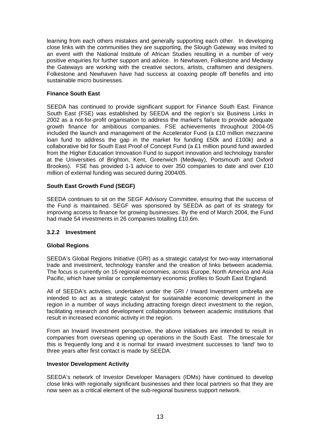learning from each others mistakes and generally supporting each other. In developing close links with the communities they are supporting, the Slough Gateway was invited to an event with the National Institute of African Studies resulting in a number of very positive enquiries for further support and advice. In Newhaven, Folkestone and Medway the Gateways are working with the creative sectors, artists, craftsmen and designers. Folkestone and Newhaven have had success at coaxing people off benefits and into sustainable micro businesses.

#### **Finance South East**

SEEDA has continued to provide significant support for Finance South East. Finance South East (FSE) was established by SEEDA and the region's six Business Links in 2002 as a not-for-profit organisation to address the market's failure to provide adequate growth finance for ambitious companies. FSE achievements throughout 2004-05 included the launch and management of the Accelerator Fund (a £10 million mezzanine loan fund to address the gap in the market for funding £50k and £100k) and a collaborative bid for South East Proof of Concept Fund (a £1 million pound fund awarded from the Higher Education Innovation Fund to support innovation and technology transfer at the Universities of Brighton, Kent, Greenwich (Medway), Portsmouth and Oxford Brookes). FSE has provided 1-1 advice to over 350 companies to date and over £10 million of external funding was secured during 2004/05.

#### **South East Growth Fund (SEGF)**

SEEDA continues to sit on the SEGF Advisory Committee, ensuring that the success of the Fund is maintained. SEGF was sponsored by SEEDA as part of its strategy for improving access to finance for growing businesses. By the end of March 2004, the Fund had made 54 investments in 26 companies totalling £10.6m.

#### **3.2.2 Investment**

#### **Global Regions**

SEEDA's Global Regions Initiative (GRI) as a strategic catalyst for two-way international trade and investment, technology transfer and the creation of links between academia. The focus is currently on 15 regional economies, across Europe, North America and Asia Pacific, which have similar or complementary economic profiles to South East England.

All of SEEDA's activities, undertaken under the GRI / Inward Investment umbrella are intended to act as a strategic catalyst for sustainable economic development in the region in a number of ways including attracting foreign direct investment to the region, facilitating research and development collaborations between academic institutions that result in increased economic activity in the region.

From an Inward Investment perspective, the above initiatives are intended to result in companies from overseas opening up operations in the South East. The timescale for this is frequently long and it is normal for inward investment successes to 'land' two to three years after first contact is made by SEEDA.

#### **Investor Development Activity**

SEEDA's network of Investor Developer Managers (IDMs) have continued to develop close links with regionally significant businesses and their local partners so that they are now seen as a critical element of the sub-regional business support network.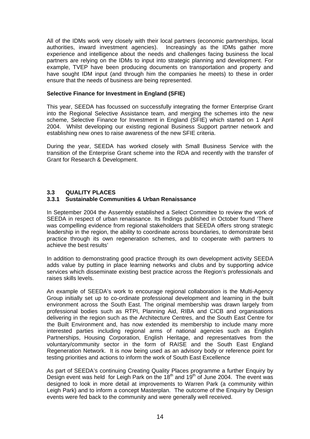All of the IDMs work very closely with their local partners (economic partnerships, local authorities, inward investment agencies). Increasingly as the IDMs gather more experience and intelligence about the needs and challenges facing business the local partners are relying on the IDMs to input into strategic planning and development. For example, TVEP have been producing documents on transportation and property and have sought IDM input (and through him the companies he meets) to these in order ensure that the needs of business are being represented.

#### **Selective Finance for Investment in England (SFIE)**

This year, SEEDA has focussed on successfully integrating the former Enterprise Grant into the Regional Selective Assistance team, and merging the schemes into the new scheme, Selective Finance for Investment in England (SFIE) which started on 1 April 2004. Whilst developing our existing regional Business Support partner network and establishing new ones to raise awareness of the new SFIE criteria.

During the year, SEEDA has worked closely with Small Business Service with the transition of the Enterprise Grant scheme into the RDA and recently with the transfer of Grant for Research & Development.

#### **3.3 QUALITY PLACES**

#### **3.3.1 Sustainable Communities & Urban Renaissance**

In September 2004 the Assembly established a Select Committee to review the work of SEEDA in respect of urban renaissance. Its findings published in October found 'There was compelling evidence from regional stakeholders that SEEDA offers strong strategic leadership in the region, the ability to coordinate across boundaries, to demonstrate best practice through its own regeneration schemes, and to cooperate with partners to achieve the best results'

In addition to demonstrating good practice through its own development activity SEEDA adds value by putting in place learning networks and clubs and by supporting advice services which disseminate existing best practice across the Region's professionals and raises skills levels.

An example of SEEDA's work to encourage regional collaboration is the Multi-Agency Group initially set up to co-ordinate professional development and learning in the built environment across the South East. The original membership was drawn largely from professional bodies such as RTPI, Planning Aid, RIBA and CICB and organisations delivering in the region such as the Architecture Centres, and the South East Centre for the Built Environment and, has now extended its membership to include many more interested parties including regional arms of national agencies such as English Partnerships, Housing Corporation, English Heritage, and representatives from the voluntary/community sector in the form of RAISE and the South East England Regeneration Network. It is now being used as an advisory body or reference point for testing priorities and actions to inform the work of South East Excellence

As part of SEEDA's continuing Creating Quality Places programme a further Enquiry by Design event was held for Leigh Park on the 18<sup>th</sup> and 19<sup>th</sup> of June 2004. The event was designed to look in more detail at improvements to Warren Park (a community within Leigh Park) and to inform a concept Masterplan. The outcome of the Enquiry by Design events were fed back to the community and were generally well received.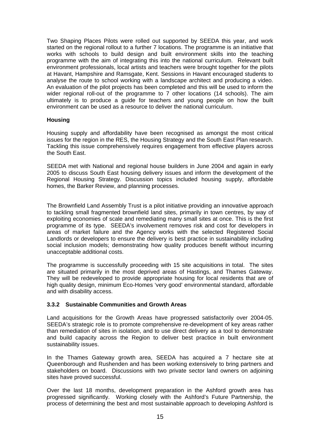Two Shaping Places Pilots were rolled out supported by SEEDA this year, and work started on the regional rollout to a further 7 locations. The programme is an initiative that works with schools to build design and built environment skills into the teaching programme with the aim of integrating this into the national curriculum. Relevant built environment professionals, local artists and teachers were brought together for the pilots at Havant, Hampshire and Ramsgate, Kent. Sessions in Havant encouraged students to analyse the route to school working with a landscape architect and producing a video. An evaluation of the pilot projects has been completed and this will be used to inform the wider regional roll-out of the programme to 7 other locations (14 schools). The aim ultimately is to produce a guide for teachers and young people on how the built environment can be used as a resource to deliver the national curriculum.

#### **Housing**

Housing supply and affordability have been recognised as amongst the most critical issues for the region in the RES, the Housing Strategy and the South East Plan research. Tackling this issue comprehensively requires engagement from effective players across the South East.

SEEDA met with National and regional house builders in June 2004 and again in early 2005 to discuss South East housing delivery issues and inform the development of the Regional Housing Strategy. Discussion topics included housing supply, affordable homes, the Barker Review, and planning processes.

The Brownfield Land Assembly Trust is a pilot initiative providing an innovative approach to tackling small fragmented brownfield land sites, primarily in town centres, by way of exploiting economies of scale and remediating many small sites at once. This is the first programme of its type. SEEDA's involvement removes risk and cost for developers in areas of market failure and the Agency works with the selected Registered Social Landlords or developers to ensure the delivery is best practice in sustainability including social inclusion models; demonstrating how quality produces benefit without incurring unacceptable additional costs.

The programme is successfully proceeding with 15 site acquisitions in total. The sites are situated primarily in the most deprived areas of Hastings, and Thames Gateway. They will be redeveloped to provide appropriate housing for local residents that are of high quality design, minimum Eco-Homes 'very good' environmental standard, affordable and with disability access.

#### **3.3.2 Sustainable Communities and Growth Areas**

Land acquisitions for the Growth Areas have progressed satisfactorily over 2004-05. SEEDA's strategic role is to promote comprehensive re-development of key areas rather than remediation of sites in isolation, and to use direct delivery as a tool to demonstrate and build capacity across the Region to deliver best practice in built environment sustainability issues.

In the Thames Gateway growth area, SEEDA has acquired a 7 hectare site at Queenborough and Rushenden and has been working extensively to bring partners and stakeholders on board. Discussions with two private sector land owners on adjoining sites have proved successful.

Over the last 18 months, development preparation in the Ashford growth area has progressed significantly. Working closely with the Ashford's Future Partnership, the process of determining the best and most sustainable approach to developing Ashford is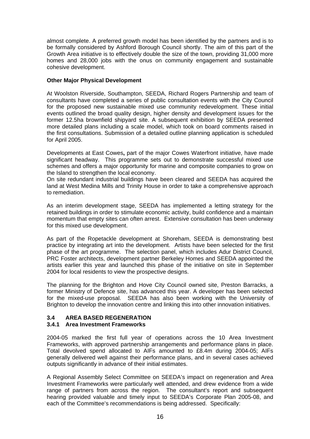almost complete. A preferred growth model has been identified by the partners and is to be formally considered by Ashford Borough Council shortly. The aim of this part of the Growth Area initiative is to effectively double the size of the town, providing 31,000 more homes and 28,000 jobs with the onus on community engagement and sustainable cohesive development.

#### **Other Major Physical Development**

At Woolston Riverside, Southampton, SEEDA, Richard Rogers Partnership and team of consultants have completed a series of public consultation events with the City Council for the proposed new sustainable mixed use community redevelopment. These initial events outlined the broad quality design, higher density and development issues for the former 12.5ha brownfield shipyard site. A subsequent exhibition by SEEDA presented more detailed plans including a scale model, which took on board comments raised in the first consultations. Submission of a detailed outline planning application is scheduled for April 2005.

Developments at East Cowes**,** part of the major Cowes Waterfront initiative, have made significant headway. This programme sets out to demonstrate successful mixed use schemes and offers a major opportunity for marine and composite companies to grow on the Island to strengthen the local economy.

On site redundant industrial buildings have been cleared and SEEDA has acquired the land at West Medina Mills and Trinity House in order to take a comprehensive approach to remediation.

As an interim development stage, SEEDA has implemented a letting strategy for the retained buildings in order to stimulate economic activity, build confidence and a maintain momentum that empty sites can often arrest. Extensive consultation has been underway for this mixed use development.

As part of the Ropetackle development at Shoreham, SEEDA is demonstrating best practice by integrating art into the development. Artists have been selected for the first phase of the art programme. The selection panel, which includes Adur District Council, PRC Foster architects, development partner Berkeley Homes and SEEDA appointed the artists earlier this year and launched this phase of the initiative on site in September 2004 for local residents to view the prospective designs.

The planning for the Brighton and Hove City Council owned site, Preston Barracks, a former Ministry of Defence site, has advanced this year. A developer has been selected for the mixed-use proposal. SEEDA has also been working with the University of Brighton to develop the innovation centre and linking this into other innovation initiatives.

# **3.4 AREA BASED REGENERATION**

#### **3.4.1 Area Investment Frameworks**

2004-05 marked the first full year of operations across the 10 Area Investment Frameworks, with approved partnership arrangements and performance plans in place. Total devolved spend allocated to AIFs amounted to £8.4m during 2004-05; AIFs generally delivered well against their performance plans, and in several cases achieved outputs significantly in advance of their initial estimates.

A Regional Assembly Select Committee on SEEDA's impact on regeneration and Area Investment Frameworks were particularly well attended, and drew evidence from a wide range of partners from across the region. The consultant's report and subsequent hearing provided valuable and timely input to SEEDA's Corporate Plan 2005-08, and each of the Committee's recommendations is being addressed. Specifically: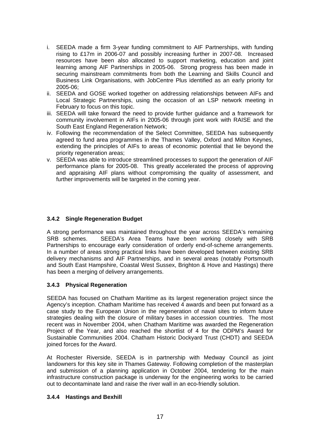- i. SEEDA made a firm 3-year funding commitment to AIF Partnerships, with funding rising to £17m in 2006-07 and possibly increasing further in 2007-08. Increased resources have been also allocated to support marketing, education and joint learning among AIF Partnerships in 2005-06. Strong progress has been made in securing mainstream commitments from both the Learning and Skills Council and Business Link Organisations, with JobCentre Plus identified as an early priority for 2005-06;
- ii. SEEDA and GOSE worked together on addressing relationships between AIFs and Local Strategic Partnerships, using the occasion of an LSP network meeting in February to focus on this topic.
- iii. SEEDA will take forward the need to provide further guidance and a framework for community involvement in AIFs in 2005-06 through joint work with RAISE and the South East England Regeneration Network;
- iv. Following the recommendation of the Select Committee, SEEDA has subsequently agreed to fund area programmes in the Thames Valley, Oxford and Milton Keynes, extending the principles of AIFs to areas of economic potential that lie beyond the priority regeneration areas;
- v. SEEDA was able to introduce streamlined processes to support the generation of AIF performance plans for 2005-08. This greatly accelerated the process of approving and appraising AIF plans without compromising the quality of assessment, and further improvements will be targeted in the coming year.

# **3.4.2 Single Regeneration Budget**

A strong performance was maintained throughout the year across SEEDA's remaining SRB schemes. SEEDA's Area Teams have been working closely with SRB Partnerships to encourage early consideration of orderly end-of-scheme arrangements. In a number of areas strong practical links have been developed between existing SRB delivery mechanisms and AIF Partnerships, and in several areas (notably Portsmouth and South East Hampshire, Coastal West Sussex, Brighton & Hove and Hastings) there has been a merging of delivery arrangements.

# **3.4.3 Physical Regeneration**

SEEDA has focused on Chatham Maritime as its largest regeneration project since the Agency's inception. Chatham Maritime has received 4 awards and been put forward as a case study to the European Union in the regeneration of naval sites to inform future strategies dealing with the closure of military bases in accession countries. The most recent was in November 2004, when Chatham Maritime was awarded the Regeneration Project of the Year, and also reached the shortlist of 4 for the ODPM's Award for Sustainable Communities 2004. Chatham Historic Dockyard Trust (CHDT) and SEEDA joined forces for the Award.

At Rochester Riverside, SEEDA is in partnership with Medway Council as joint landowners for this key site in Thames Gateway. Following completion of the masterplan and submission of a planning application in October 2004, tendering for the main infrastructure construction package is underway for the engineering works to be carried out to decontaminate land and raise the river wall in an eco-friendly solution.

#### **3.4.4 Hastings and Bexhill**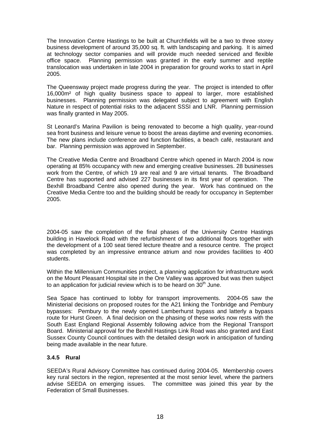The Innovation Centre Hastings to be built at Churchfields will be a two to three storey business development of around 35,000 sq. ft. with landscaping and parking. It is aimed at technology sector companies and will provide much needed serviced and flexible office space. Planning permission was granted in the early summer and reptile translocation was undertaken in late 2004 in preparation for ground works to start in April 2005.

The Queensway project made progress during the year. The project is intended to offer 16,000m² of high quality business space to appeal to larger, more established businesses. Planning permission was delegated subject to agreement with English Nature in respect of potential risks to the adjacent SSSI and LNR. Planning permission was finally granted in May 2005.

St Leonard's Marina Pavilion is being renovated to become a high quality, year-round sea front business and leisure venue to boost the areas daytime and evening economies. The new plans include conference and function facilities, a beach café, restaurant and bar. Planning permission was approved in September.

The Creative Media Centre and Broadband Centre which opened in March 2004 is now operating at 85% occupancy with new and emerging creative businesses. 28 businesses work from the Centre, of which 19 are real and 9 are virtual tenants. The Broadband Centre has supported and advised 227 businesses in its first year of operation. The Bexhill Broadband Centre also opened during the year. Work has continued on the Creative Media Centre too and the building should be ready for occupancy in September 2005.

2004-05 saw the completion of the final phases of the University Centre Hastings building in Havelock Road with the refurbishment of two additional floors together with the development of a 100 seat tiered lecture theatre and a resource centre. The project was completed by an impressive entrance atrium and now provides facilities to 400 students.

Within the Millennium Communities project, a planning application for infrastructure work on the Mount Pleasant Hospital site in the Ore Valley was approved but was then subject to an application for judicial review which is to be heard on  $30<sup>th</sup>$  June.

Sea Space has continued to lobby for transport improvements. 2004-05 saw the Ministerial decisions on proposed routes for the A21 linking the Tonbridge and Pembury bypasses: Pembury to the newly opened Lamberhurst bypass and latterly a bypass route for Hurst Green. A final decision on the phasing of these works now rests with the South East England Regional Assembly following advice from the Regional Transport Board. Ministerial approval for the Bexhill Hastings Link Road was also granted and East Sussex County Council continues with the detailed design work in anticipation of funding being made available in the near future.

#### **3.4.5 Rural**

SEEDA's Rural Advisory Committee has continued during 2004-05. Membership covers key rural sectors in the region, represented at the most senior level, where the partners advise SEEDA on emerging issues. The committee was joined this year by the Federation of Small Businesses.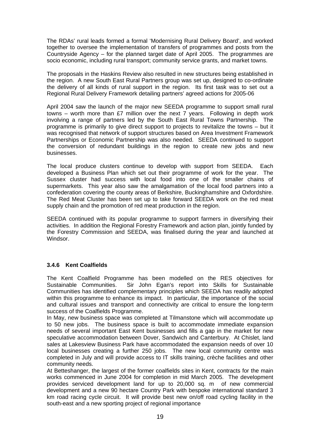The RDAs' rural leads formed a formal 'Modernising Rural Delivery Board', and worked together to oversee the implementation of transfers of programmes and posts from the Countryside Agency – for the planned target date of April 2005. The programmes are socio economic, including rural transport; community service grants, and market towns.

The proposals in the Haskins Review also resulted in new structures being established in the region. A new South East Rural Partners group was set up, designed to co-ordinate the delivery of all kinds of rural support in the region. Its first task was to set out a Regional Rural Delivery Framework detailing partners' agreed actions for 2005-06

April 2004 saw the launch of the major new SEEDA programme to support small rural towns – worth more than £7 million over the next 7 years. Following in depth work involving a range of partners led by the South East Rural Towns Partnership. The programme is primarily to give direct support to projects to revitalize the towns – but it was recognised that network of support structures based on Area Investment Framework Partnerships or Economic Partnership was also needed. SEEDA continued to support the conversion of redundant buildings in the region to create new jobs and new businesses.

The local produce clusters continue to develop with support from SEEDA. Each developed a Business Plan which set out their programme of work for the year. The Sussex cluster had success with local food into one of the smaller chains of supermarkets. This year also saw the amalgamation of the local food partners into a confederation covering the county areas of Berkshire, Buckinghamshire and Oxfordshire. The Red Meat Cluster has been set up to take forward SEEDA work on the red meat supply chain and the promotion of red meat production in the region.

SEEDA continued with its popular programme to support farmers in diversifying their activities. In addition the Regional Forestry Framework and action plan, jointly funded by the Forestry Commission and SEEDA, was finalised during the year and launched at Windsor.

# **3.4.6 Kent Coalfields**

The Kent Coalfield Programme has been modelled on the RES objectives for Sustainable Communities. Sir John Egan's report into Skills for Sustainable Communities has identified complementary principles which SEEDA has readily adopted within this programme to enhance its impact. In particular, the importance of the social and cultural issues and transport and connectivity are critical to ensure the long-term success of the Coalfields Programme.

In May, new business space was completed at Tilmanstone which will accommodate up to 50 new jobs. The business space is built to accommodate immediate expansion needs of several important East Kent businesses and fills a gap in the market for new speculative accommodation between Dover, Sandwich and Canterbury. At Chislet, land sales at Lakesview Business Park have accommodated the expansion needs of over 10 local businesses creating a further 250 jobs. The new local community centre was completed in July and will provide access to IT skills training, crèche facilities and other community needs.

At Betteshanger, the largest of the former coalfields sites in Kent, contracts for the main works commenced in June 2004 for completion in mid March 2005. The development provides serviced development land for up to 20,000 sq. m of new commercial development and a new 90 hectare Country Park with bespoke international standard 3 km road racing cycle circuit. It will provide best new on/off road cycling facility in the south-east and a new sporting project of regional importance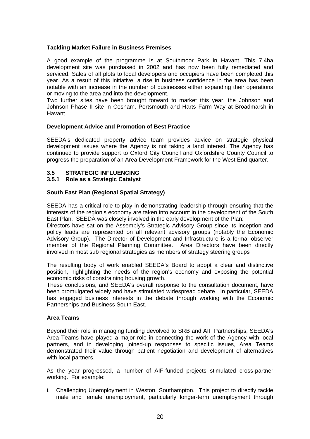#### **Tackling Market Failure in Business Premises**

A good example of the programme is at Southmoor Park in Havant. This 7.4ha development site was purchased in 2002 and has now been fully remediated and serviced. Sales of all plots to local developers and occupiers have been completed this year. As a result of this initiative, a rise in business confidence in the area has been notable with an increase in the number of businesses either expanding their operations or moving to the area and into the development.

Two further sites have been brought forward to market this year, the Johnson and Johnson Phase II site in Cosham, Portsmouth and Harts Farm Way at Broadmarsh in Havant.

#### **Development Advice and Promotion of Best Practice**

SEEDA's dedicated property advice team provides advice on strategic physical development issues where the Agency is not taking a land interest. The Agency has continued to provide support to Oxford City Council and Oxfordshire County Council to progress the preparation of an Area Development Framework for the West End quarter.

#### **3.5 STRATEGIC INFLUENCING**

#### **3.5.1 Role as a Strategic Catalyst**

#### **South East Plan (Regional Spatial Strategy)**

SEEDA has a critical role to play in demonstrating leadership through ensuring that the interests of the region's economy are taken into account in the development of the South East Plan. SEEDA was closely involved in the early development of the Plan:

Directors have sat on the Assembly's Strategic Advisory Group since its inception and policy leads are represented on all relevant advisory groups (notably the Economic Advisory Group). The Director of Development and Infrastructure is a formal observer member of the Regional Planning Committee. Area Directors have been directly involved in most sub regional strategies as members of strategy steering groups

The resulting body of work enabled SEEDA's Board to adopt a clear and distinctive position, highlighting the needs of the region's economy and exposing the potential economic risks of constraining housing growth.

These conclusions, and SEEDA's overall response to the consultation document, have been promulgated widely and have stimulated widespread debate. In particular, SEEDA has engaged business interests in the debate through working with the Economic Partnerships and Business South East.

#### **Area Teams**

Beyond their role in managing funding devolved to SRB and AIF Partnerships, SEEDA's Area Teams have played a major role in connecting the work of the Agency with local partners, and in developing joined-up responses to specific issues, Area Teams demonstrated their value through patient negotiation and development of alternatives with local partners.

As the year progressed, a number of AIF-funded projects stimulated cross-partner working. For example:

i. Challenging Unemployment in Weston, Southampton. This project to directly tackle male and female unemployment, particularly longer-term unemployment through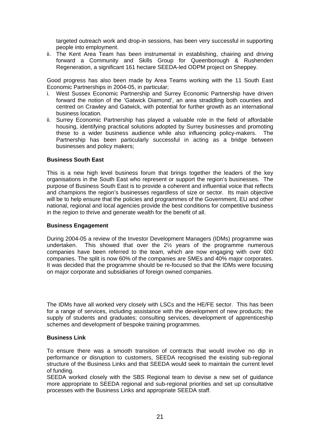targeted outreach work and drop-in sessions, has been very successful in supporting people into employment.

ii. The Kent Area Team has been instrumental in establishing, chairing and driving forward a Community and Skills Group for Queenborough & Rushenden Regeneration, a significant 161 hectare SEEDA-led ODPM project on Sheppey.

Good progress has also been made by Area Teams working with the 11 South East Economic Partnerships in 2004-05, in particular;

- i. West Sussex Economic Partnership and Surrey Economic Partnership have driven forward the notion of the 'Gatwick Diamond', an area straddling both counties and centred on Crawley and Gatwick, with potential for further growth as an international business location.
- ii. Surrey Economic Partnership has played a valuable role in the field of affordable housing, identifying practical solutions adopted by Surrey businesses and promoting these to a wider business audience while also influencing policy-makers. The Partnership has been particularly successful in acting as a bridge between businesses and policy makers;

#### **Business South East**

This is a new high level business forum that brings together the leaders of the key organisations in the South East who represent or support the region's businesses. The purpose of Business South East is to provide a coherent and influential voice that reflects and champions the region's businesses regardless of size or sector. Its main objective will be to help ensure that the policies and programmes of the Government, EU and other national, regional and local agencies provide the best conditions for competitive business in the region to thrive and generate wealth for the benefit of all.

#### **Business Engagement**

During 2004-05 a review of the Investor Development Managers (IDMs) programme was undertaken. This showed that over the 2½ years of the programme numerous companies have been referred to the team, which are now engaging with over 600 companies. The split is now 60% of the companies are SMEs and 40% major corporates. It was decided that the programme should be re-focused so that the IDMs were focusing on major corporate and subsidiaries of foreign owned companies.

The IDMs have all worked very closely with LSCs and the HE/FE sector. This has been for a range of services, including assistance with the development of new products; the supply of students and graduates; consulting services, development of apprenticeship schemes and development of bespoke training programmes.

#### **Business Link**

To ensure there was a smooth transition of contracts that would involve no dip in performance or disruption to customers, SEEDA recognised the existing sub-regional structure of the Business Links and that SEEDA would seek to maintain the current level of funding.

SEEDA worked closely with the SBS Regional team to devise a new set of guidance more appropriate to SEEDA regional and sub-regional priorities and set up consultative processes with the Business Links and appropriate SEEDA staff.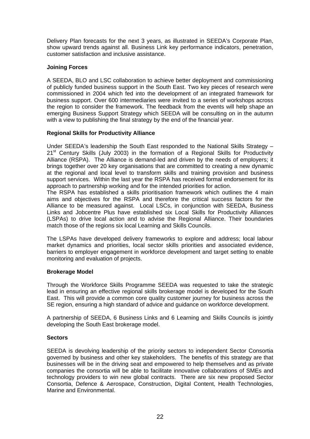Delivery Plan forecasts for the next 3 years, as illustrated in SEEDA's Corporate Plan, show upward trends against all. Business Link key performance indicators, penetration, customer satisfaction and inclusive assistance.

#### **Joining Forces**

A SEEDA, BLO and LSC collaboration to achieve better deployment and commissioning of publicly funded business support in the South East. Two key pieces of research were commissioned in 2004 which fed into the development of an integrated framework for business support. Over 600 intermediaries were invited to a series of workshops across the region to consider the framework. The feedback from the events will help shape an emerging Business Support Strategy which SEEDA will be consulting on in the autumn with a view to publishing the final strategy by the end of the financial year.

#### **Regional Skills for Productivity Alliance**

Under SEEDA's leadership the South East responded to the National Skills Strategy – 21<sup>st</sup> Century Skills (July 2003) in the formation of a Regional Skills for Productivity Alliance (RSPA). The Alliance is demand-led and driven by the needs of employers; it brings together over 20 key organisations that are committed to creating a new dynamic at the regional and local level to transform skills and training provision and business support services. Within the last year the RSPA has received formal endorsement for its approach to partnership working and for the intended priorities for action.

The RSPA has established a skills prioritisation framework which outlines the 4 main aims and objectives for the RSPA and therefore the critical success factors for the Alliance to be measured against. Local LSCs, in conjunction with SEEDA, Business Links and Jobcentre Plus have established six Local Skills for Productivity Alliances (LSPAs) to drive local action and to advise the Regional Alliance. Their boundaries match those of the regions six local Learning and Skills Councils.

The LSPAs have developed delivery frameworks to explore and address; local labour market dynamics and priorities, local sector skills priorities and associated evidence, barriers to employer engagement in workforce development and target setting to enable monitoring and evaluation of projects.

# **Brokerage Model**

Through the Workforce Skills Programme SEEDA was requested to take the strategic lead in ensuring an effective regional skills brokerage model is developed for the South East. This will provide a common core quality customer journey for business across the SE region, ensuring a high standard of advice and guidance on workforce development.

A partnership of SEEDA, 6 Business Links and 6 Learning and Skills Councils is jointly developing the South East brokerage model.

#### **Sectors**

SEEDA is devolving leadership of the priority sectors to independent Sector Consortia governed by business and other key stakeholders. The benefits of this strategy are that businesses will be in the driving seat and empowered to help themselves and as private companies the consortia will be able to facilitate innovative collaborations of SMEs and technology providers to win new global contracts. There are six new proposed Sector Consortia, Defence & Aerospace, Construction, Digital Content, Health Technologies, Marine and Environmental.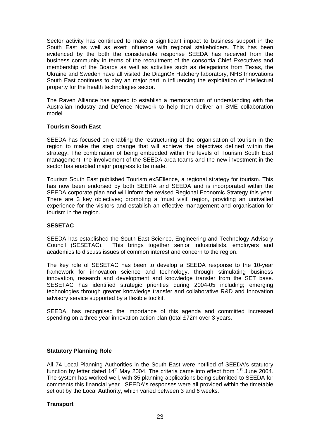Sector activity has continued to make a significant impact to business support in the South East as well as exert influence with regional stakeholders. This has been evidenced by the both the considerable response SEEDA has received from the business community in terms of the recruitment of the consortia Chief Executives and membership of the Boards as well as activities such as delegations from Texas, the Ukraine and Sweden have all visited the DiagnOx Hatchery laboratory, NHS Innovations South East continues to play an major part in influencing the exploitation of intellectual property for the health technologies sector.

The Raven Alliance has agreed to establish a memorandum of understanding with the Australian Industry and Defence Network to help them deliver an SME collaboration model.

#### **Tourism South East**

SEEDA has focused on enabling the restructuring of the organisation of tourism in the region to make the step change that will achieve the objectives defined within the strategy. The combination of being embedded within the levels of Tourism South East management, the involvement of the SEEDA area teams and the new investment in the sector has enabled major progress to be made.

Tourism South East published Tourism exSEllence, a regional strategy for tourism. This has now been endorsed by both SEERA and SEEDA and is incorporated within the SEEDA corporate plan and will inform the revised Regional Economic Strategy this year. There are 3 key objectives; promoting a 'must visit' region, providing an unrivalled experience for the visitors and establish an effective management and organisation for tourism in the region.

#### **SESETAC**

SEEDA has established the South East Science, Engineering and Technology Advisory Council (SESETAC). This brings together senior industrialists, employers and academics to discuss issues of common interest and concern to the region.

The key role of SESETAC has been to develop a SEEDA response to the 10-year framework for innovation science and technology, through stimulating business innovation, research and development and knowledge transfer from the SET base. SESETAC has identified strategic priorities during 2004-05 including; emerging technologies through greater knowledge transfer and collaborative R&D and Innovation advisory service supported by a flexible toolkit.

SEEDA, has recognised the importance of this agenda and committed increased spending on a three year innovation action plan (total £72m over 3 years.

#### **Statutory Planning Role**

All 74 Local Planning Authorities in the South East were notified of SEEDA's statutory function by letter dated  $14<sup>th</sup>$  May 2004. The criteria came into effect from  $1<sup>st</sup>$  June 2004. The system has worked well, with 35 planning applications being submitted to SEEDA for comments this financial year. SEEDA's responses were all provided within the timetable set out by the Local Authority, which varied between 3 and 6 weeks.

#### **Transport**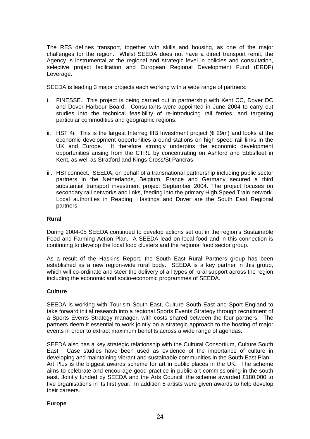The RES defines transport, together with skills and housing, as one of the major challenges for the region. Whilst SEEDA does not have a direct transport remit, the Agency is instrumental at the regional and strategic level in policies and consultation, selective project facilitation and European Regional Development Fund (ERDF) Leverage.

SEEDA is leading 3 major projects each working with a wide range of partners:

- i. FINESSE. This project is being carried out in partnership with Kent CC, Dover DC and Dover Harbour Board. Consultants were appointed in June 2004 to carry out studies into the technical feasibility of re-introducing rail ferries, and targeting particular commodities and geographic regions.
- ii. HST 4i. This is the largest Interreg IIIB Investment project (€ 29m) and looks at the economic development opportunities around stations on high speed rail links in the UK and Europe. It therefore strongly underpins the economic development opportunities arising from the CTRL by concentrating on Ashford and Ebbsfleet in Kent, as well as Stratford and Kings Cross/St Pancras.
- iii. HSTconnect. SEEDA, on behalf of a transnational partnership including public sector partners in the Netherlands, Belgium, France and Germany secured a third substantial transport investment project September 2004. The project focuses on secondary rail networks and links, feeding into the primary High Speed Train network. Local authorities in Reading, Hastings and Dover are the South East Regional partners.

#### **Rural**

During 2004-05 SEEDA continued to develop actions set out in the region's Sustainable Food and Farming Action Plan. A SEEDA lead on local food and in this connection is continuing to develop the local food clusters and the regional food sector group.

As a result of the Haskins Report, the South East Rural Partners group has been established as a new region-wide rural body. SEEDA is a key partner in this group, which will co-ordinate and steer the delivery of all types of rural support across the region including the economic and socio-economic programmes of SEEDA.

#### **Culture**

SEEDA is working with Tourism South East, Culture South East and Sport England to take forward initial research into a regional Sports Events Strategy through recruitment of a Sports Events Strategy manager, with costs shared between the four partners. The partners deem it essential to work jointly on a strategic approach to the hosting of major events in order to extract maximum benefits across a wide range of agendas.

SEEDA also has a key strategic relationship with the Cultural Consortium, Culture South East. Case studies have been used as evidence of the importance of culture in developing and maintaining vibrant and sustainable communities in the South East Plan. Art Plus is the biggest awards scheme for art in public places in the UK. The scheme aims to celebrate and encourage good practice in public art commissioning in the south east. Jointly funded by SEEDA and the Arts Council, the scheme awarded £180,000 to five organisations in its first year. In addition 5 artists were given awards to help develop their careers.

#### **Europe**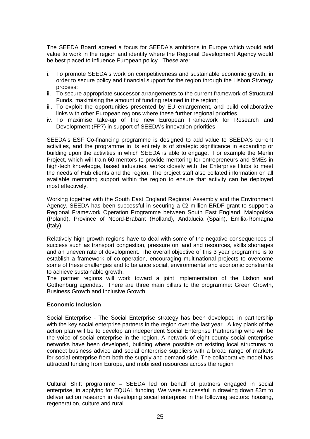The SEEDA Board agreed a focus for SEEDA's ambitions in Europe which would add value to work in the region and identify where the Regional Development Agency would be best placed to influence European policy. These are:

- i. To promote SEEDA's work on competitiveness and sustainable economic growth, in order to secure policy and financial support for the region through the Lisbon Strategy process;
- ii. To secure appropriate successor arrangements to the current framework of Structural Funds, maximising the amount of funding retained in the region;
- iii. To exploit the opportunities presented by EU enlargement, and build collaborative links with other European regions where these further regional priorities
- iv. To maximise take-up of the new European Framework for Research and Development (FP7) in support of SEEDA's innovation priorities

SEEDA's ESF Co-financing programme is designed to add value to SEEDA's current activities, and the programme in its entirety is of strategic significance in expanding or building upon the activities in which SEEDA is able to engage. For example the Merlin Project, which will train 60 mentors to provide mentoring for entrepreneurs and SMEs in high-tech knowledge, based industries, works closely with the Enterprise Hubs to meet the needs of Hub clients and the region. The project staff also collated information on all available mentoring support within the region to ensure that activity can be deployed most effectively.

Working together with the South East England Regional Assembly and the Environment Agency, SEEDA has been successful in securing a  $\epsilon$ 2 million ERDF grant to support a Regional Framework Operation Programme between South East England, Malopolska (Poland), Province of Noord-Brabant (Holland), Andalucia (Spain), Emilia-Romagna (Italy).

Relatively high growth regions have to deal with some of the negative consequences of success such as transport congestion, pressure on land and resources, skills shortages and an uneven rate of development. The overall objective of this 3 year programme is to establish a framework of co-operation, encouraging multinational projects to overcome some of these challenges and to balance social, environmental and economic constraints to achieve sustainable growth.

The partner regions will work toward a joint implementation of the Lisbon and Gothenburg agendas. There are three main pillars to the programme: Green Growth, Business Growth and Inclusive Growth.

#### **Economic Inclusion**

Social Enterprise - The Social Enterprise strategy has been developed in partnership with the key social enterprise partners in the region over the last year. A key plank of the action plan will be to develop an independent Social Enterprise Partnership who will be the voice of social enterprise in the region. A network of eight county social enterprise networks have been developed, building where possible on existing local structures to connect business advice and social enterprise suppliers with a broad range of markets for social enterprise from both the supply and demand side. The collaborative model has attracted funding from Europe, and mobilised resources across the region

Cultural Shift programme – SEEDA led on behalf of partners engaged in social enterprise, in applying for EQUAL funding. We were successful in drawing down £3m to deliver action research in developing social enterprise in the following sectors: housing, regeneration, culture and rural.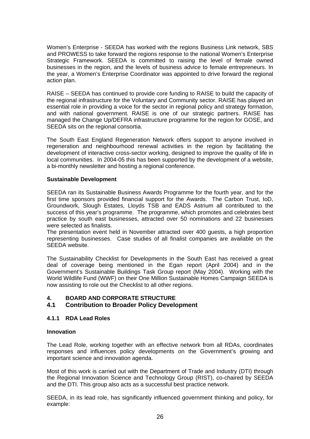Women's Enterprise - SEEDA has worked with the regions Business Link network, SBS and PROWESS to take forward the regions response to the national Women's Enterprise Strategic Framework. SEEDA is committed to raising the level of female owned businesses in the region, and the levels of business advice to female entrepreneurs. In the year, a Women's Enterprise Coordinator was appointed to drive forward the regional action plan.

RAISE – SEEDA has continued to provide core funding to RAISE to build the capacity of the regional infrastructure for the Voluntary and Community sector. RAISE has played an essential role in providing a voice for the sector in regional policy and strategy formation, and with national government. RAISE is one of our strategic partners. RAISE has managed the Change Up/DEFRA infrastructure programme for the region for GOSE, and SEEDA sits on the regional consortia.

The South East England Regeneration Network offers support to anyone involved in regeneration and neighbourhood renewal activities in the region by facilitating the development of interactive cross-sector working, designed to improve the quality of life in local communities. In 2004-05 this has been supported by the development of a website, a bi-monthly newsletter and hosting a regional conference.

#### **Sustainable Development**

SEEDA ran its Sustainable Business Awards Programme for the fourth year, and for the first time sponsors provided financial support for the Awards. The Carbon Trust, IoD, Groundwork, Slough Estates, Lloyds TSB and EADS Astrium all contributed to the success of this year's programme. The programme, which promotes and celebrates best practice by south east businesses, attracted over 50 nominations and 22 businesses were selected as finalists.

The presentation event held in November attracted over 400 guests, a high proportion representing businesses. Case studies of all finalist companies are available on the SEEDA website.

The Sustainability Checklist for Developments in the South East has received a great deal of coverage being mentioned in the Egan report (April 2004) and in the Government's Sustainable Buildings Task Group report (May 2004). Working with the World Wildlife Fund (WWF) on their One Million Sustainable Homes Campaign SEEDA is now assisting to role out the Checklist to all other regions.

#### **4. BOARD AND CORPORATE STRUCTURE**

# **4.1 Contribution to Broader Policy Development**

#### **4.1.1 RDA Lead Roles**

#### **Innovation**

The Lead Role, working together with an effective network from all RDAs, coordinates responses and influences policy developments on the Government's growing and important science and innovation agenda.

Most of this work is carried out with the Department of Trade and Industry (DTI) through the Regional Innovation Science and Technology Group (RIST), co-chaired by SEEDA and the DTI. This group also acts as a successful best practice network.

SEEDA, in its lead role, has significantly influenced government thinking and policy, for example: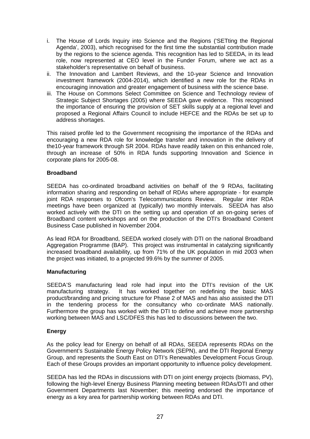- i. The House of Lords Inquiry into Science and the Regions ('SETting the Regional Agenda', 2003), which recognised for the first time the substantial contribution made by the regions to the science agenda. This recognition has led to SEEDA, in its lead role, now represented at CEO level in the Funder Forum, where we act as a stakeholder's representative on behalf of business.
- ii. The Innovation and Lambert Reviews, and the 10-year Science and Innovation investment framework (2004-2014), which identified a new role for the RDAs in encouraging innovation and greater engagement of business with the science base.
- iii. The House on Commons Select Committee on Science and Technology review of Strategic Subject Shortages (2005) where SEEDA gave evidence. This recognised the importance of ensuring the provision of SET skills supply at a regional level and proposed a Regional Affairs Council to include HEFCE and the RDAs be set up to address shortages.

This raised profile led to the Government recognising the importance of the RDAs and encouraging a new RDA role for knowledge transfer and innovation in the delivery of the10-year framework through SR 2004. RDAs have readily taken on this enhanced role, through an increase of 50% in RDA funds supporting Innovation and Science in corporate plans for 2005-08.

#### **Broadband**

SEEDA has co-ordinated broadband activities on behalf of the 9 RDAs, facilitating information sharing and responding on behalf of RDAs where appropriate - for example joint RDA responses to Ofcom's Telecommunications Review. Regular inter RDA meetings have been organized at (typically) two monthly intervals. SEEDA has also worked actively with the DTI on the setting up and operation of an on-going series of Broadband content workshops and on the production of the DTI's Broadband Content Business Case published in November 2004.

As lead RDA for Broadband, SEEDA worked closely with DTI on the national Broadband Aggregation Programme (BAP). This project was instrumental in catalyzing significantly increased broadband availability, up from 71% of the UK population in mid 2003 when the project was initiated, to a projected 99.6% by the summer of 2005.

#### **Manufacturing**

SEEDA'S manufacturing lead role had input into the DTI's revision of the UK manufacturing strategy. It has worked together on redefining the basic MAS product/branding and pricing structure for Phase 2 of MAS and has also assisted the DTI in the tendering process for the consultancy who co-ordinate MAS nationally. Furthermore the group has worked with the DTI to define and achieve more partnership working between MAS and LSC/DFES this has led to discussions between the two.

#### **Energy**

As the policy lead for Energy on behalf of all RDAs, SEEDA represents RDAs on the Government's Sustainable Energy Policy Network (SEPN), and the DTI Regional Energy Group, and represents the South East on DTI's Renewables Development Focus Group. Each of these Groups provides an important opportunity to influence policy development.

SEEDA has led the RDAs in discussions with DTI on joint energy projects (biomass, PV), following the high-level Energy Business Planning meeting between RDAs/DTI and other Government Departments last November; this meeting endorsed the importance of energy as a key area for partnership working between RDAs and DTI.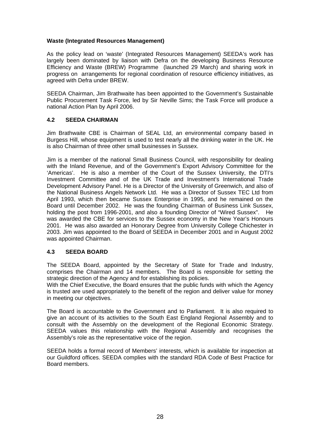#### **Waste (Integrated Resources Management)**

As the policy lead on 'waste' (Integrated Resources Management) SEEDA's work has largely been dominated by liaison with Defra on the developing Business Resource Efficiency and Waste (BREW) Programme (launched 29 March) and sharing work in progress on arrangements for regional coordination of resource efficiency initiatives, as agreed with Defra under BREW.

SEEDA Chairman, Jim Brathwaite has been appointed to the Government's Sustainable Public Procurement Task Force, led by Sir Neville Sims; the Task Force will produce a national Action Plan by April 2006.

#### **4.2 SEEDA CHAIRMAN**

Jim Brathwaite CBE is Chairman of SEAL Ltd, an environmental company based in Burgess Hill, whose equipment is used to test nearly all the drinking water in the UK. He is also Chairman of three other small businesses in Sussex.

Jim is a member of the national Small Business Council, with responsibility for dealing with the Inland Revenue, and of the Government's Export Advisory Committee for the 'Americas'. He is also a member of the Court of the Sussex University, the DTI's Investment Committee and of the UK Trade and Investment's International Trade Development Advisory Panel. He is a Director of the University of Greenwich, and also of the National Business Angels Network Ltd. He was a Director of Sussex TEC Ltd from April 1993, which then became Sussex Enterprise in 1995, and he remained on the Board until December 2002. He was the founding Chairman of Business Link Sussex, holding the post from 1996-2001, and also a founding Director of "Wired Sussex". He was awarded the CBE for services to the Sussex economy in the New Year's Honours 2001. He was also awarded an Honorary Degree from University College Chichester in 2003. Jim was appointed to the Board of SEEDA in December 2001 and in August 2002 was appointed Chairman.

#### **4.3 SEEDA BOARD**

The SEEDA Board, appointed by the Secretary of State for Trade and Industry, comprises the Chairman and 14 members. The Board is responsible for setting the strategic direction of the Agency and for establishing its policies.

With the Chief Executive, the Board ensures that the public funds with which the Agency is trusted are used appropriately to the benefit of the region and deliver value for money in meeting our objectives.

The Board is accountable to the Government and to Parliament. It is also required to give an account of its activities to the South East England Regional Assembly and to consult with the Assembly on the development of the Regional Economic Strategy. SEEDA values this relationship with the Regional Assembly and recognises the Assembly's role as the representative voice of the region.

SEEDA holds a formal record of Members' interests, which is available for inspection at our Guildford offices. SEEDA complies with the standard RDA Code of Best Practice for Board members.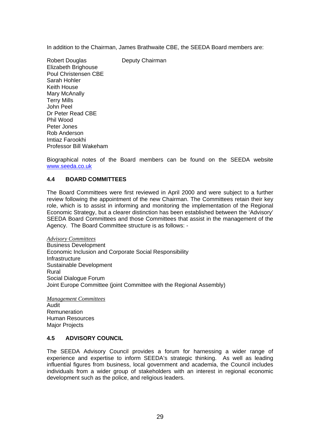In addition to the Chairman, James Brathwaite CBE, the SEEDA Board members are:

Robert Douglas **Deputy Chairman** Elizabeth Brighouse Poul Christensen CBE Sarah Hohler Keith House Mary McAnally Terry Mills John Peel Dr Peter Read CBE Phil Wood Peter Jones Rob Anderson Imtiaz Farookhi Professor Bill Wakeham

Biographical notes of the Board members can be found on the SEEDA website www.seeda.co.uk

#### **4.4 BOARD COMMITTEES**

The Board Committees were first reviewed in April 2000 and were subject to a further review following the appointment of the new Chairman. The Committees retain their key role, which is to assist in informing and monitoring the implementation of the Regional Economic Strategy, but a clearer distinction has been established between the 'Advisory' SEEDA Board Committees and those Committees that assist in the management of the Agency. The Board Committee structure is as follows: -

*Advisory Committees* Business Development Economic Inclusion and Corporate Social Responsibility **Infrastructure** Sustainable Development Rural Social Dialogue Forum Joint Europe Committee (joint Committee with the Regional Assembly)

*Management Committees* Audit Remuneration Human Resources Major Projects

#### **4.5 ADVISORY COUNCIL**

The SEEDA Advisory Council provides a forum for harnessing a wider range of experience and expertise to inform SEEDA's strategic thinking. As well as leading influential figures from business, local government and academia, the Council includes individuals from a wider group of stakeholders with an interest in regional economic development such as the police, and religious leaders.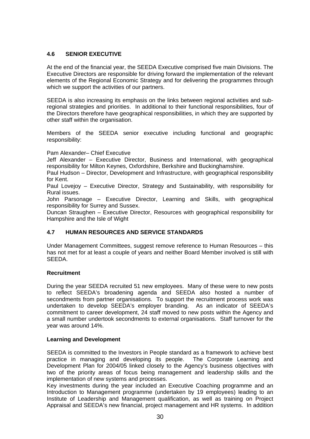# **4.6 SENIOR EXECUTIVE**

At the end of the financial year, the SEEDA Executive comprised five main Divisions. The Executive Directors are responsible for driving forward the implementation of the relevant elements of the Regional Economic Strategy and for delivering the programmes through which we support the activities of our partners.

SEEDA is also increasing its emphasis on the links between regional activities and subregional strategies and priorities. In additional to their functional responsibilities, four of the Directors therefore have geographical responsibilities, in which they are supported by other staff within the organisation.

Members of the SEEDA senior executive including functional and geographic responsibility:

Pam Alexander– Chief Executive

Jeff Alexander – Executive Director, Business and International, with geographical responsibility for Milton Keynes, Oxfordshire, Berkshire and Buckinghamshire.

Paul Hudson – Director, Development and Infrastructure, with geographical responsibility for Kent.

Paul Lovejoy – Executive Director, Strategy and Sustainability, with responsibility for Rural issues.

John Parsonage – Executive Director, Learning and Skills, with geographical responsibility for Surrey and Sussex.

Duncan Straughen – Executive Director, Resources with geographical responsibility for Hampshire and the Isle of Wight

# **4.7 HUMAN RESOURCES AND SERVICE STANDARDS**

Under Management Committees, suggest remove reference to Human Resources – this has not met for at least a couple of years and neither Board Member involved is still with SEEDA.

#### **Recruitment**

During the year SEEDA recruited 51 new employees. Many of these were to new posts to reflect SEEDA's broadening agenda and SEEDA also hosted a number of secondments from partner organisations. To support the recruitment process work was undertaken to develop SEEDA's employer branding. As an indicator of SEEDA's commitment to career development, 24 staff moved to new posts within the Agency and a small number undertook secondments to external organisations. Staff turnover for the year was around 14%.

#### **Learning and Development**

SEEDA is committed to the Investors in People standard as a framework to achieve best practice in managing and developing its people. The Corporate Learning and Development Plan for 2004/05 linked closely to the Agency's business objectives with two of the priority areas of focus being management and leadership skills and the implementation of new systems and processes.

Key investments during the year included an Executive Coaching programme and an Introduction to Management programme (undertaken by 19 employees) leading to an Institute of Leadership and Management qualification, as well as training on Project Appraisal and SEEDA's new financial, project management and HR systems. In addition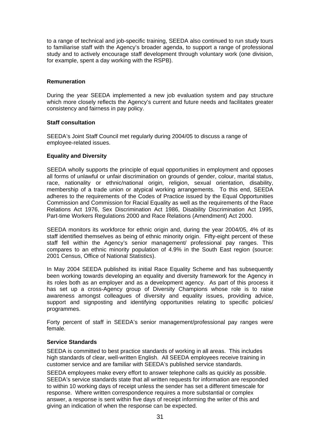to a range of technical and job-specific training, SEEDA also continued to run study tours to familiarise staff with the Agency's broader agenda, to support a range of professional study and to actively encourage staff development through voluntary work (one division, for example, spent a day working with the RSPB).

#### **Remuneration**

During the year SEEDA implemented a new job evaluation system and pay structure which more closely reflects the Agency's current and future needs and facilitates greater consistency and fairness in pay policy.

#### **Staff consultation**

SEEDA's Joint Staff Council met regularly during 2004/05 to discuss a range of employee-related issues.

#### **Equality and Diversity**

SEEDA wholly supports the principle of equal opportunities in employment and opposes all forms of unlawful or unfair discrimination on grounds of gender, colour, marital status, race, nationality or ethnic/national origin, religion, sexual orientation, disability, membership of a trade union or atypical working arrangements. To this end, SEEDA adheres to the requirements of the Codes of Practice issued by the Equal Opportunities Commission and Commission for Racial Equality as well as the requirements of the Race Relations Act 1976, Sex Discrimination Act 1986, Disability Discrimination Act 1995, Part-time Workers Regulations 2000 and Race Relations (Amendment) Act 2000.

SEEDA monitors its workforce for ethnic origin and, during the year 2004/05, 4% of its staff identified themselves as being of ethnic minority origin. Fifty-eight percent of these staff fell within the Agency's senior management/ professional pay ranges. This compares to an ethnic minority population of 4.9% in the South East region (source: 2001 Census, Office of National Statistics).

In May 2004 SEEDA published its initial Race Equality Scheme and has subsequently been working towards developing an equality and diversity framework for the Agency in its roles both as an employer and as a development agency. As part of this process it has set up a cross-Agency group of Diversity Champions whose role is to raise awareness amongst colleagues of diversity and equality issues, providing advice, support and signposting and identifying opportunities relating to specific policies/ programmes.

Forty percent of staff in SEEDA's senior management/professional pay ranges were female.

# **Service Standards**

SEEDA is committed to best practice standards of working in all areas. This includes high standards of clear, well-written English. All SEEDA employees receive training in customer service and are familiar with SEEDA's published service standards.

SEEDA employees make every effort to answer telephone calls as quickly as possible. SEEDA's service standards state that all written requests for information are responded to within 10 working days of receipt unless the sender has set a different timescale for response. Where written correspondence requires a more substantial or complex answer, a response is sent within five days of receipt informing the writer of this and giving an indication of when the response can be expected.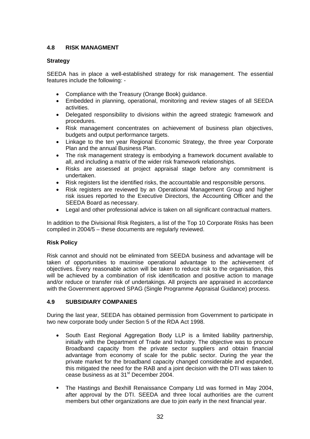# **4.8 RISK MANAGMENT**

#### **Strategy**

SEEDA has in place a well-established strategy for risk management. The essential features include the following: -

- Compliance with the Treasury (Orange Book) guidance.
- Embedded in planning, operational, monitoring and review stages of all SEEDA activities.
- Delegated responsibility to divisions within the agreed strategic framework and procedures.
- Risk management concentrates on achievement of business plan objectives, budgets and output performance targets.
- Linkage to the ten year Regional Economic Strategy, the three year Corporate Plan and the annual Business Plan.
- The risk management strategy is embodying a framework document available to all, and including a matrix of the wider risk framework relationships.
- Risks are assessed at project appraisal stage before any commitment is undertaken.
- Risk registers list the identified risks, the accountable and responsible persons.
- Risk registers are reviewed by an Operational Management Group and higher risk issues reported to the Executive Directors, the Accounting Officer and the SEEDA Board as necessary.
- Legal and other professional advice is taken on all significant contractual matters.

In addition to the Divisional Risk Registers, a list of the Top 10 Corporate Risks has been compiled in 2004/5 – these documents are regularly reviewed.

#### **Risk Policy**

Risk cannot and should not be eliminated from SEEDA business and advantage will be taken of opportunities to maximise operational advantage to the achievement of objectives. Every reasonable action will be taken to reduce risk to the organisation, this will be achieved by a combination of risk identification and positive action to manage and/or reduce or transfer risk of undertakings. All projects are appraised in accordance with the Government approved SPAG (Single Programme Appraisal Guidance) process.

#### **4.9 SUBSIDIARY COMPANIES**

During the last year, SEEDA has obtained permission from Government to participate in two new corporate body under Section 5 of the RDA Act 1998.

- South East Regional Aggregation Body LLP is a limited liability partnership, initially with the Department of Trade and Industry. The objective was to procure Broadband capacity from the private sector suppliers and obtain financial advantage from economy of scale for the public sector. During the year the private market for the broadband capacity changed considerable and expanded, this mitigated the need for the RAB and a joint decision with the DTI was taken to cease business as at 31<sup>st</sup> December 2004.
- The Hastings and Bexhill Renaissance Company Ltd was formed in May 2004, after approval by the DTI. SEEDA and three local authorities are the current members but other organizations are due to join early in the next financial year.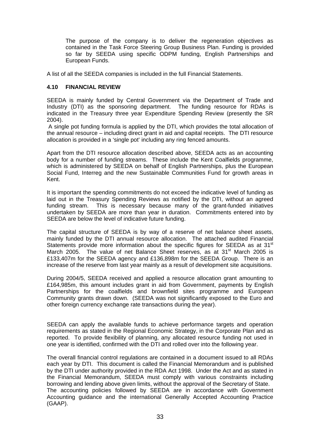The purpose of the company is to deliver the regeneration objectives as contained in the Task Force Steering Group Business Plan. Funding is provided so far by SEEDA using specific ODPM funding, English Partnerships and European Funds.

A list of all the SEEDA companies is included in the full Financial Statements.

#### **4.10 FINANCIAL REVIEW**

SEEDA is mainly funded by Central Government via the Department of Trade and Industry (DTI) as the sponsoring department. The funding resource for RDAs is indicated in the Treasury three year Expenditure Spending Review (presently the SR 2004).

 A single pot funding formula is applied by the DTI, which provides the total allocation of the annual resource – including direct grant in aid and capital receipts. The DTI resource allocation is provided in a 'single pot' including any ring fenced amounts.

Apart from the DTI resource allocation described above, SEEDA acts as an accounting body for a number of funding streams. These include the Kent Coalfields programme, which is administered by SEEDA on behalf of English Partnerships, plus the European Social Fund, Interreg and the new Sustainable Communities Fund for growth areas in Kent.

It is important the spending commitments do not exceed the indicative level of funding as laid out in the Treasury Spending Reviews as notified by the DTI, without an agreed funding stream. This is necessary because many of the grant-funded initiatives undertaken by SEEDA are more than year in duration. Commitments entered into by SEEDA are below the level of indicative future funding.

The capital structure of SEEDA is by way of a reserve of net balance sheet assets, mainly funded by the DTI annual resource allocation. The attached audited Financial Statements provide more information about the specific figures for SEEDA as at 31<sup>st</sup> March 2005. The value of net Balance Sheet reserves, as at 31<sup>st</sup> March 2005 is £133,407m for the SEEDA agency and £136,898m for the SEEDA Group. There is an increase of the reserve from last year mainly as a result of development site acquisitions.

During 2004/5, SEEDA received and applied a resource allocation grant amounting to £164,985m, this amount includes grant in aid from Government, payments by English Partnerships for the coalfields and brownfield sites programme and European Community grants drawn down. (SEEDA was not significantly exposed to the Euro and other foreign currency exchange rate transactions during the year).

SEEDA can apply the available funds to achieve performance targets and operation requirements as stated in the Regional Economic Strategy, in the Corporate Plan and as reported. To provide flexibility of planning, any allocated resource funding not used in one year is identified, confirmed with the DTI and rolled over into the following year.

The overall financial control regulations are contained in a document issued to all RDAs each year by DTI. This document is called the Financial Memorandum and is published by the DTI under authority provided in the RDA Act 1998. Under the Act and as stated in the Financial Memorandum, SEEDA must comply with various constraints including borrowing and lending above given limits, without the approval of the Secretary of State. The accounting policies followed by SEEDA are in accordance with Government Accounting guidance and the international Generally Accepted Accounting Practice (GAAP).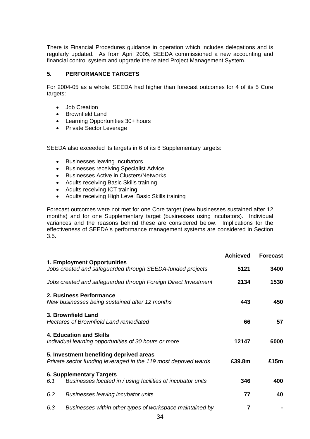There is Financial Procedures guidance in operation which includes delegations and is regularly updated. As from April 2005, SEEDA commissioned a new accounting and financial control system and upgrade the related Project Management System.

## **5. PERFORMANCE TARGETS**

For 2004-05 as a whole, SEEDA had higher than forecast outcomes for 4 of its 5 Core targets:

- Job Creation
- Brownfield Land
- Learning Opportunities 30+ hours
- Private Sector Leverage

SEEDA also exceeded its targets in 6 of its 8 Supplementary targets:

- Businesses leaving Incubators
- Businesses receiving Specialist Advice
- Businesses Active in Clusters/Networks
- Adults receiving Basic Skills training
- Adults receiving ICT training
- Adults receiving High Level Basic Skills training

Forecast outcomes were not met for one Core target (new businesses sustained after 12 months) and for one Supplementary target (businesses using incubators). Individual variances and the reasons behind these are considered below. Implications for the effectiveness of SEEDA's performance management systems are considered in Section 3.5.

|                                                                                                            | <b>Achieved</b> | <b>Forecast</b> |
|------------------------------------------------------------------------------------------------------------|-----------------|-----------------|
| 1. Employment Opportunities<br>Jobs created and safeguarded through SEEDA-funded projects                  | 5121            | 3400            |
| Jobs created and safeguarded through Foreign Direct Investment                                             | 2134            | 1530            |
| 2. Business Performance<br>New businesses being sustained after 12 months                                  | 443             | 450             |
| 3. Brownfield Land<br><b>Hectares of Brownfield Land remediated</b>                                        | 66              | 57              |
| 4. Education and Skills<br>Individual learning opportunities of 30 hours or more                           | 12147           | 6000            |
| 5. Investment benefiting deprived areas<br>Private sector funding leveraged in the 119 most deprived wards | £39.8m          | £15m            |
| 6. Supplementary Targets<br>Businesses located in / using facilities of incubator units<br>6.1             | 346             | 400             |
| 6.2<br>Businesses leaving incubator units                                                                  | 77              | 40              |
| 6.3<br>Businesses within other types of workspace maintained by                                            | 7               |                 |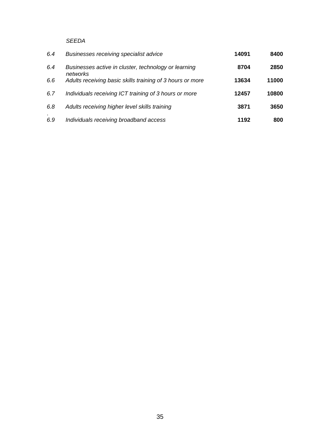# *SEEDA*

| 6.4 | Businesses receiving specialist advice                           | 14091 | 8400  |
|-----|------------------------------------------------------------------|-------|-------|
| 6.4 | Businesses active in cluster, technology or learning<br>networks | 8704  | 2850  |
| 6.6 | Adults receiving basic skills training of 3 hours or more        | 13634 | 11000 |
| 6.7 | Individuals receiving ICT training of 3 hours or more            | 12457 | 10800 |
| 6.8 | Adults receiving higher level skills training                    | 3871  | 3650  |
| 6.9 | Individuals receiving broadband access                           | 1192  | 800   |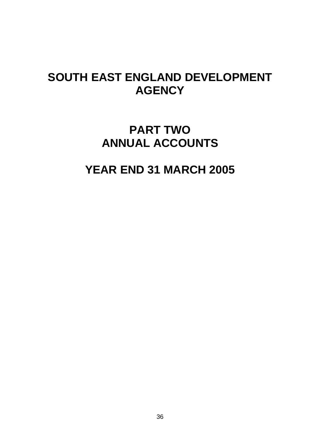# **SOUTH EAST ENGLAND DEVELOPMENT AGENCY**

# **PART TWO ANNUAL ACCOUNTS**

# **YEAR END 31 MARCH 2005**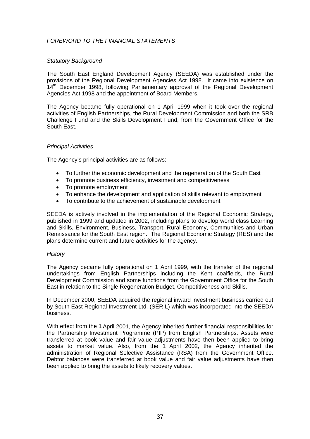## *FOREWORD TO THE FINANCIAL STATEMENTS*

#### *Statutory Background*

The South East England Development Agency (SEEDA) was established under the provisions of the Regional Development Agencies Act 1998. It came into existence on 14<sup>th</sup> December 1998, following Parliamentary approval of the Regional Development Agencies Act 1998 and the appointment of Board Members.

The Agency became fully operational on 1 April 1999 when it took over the regional activities of English Partnerships, the Rural Development Commission and both the SRB Challenge Fund and the Skills Development Fund, from the Government Office for the South East.

#### *Principal Activities*

The Agency's principal activities are as follows:

- To further the economic development and the regeneration of the South East
- To promote business efficiency, investment and competitiveness
- To promote employment
- To enhance the development and application of skills relevant to employment
- To contribute to the achievement of sustainable development

SEEDA is actively involved in the implementation of the Regional Economic Strategy, published in 1999 and updated in 2002, including plans to develop world class Learning and Skills, Environment, Business, Transport, Rural Economy, Communities and Urban Renaissance for the South East region. The Regional Economic Strategy (RES) and the plans determine current and future activities for the agency.

#### *History*

The Agency became fully operational on 1 April 1999, with the transfer of the regional undertakings from English Partnerships including the Kent coalfields, the Rural Development Commission and some functions from the Government Office for the South East in relation to the Single Regeneration Budget, Competitiveness and Skills.

In December 2000, SEEDA acquired the regional inward investment business carried out by South East Regional Investment Ltd. (SERIL) which was incorporated into the SEEDA business.

With effect from the 1 April 2001, the Agency inherited further financial responsibilities for the Partnership Investment Programme (PIP) from English Partnerships. Assets were transferred at book value and fair value adjustments have then been applied to bring assets to market value. Also, from the 1 April 2002, the Agency inherited the administration of Regional Selective Assistance (RSA) from the Government Office. Debtor balances were transferred at book value and fair value adjustments have then been applied to bring the assets to likely recovery values.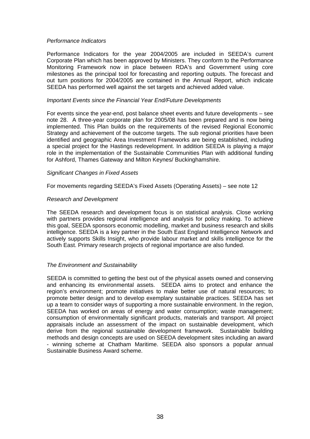#### *Performance Indicators*

Performance Indicators for the year 2004/2005 are included in SEEDA's current Corporate Plan which has been approved by Ministers. They conform to the Performance Monitoring Framework now in place between RDA's and Government using core milestones as the principal tool for forecasting and reporting outputs. The forecast and out turn positions for 2004/2005 are contained in the Annual Report, which indicate SEEDA has performed well against the set targets and achieved added value.

#### *Important Events since the Financial Year End/Future Developments*

For events since the year-end, post balance sheet events and future developments – see note 28. A three-year corporate plan for 2005/08 has been prepared and is now being implemented. This Plan builds on the requirements of the revised Regional Economic Strategy and achievement of the outcome targets. The sub regional priorities have been identified and geographic Area Investment Frameworks are being established, including a special project for the Hastings redevelopment. In addition SEEDA is playing a major role in the implementation of the Sustainable Communities Plan with additional funding for Ashford, Thames Gateway and Milton Keynes/ Buckinghamshire.

#### *Significant Changes in Fixed Assets*

For movements regarding SEEDA's Fixed Assets (Operating Assets) – see note 12

#### *Research and Development*

The SEEDA research and development focus is on statistical analysis. Close working with partners provides regional intelligence and analysis for policy making. To achieve this goal, SEEDA sponsors economic modelling, market and business research and skills intelligence. SEEDA is a key partner in the South East England Intelligence Network and actively supports Skills Insight, who provide labour market and skills intelligence for the South East. Primary research projects of regional importance are also funded.

## *The Environment and Sustainability*

SEEDA is committed to getting the best out of the physical assets owned and conserving and enhancing its environmental assets. SEEDA aims to protect and enhance the region's environment; promote initiatives to make better use of natural resources; to promote better design and to develop exemplary sustainable practices. SEEDA has set up a team to consider ways of supporting a more sustainable environment. In the region, SEEDA has worked on areas of energy and water consumption; waste management; consumption of environmentally significant products, materials and transport. All project appraisals include an assessment of the impact on sustainable development, which derive from the regional sustainable development framework. Sustainable building methods and design concepts are used on SEEDA development sites including an award - winning scheme at Chatham Maritime. SEEDA also sponsors a popular annual Sustainable Business Award scheme.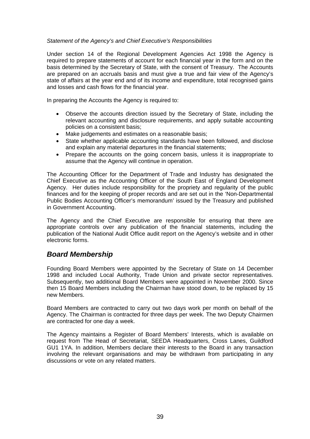#### *Statement of the Agency's and Chief Executive's Responsibilities*

Under section 14 of the Regional Development Agencies Act 1998 the Agency is required to prepare statements of account for each financial year in the form and on the basis determined by the Secretary of State, with the consent of Treasury. The Accounts are prepared on an accruals basis and must give a true and fair view of the Agency's state of affairs at the year end and of its income and expenditure, total recognised gains and losses and cash flows for the financial year.

In preparing the Accounts the Agency is required to:

- Observe the accounts direction issued by the Secretary of State, including the relevant accounting and disclosure requirements, and apply suitable accounting policies on a consistent basis;
- Make judgements and estimates on a reasonable basis;
- State whether applicable accounting standards have been followed, and disclose and explain any material departures in the financial statements;
- Prepare the accounts on the going concern basis, unless it is inappropriate to assume that the Agency will continue in operation.

The Accounting Officer for the Department of Trade and Industry has designated the Chief Executive as the Accounting Officer of the South East of England Development Agency. Her duties include responsibility for the propriety and regularity of the public finances and for the keeping of proper records and are set out in the 'Non-Departmental Public Bodies Accounting Officer's memorandum' issued by the Treasury and published in Government Accounting.

The Agency and the Chief Executive are responsible for ensuring that there are appropriate controls over any publication of the financial statements, including the publication of the National Audit Office audit report on the Agency's website and in other electronic forms.

# *Board Membership*

Founding Board Members were appointed by the Secretary of State on 14 December 1998 and included Local Authority, Trade Union and private sector representatives. Subsequently, two additional Board Members were appointed in November 2000. Since then 15 Board Members including the Chairman have stood down, to be replaced by 15 new Members.

Board Members are contracted to carry out two days work per month on behalf of the Agency. The Chairman is contracted for three days per week. The two Deputy Chairmen are contracted for one day a week.

The Agency maintains a Register of Board Members' Interests, which is available on request from The Head of Secretariat, SEEDA Headquarters, Cross Lanes, Guildford GU1 1YA. In addition, Members declare their interests to the Board in any transaction involving the relevant organisations and may be withdrawn from participating in any discussions or vote on any related matters.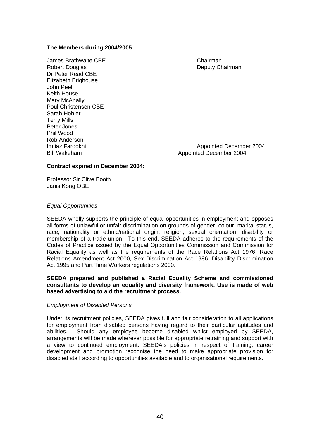#### **The Members during 2004/2005:**

James Brathwaite CBE Chairman Robert Douglas **National Community Chairman** Dr Peter Read CBE Elizabeth Brighouse John Peel Keith House Mary McAnally Poul Christensen CBE Sarah Hohler Terry Mills Peter Jones Phil Wood Rob Anderson

Imtiaz Farookhi **Approximation Control Appointed December 2004** Bill Wakeham Appointed December 2004

#### **Contract expired in December 2004:**

Professor Sir Clive Booth Janis Kong OBE

#### *Equal Opportunities*

SEEDA wholly supports the principle of equal opportunities in employment and opposes all forms of unlawful or unfair discrimination on grounds of gender, colour, marital status, race, nationality or ethnic/national origin, religion, sexual orientation, disability or membership of a trade union. To this end, SEEDA adheres to the requirements of the Codes of Practice issued by the Equal Opportunities Commission and Commission for Racial Equality as well as the requirements of the Race Relations Act 1976, Race Relations Amendment Act 2000, Sex Discrimination Act 1986, Disability Discrimination Act 1995 and Part Time Workers regulations 2000.

#### **SEEDA prepared and published a Racial Equality Scheme and commissioned consultants to develop an equality and diversity framework. Use is made of web based advertising to aid the recruitment process.**

#### *Employment of Disabled Persons*

Under its recruitment policies, SEEDA gives full and fair consideration to all applications for employment from disabled persons having regard to their particular aptitudes and abilities. Should any employee become disabled whilst employed by SEEDA, arrangements will be made wherever possible for appropriate retraining and support with a view to continued employment. SEEDA's policies in respect of training, career development and promotion recognise the need to make appropriate provision for disabled staff according to opportunities available and to organisational requirements.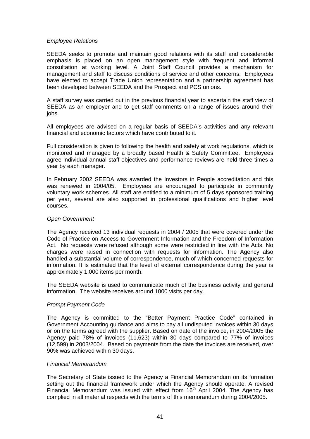#### *Employee Relations*

SEEDA seeks to promote and maintain good relations with its staff and considerable emphasis is placed on an open management style with frequent and informal consultation at working level. A Joint Staff Council provides a mechanism for management and staff to discuss conditions of service and other concerns. Employees have elected to accept Trade Union representation and a partnership agreement has been developed between SEEDA and the Prospect and PCS unions.

A staff survey was carried out in the previous financial year to ascertain the staff view of SEEDA as an employer and to get staff comments on a range of issues around their jobs.

All employees are advised on a regular basis of SEEDA's activities and any relevant financial and economic factors which have contributed to it.

Full consideration is given to following the health and safety at work regulations, which is monitored and managed by a broadly based Health & Safety Committee. Employees agree individual annual staff objectives and performance reviews are held three times a year by each manager.

In February 2002 SEEDA was awarded the Investors in People accreditation and this was renewed in 2004/05. Employees are encouraged to participate in community voluntary work schemes. All staff are entitled to a minimum of 5 days sponsored training per year, several are also supported in professional qualifications and higher level courses.

#### *Open Government*

The Agency received 13 individual requests in 2004 / 2005 that were covered under the Code of Practice on Access to Government Information and the Freedom of Information Act. No requests were refused although some were restricted in line with the Acts. No charges were raised in connection with requests for information. The Agency also handled a substantial volume of correspondence, much of which concerned requests for information. It is estimated that the level of external correspondence during the year is approximately 1,000 items per month.

The SEEDA website is used to communicate much of the business activity and general information. The website receives around 1000 visits per day.

## *Prompt Payment Code*

The Agency is committed to the "Better Payment Practice Code" contained in Government Accounting guidance and aims to pay all undisputed invoices within 30 days or on the terms agreed with the supplier. Based on date of the invoice, in 2004/2005 the Agency paid 78% of invoices (11,623) within 30 days compared to 77% of invoices (12,599) in 2003/2004. Based on payments from the date the invoices are received, over 90% was achieved within 30 days.

#### *Financial Memorandum*

The Secretary of State issued to the Agency a Financial Memorandum on its formation setting out the financial framework under which the Agency should operate. A revised Financial Memorandum was issued with effect from  $16<sup>th</sup>$  April 2004. The Agency has complied in all material respects with the terms of this memorandum during 2004/2005.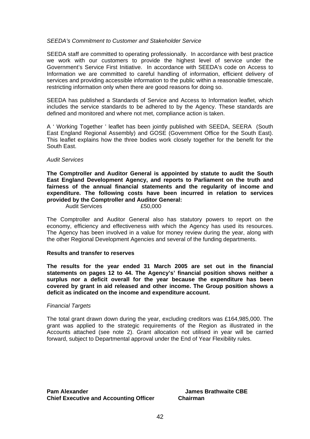#### *SEEDA's Commitment to Customer and Stakeholder Service*

SEEDA staff are committed to operating professionally. In accordance with best practice we work with our customers to provide the highest level of service under the Government's Service First Initiative. In accordance with SEEDA's code on Access to Information we are committed to careful handling of information, efficient delivery of services and providing accessible information to the public within a reasonable timescale, restricting information only when there are good reasons for doing so.

SEEDA has published a Standards of Service and Access to Information leaflet, which includes the service standards to be adhered to by the Agency. These standards are defined and monitored and where not met, compliance action is taken.

A ' Working Together ' leaflet has been jointly published with SEEDA, SEERA (South East England Regional Assembly) and GOSE (Government Office for the South East). This leaflet explains how the three bodies work closely together for the benefit for the South East.

#### *Audit Services*

**The Comptroller and Auditor General is appointed by statute to audit the South East England Development Agency, and reports to Parliament on the truth and fairness of the annual financial statements and the regularity of income and expenditure. The following costs have been incurred in relation to services provided by the Comptroller and Auditor General:** 

Audit Services £50,000

The Comptroller and Auditor General also has statutory powers to report on the economy, efficiency and effectiveness with which the Agency has used its resources. The Agency has been involved in a value for money review during the year, along with the other Regional Development Agencies and several of the funding departments.

#### **Results and transfer to reserves**

**The results for the year ended 31 March 2005 are set out in the financial statements on pages 12 to 44. The Agency's' financial position shows neither a surplus nor a deficit overall for the year because the expenditure has been covered by grant in aid released and other income. The Group position shows a deficit as indicated on the income and expenditure account.** 

#### *Financial Targets*

The total grant drawn down during the year, excluding creditors was £164,985,000. The grant was applied to the strategic requirements of the Region as illustrated in the Accounts attached (see note 2). Grant allocation not utilised in year will be carried forward, subject to Departmental approval under the End of Year Flexibility rules.

**Pam Alexander Mateur Capacity Contract Alexander Alexander Alexander Alexander Alexander Alexander Alexander Alexander Alexander Alexander Alexander Alexander Alexander Alexander Alexander Alexander Alexander Alexander Al Chief Executive and Accounting Officer Chairman**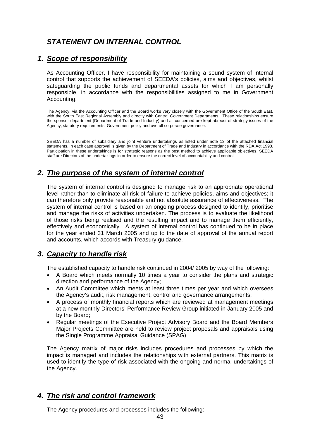# *STATEMENT ON INTERNAL CONTROL*

# *1. Scope of responsibility*

As Accounting Officer, I have responsibility for maintaining a sound system of internal control that supports the achievement of SEEDA's policies, aims and objectives, whilst safeguarding the public funds and departmental assets for which I am personally responsible, in accordance with the responsibilities assigned to me in Government Accounting.

The Agency, via the Accounting Officer and the Board works very closely with the Government Office of the South East, with the South East Regional Assembly and directly with Central Government Departments. These relationships ensure the sponsor department (Department of Trade and Industry) and all concerned are kept abreast of strategy issues of the Agency, statutory requirements, Government policy and overall corporate governance.

SEEDA has a number of subsidiary and joint venture undertakings as listed under note 13 of the attached financial statements. In each case approval is given by the Department of Trade and Industry in accordance with the RDA Act 1998. Participation in these undertakings is for strategic reasons as the best method to achieve applicable objectives. SEEDA staff are Directors of the undertakings in order to ensure the correct level of accountability and control.

# *2. The purpose of the system of internal control*

The system of internal control is designed to manage risk to an appropriate operational level rather than to eliminate all risk of failure to achieve policies, aims and objectives; it can therefore only provide reasonable and not absolute assurance of effectiveness. The system of internal control is based on an ongoing process designed to identify, prioritise and manage the risks of activities undertaken. The process is to evaluate the likelihood of those risks being realised and the resulting impact and to manage them efficiently, effectively and economically. A system of internal control has continued to be in place for the year ended 31 March 2005 and up to the date of approval of the annual report and accounts, which accords with Treasury guidance.

# *3. Capacity to handle risk*

The established capacity to handle risk continued in 2004/ 2005 by way of the following:

- A Board which meets normally 10 times a year to consider the plans and strategic direction and performance of the Agency;
- An Audit Committee which meets at least three times per year and which oversees the Agency's audit, risk management, control and governance arrangements;
- A process of monthly financial reports which are reviewed at management meetings at a new monthly Directors' Performance Review Group initiated in January 2005 and by the Board;
- Regular meetings of the Executive Project Advisory Board and the Board Members Major Projects Committee are held to review project proposals and appraisals using the Single Programme Appraisal Guidance (SPAG)

The Agency matrix of major risks includes procedures and processes by which the impact is managed and includes the relationships with external partners. This matrix is used to identify the type of risk associated with the ongoing and normal undertakings of the Agency.

# *4. The risk and control framework*

The Agency procedures and processes includes the following: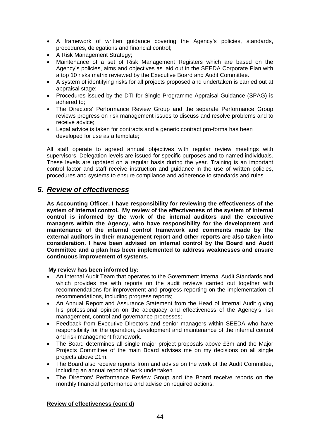- A framework of written guidance covering the Agency's policies, standards, procedures, delegations and financial control;
- A Risk Management Strategy;
- Maintenance of a set of Risk Management Registers which are based on the Agency's policies, aims and objectives as laid out in the SEEDA Corporate Plan with a top 10 risks matrix reviewed by the Executive Board and Audit Committee.
- A system of identifying risks for all projects proposed and undertaken is carried out at appraisal stage;
- Procedures issued by the DTI for Single Programme Appraisal Guidance (SPAG) is adhered to;
- The Directors' Performance Review Group and the separate Performance Group reviews progress on risk management issues to discuss and resolve problems and to receive advice;
- Legal advice is taken for contracts and a generic contract pro-forma has been developed for use as a template;

All staff operate to agreed annual objectives with regular review meetings with supervisors. Delegation levels are issued for specific purposes and to named individuals. These levels are updated on a regular basis during the year. Training is an important control factor and staff receive instruction and guidance in the use of written policies, procedures and systems to ensure compliance and adherence to standards and rules.

# *5. Review of effectiveness*

**As Accounting Officer, I have responsibility for reviewing the effectiveness of the system of internal control. My review of the effectiveness of the system of internal control is informed by the work of the internal auditors and the executive managers within the Agency, who have responsibility for the development and maintenance of the internal control framework and comments made by the external auditors in their management report and other reports are also taken into consideration. I have been advised on internal control by the Board and Audit Committee and a plan has been implemented to address weaknesses and ensure continuous improvement of systems.** 

## **My review has been informed by:**

- An Internal Audit Team that operates to the Government Internal Audit Standards and which provides me with reports on the audit reviews carried out together with recommendations for improvement and progress reporting on the implementation of recommendations, including progress reports;
- An Annual Report and Assurance Statement from the Head of Internal Audit giving his professional opinion on the adequacy and effectiveness of the Agency's risk management, control and governance processes;
- Feedback from Executive Directors and senior managers within SEEDA who have responsibility for the operation, development and maintenance of the internal control and risk management framework.
- The Board determines all single major project proposals above £3m and the Major Projects Committee of the main Board advises me on my decisions on all single projects above £1m.
- The Board also receive reports from and advise on the work of the Audit Committee, including an annual report of work undertaken.
- The Directors' Performance Review Group and the Board receive reports on the monthly financial performance and advise on required actions.

## **Review of effectiveness (cont'd)**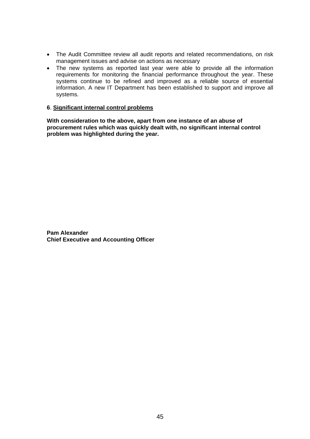- The Audit Committee review all audit reports and related recommendations, on risk management issues and advise on actions as necessary
- The new systems as reported last year were able to provide all the information requirements for monitoring the financial performance throughout the year. These systems continue to be refined and improved as a reliable source of essential information. A new IT Department has been established to support and improve all systems.

#### **6**. **Significant internal control problems**

**With consideration to the above, apart from one instance of an abuse of procurement rules which was quickly dealt with, no significant internal control problem was highlighted during the year.** 

**Pam Alexander Chief Executive and Accounting Officer**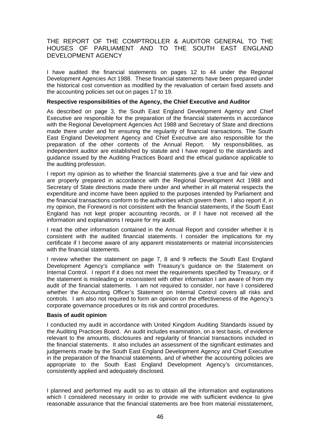# THE REPORT OF THE COMPTROLLER & AUDITOR GENERAL TO THE HOUSES OF PARLIAMENT AND TO THE SOUTH EAST ENGLAND DEVELOPMENT AGENCY

I have audited the financial statements on pages 12 to 44 under the Regional Development Agencies Act 1988. These financial statements have been prepared under the historical cost convention as modified by the revaluation of certain fixed assets and the accounting policies set out on pages 17 to 19.

#### **Respective responsibilities of the Agency, the Chief Executive and Auditor**

As described on page 3, the South East England Development Agency and Chief Executive are responsible for the preparation of the financial statements in accordance with the Regional Development Agencies Act 1988 and Secretary of State and directions made there under and for ensuring the regularity of financial transactions. The South East England Development Agency and Chief Executive are also responsible for the preparation of the other contents of the Annual Report. My responsibilities, as independent auditor are established by statute and I have regard to the standards and guidance issued by the Auditing Practices Board and the ethical guidance applicable to the auditing profession.

I report my opinion as to whether the financial statements give a true and fair view and are properly prepared in accordance with the Regional Development Act 1988 and Secretary of State directions made there under and whether in all material respects the expenditure and income have been applied to the purposes intended by Parliament and the financial transactions conform to the authorities which govern them. I also report if, in my opinion, the Foreword is not consistent with the financial statements, if the South East England has not kept proper accounting records, or if I have not received all the information and explanations I require for my audit.

I read the other information contained in the Annual Report and consider whether it is consistent with the audited financial statements. I consider the implications for my certificate if I become aware of any apparent misstatements or material inconsistencies with the financial statements.

I review whether the statement on page 7, 8 and 9 reflects the South East England Development Agency's compliance with Treasury's guidance on the Statement on Internal Control. I report if it does not meet the requirements specified by Treasury, or if the statement is misleading or inconsistent with other information I am aware of from my audit of the financial statements. I am not required to consider, nor have I considered whether the Accounting Officer's Statement on Internal Control covers all risks and controls. I am also not required to form an opinion on the effectiveness of the Agency's corporate governance procedures or its risk and control procedures.

#### **Basis of audit opinion**

I conducted my audit in accordance with United Kingdom Auditing Standards issued by the Auditing Practices Board. An audit includes examination, on a test basis, of evidence relevant to the amounts, disclosures and regularity of financial transactions included in the financial statements. It also includes an assessment of the significant estimates and judgements made by the South East England Development Agency and Chief Executive in the preparation of the financial statements, and of whether the accounting policies are appropriate to the South East England Development Agency's circumstances, consistently applied and adequately disclosed.

I planned and performed my audit so as to obtain all the information and explanations which I considered necessary in order to provide me with sufficient evidence to give reasonable assurance that the financial statements are free from material misstatement,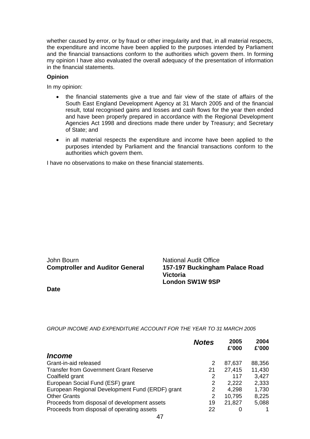whether caused by error, or by fraud or other irregularity and that, in all material respects, the expenditure and income have been applied to the purposes intended by Parliament and the financial transactions conform to the authorities which govern them. In forming my opinion I have also evaluated the overall adequacy of the presentation of information in the financial statements.

#### **Opinion**

In my opinion:

- the financial statements give a true and fair view of the state of affairs of the South East England Development Agency at 31 March 2005 and of the financial result, total recognised gains and losses and cash flows for the year then ended and have been properly prepared in accordance with the Regional Development Agencies Act 1998 and directions made there under by Treasury; and Secretary of State; and
- in all material respects the expenditure and income have been applied to the purposes intended by Parliament and the financial transactions conform to the authorities which govern them.

I have no observations to make on these financial statements.

# John Bourn **National Audit Office**

**Comptroller and Auditor General 157-197 Buckingham Palace Road Victoria London SW1W 9SP**

**Date**

## *GROUP INCOME AND EXPENDITURE ACCOUNT FOR THE YEAR TO 31 MARCH 2005*

|                                                 | <b>Notes</b> | 2005<br>£'000 | 2004<br>£'000 |
|-------------------------------------------------|--------------|---------------|---------------|
| <i><b>Income</b></i>                            |              |               |               |
| Grant-in-aid released                           | 2            | 87,637        | 88,356        |
| <b>Transfer from Government Grant Reserve</b>   | 21           | 27,415        | 11,430        |
| Coalfield grant                                 | 2            | 117           | 3,427         |
| European Social Fund (ESF) grant                | 2            | 2,222         | 2,333         |
| European Regional Development Fund (ERDF) grant | 2            | 4,298         | 1,730         |
| <b>Other Grants</b>                             | 2            | 10,795        | 8,225         |
| Proceeds from disposal of development assets    | 19           | 21,827        | 5,088         |
| Proceeds from disposal of operating assets      | 22           |               |               |
|                                                 |              |               |               |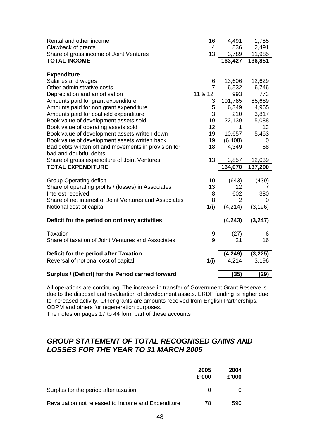| Rental and other income                                | 16             | 4,491          | 1,785    |
|--------------------------------------------------------|----------------|----------------|----------|
| Clawback of grants                                     | $\overline{4}$ | 836            | 2,491    |
| Share of gross income of Joint Ventures                | 13             | 3,789          | 11,985   |
| <b>TOTAL INCOME</b>                                    |                | 163,427        | 136,851  |
| <b>Expenditure</b>                                     |                |                |          |
| Salaries and wages                                     | 6              | 13,606         | 12,629   |
| Other administrative costs                             | $\overline{7}$ | 6,532          | 6,746    |
| Depreciation and amortisation                          | 11 & 12        | 993            | 773      |
| Amounts paid for grant expenditure                     | 3              | 101,785        | 85,689   |
| Amounts paid for non grant expenditure                 | 5              | 6,349          | 4,965    |
| Amounts paid for coalfield expenditure                 | 3              | 210            | 3,817    |
| Book value of development assets sold                  | 19             | 22,139         | 5,088    |
| Book value of operating assets sold                    | 12             | 1              | 13       |
| Book value of development assets written down          | 19             | 10,657         | 5,463    |
| Book value of development assets written back          | 19             | (6, 408)       | 0        |
| Bad debts written off and movements in provision for   | 18             | 4,349          | 68       |
| bad and doubtful debts                                 |                |                |          |
| Share of gross expenditure of Joint Ventures           | 13             | 3,857          | 12,039   |
| <b>TOTAL EXPENDITURE</b>                               |                | 164,070        | 137,290  |
|                                                        |                |                |          |
| <b>Group Operating deficit</b>                         | 10             | (643)          | (439)    |
| Share of operating profits / (losses) in Associates    | 13             | 12             |          |
| Interest received                                      | 8              | 602            | 380      |
| Share of net interest of Joint Ventures and Associates | 8              | $\overline{2}$ | 0        |
| Notional cost of capital                               | 1(i)           | (4,214)        | (3, 196) |
| Deficit for the period on ordinary activities          |                | (4, 243)       | (3, 247) |
|                                                        |                |                |          |
| <b>Taxation</b>                                        | 9              | (27)           | 6        |
| Share of taxation of Joint Ventures and Associates     | 9              | 21             | 16       |
|                                                        |                |                |          |
| Deficit for the period after Taxation                  |                | (4,249)        | (3, 225) |
| Reversal of notional cost of capital                   | 1(i)           | 4,214          | 3,196    |
| Surplus / (Deficit) for the Period carried forward     |                | (35)           | (29)     |

All operations are continuing. The increase in transfer of Government Grant Reserve is due to the disposal and revaluation of development assets. ERDF funding is higher due to increased activity. Other grants are amounts received from English Partnerships, ODPM and others for regeneration purposes.

The notes on pages 17 to 44 form part of these accounts

# *GROUP STATEMENT OF TOTAL RECOGNISED GAINS AND LOSSES FOR THE YEAR TO 31 MARCH 2005*

|                                                    | 2005<br>£'000 | 2004<br>£'000 |
|----------------------------------------------------|---------------|---------------|
| Surplus for the period after taxation              | $\Omega$      |               |
| Revaluation not released to Income and Expenditure | 78            | 590           |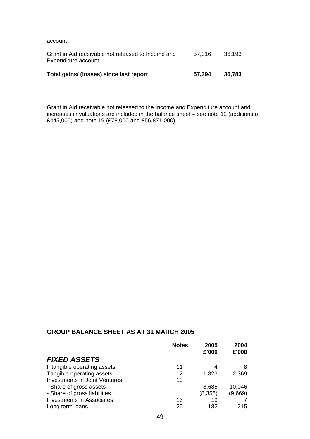account

| Grant in Aid receivable not released to Income and<br>Expenditure account | 57.316 | 36.193 |
|---------------------------------------------------------------------------|--------|--------|
| Total gains/ (losses) since last report                                   | 57.394 | 36.783 |

Grant in Aid receivable not released to the Income and Expenditure account and increases in valuations are included in the balance sheet – see note 12 (additions of £445,000) and note 19 (£78,000 and £56,871,000).

## **GROUP BALANCE SHEET AS AT 31 MARCH 2005**

|                                      | <b>Notes</b> | 2005    | 2004    |
|--------------------------------------|--------------|---------|---------|
| <b>FIXED ASSETS</b>                  |              | £'000   | £'000   |
|                                      |              |         |         |
| Intangible operating assets          | 11           | 4       | 8       |
| Tangible operating assets            | 12           | 1,823   | 2,369   |
| <b>Investments in Joint Ventures</b> | 13           |         |         |
| - Share of gross assets              |              | 8,685   | 10,046  |
| - Share of gross liabilities         |              | (8,356) | (9,669) |
| <b>Investments in Associates</b>     | 13           | 19      |         |
| Long term loans                      | 20           | 182     | 215     |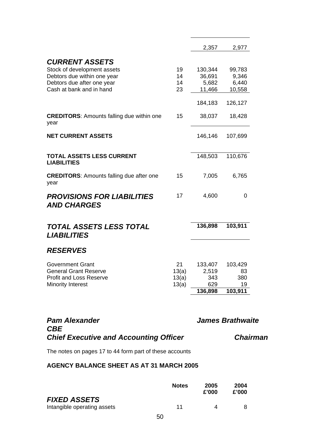|                                                          |       | 2,357      | 2,977         |
|----------------------------------------------------------|-------|------------|---------------|
| <b>CURRENT ASSETS</b>                                    |       |            |               |
| Stock of development assets                              | 19    | 130,344    | 99,783        |
| Debtors due within one year                              | 14    | 36,691     | 9,346         |
| Debtors due after one year                               | 14    | 5,682      | 6,440         |
| Cash at bank and in hand                                 | 23    | 11,466     | 10,558        |
|                                                          |       | 184,183    | 126,127       |
|                                                          |       |            |               |
| <b>CREDITORS: Amounts falling due within one</b><br>year | 15    | 38,037     | 18,428        |
| <b>NET CURRENT ASSETS</b>                                |       | 146,146    | 107,699       |
|                                                          |       |            |               |
| <b>TOTAL ASSETS LESS CURRENT</b>                         |       | 148,503    | 110,676       |
| <b>LIABILITIES</b>                                       |       |            |               |
| <b>CREDITORS:</b> Amounts falling due after one          | 15    | 7,005      | 6,765         |
| year                                                     |       |            |               |
| <b>PROVISIONS FOR LIABILITIES</b>                        | 17    | 4,600      | 0             |
| <b>AND CHARGES</b>                                       |       |            |               |
|                                                          |       |            |               |
| TOTAL ASSETS LESS TOTAL<br><b>LIABILITIES</b>            |       | 136,898    | 103,911       |
| <b>RESERVES</b>                                          |       |            |               |
|                                                          |       |            |               |
| <b>Government Grant</b>                                  | 21    | 133,407    | 103,429       |
| <b>General Grant Reserve</b>                             | 13(a) | 2,519      | 83            |
| <b>Profit and Loss Reserve</b>                           | 13(a) | 343<br>629 | 380           |
| <b>Minority Interest</b>                                 | 13(a) | 136,898    | 19<br>103,911 |
|                                                          |       |            |               |
|                                                          |       |            |               |

| <b>Pam Alexander</b>                          |  |
|-----------------------------------------------|--|
| <b>CBE</b>                                    |  |
| <b>Chief Executive and Accounting Officer</b> |  |

# **James Brathwaite**

*Chief Executive and Accounting Officer Chairman* 

The notes on pages 17 to 44 form part of these accounts

# **AGENCY BALANCE SHEET AS AT 31 MARCH 2005**

|                                                    |    | <b>Notes</b> | 2005<br>£'000 | 2004<br>£'000 |
|----------------------------------------------------|----|--------------|---------------|---------------|
| <b>FIXED ASSETS</b><br>Intangible operating assets |    | 11           | Δ             |               |
|                                                    | 50 |              |               |               |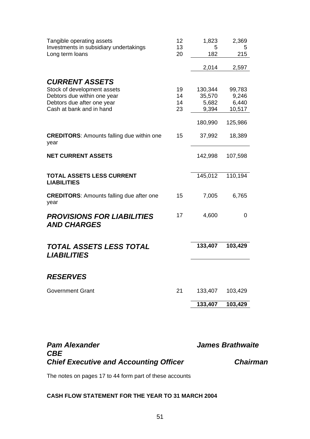| Tangible operating assets<br>Investments in subsidiary undertakings<br>Long term loans                                                        | 12<br>13<br>20       | 1,823<br>5<br>182                   | 2,369<br>5<br>215                  |
|-----------------------------------------------------------------------------------------------------------------------------------------------|----------------------|-------------------------------------|------------------------------------|
|                                                                                                                                               |                      | 2,014                               | 2,597                              |
| <b>CURRENT ASSETS</b><br>Stock of development assets<br>Debtors due within one year<br>Debtors due after one year<br>Cash at bank and in hand | 19<br>14<br>14<br>23 | 130,344<br>35,570<br>5,682<br>9,394 | 99,783<br>9,246<br>6,440<br>10,517 |
|                                                                                                                                               |                      | 180,990                             | 125,986                            |
| <b>CREDITORS:</b> Amounts falling due within one<br>year                                                                                      | 15                   | 37,992                              | 18,389                             |
| <b>NET CURRENT ASSETS</b>                                                                                                                     |                      | 142,998                             | 107,598                            |
| <b>TOTAL ASSETS LESS CURRENT</b><br><b>LIABILITIES</b>                                                                                        |                      | 145,012                             | 110,194                            |
| <b>CREDITORS: Amounts falling due after one</b><br>year                                                                                       | 15                   | 7,005                               | 6,765                              |
| <b>PROVISIONS FOR LIABILITIES</b><br><b>AND CHARGES</b>                                                                                       | 17                   | 4,600                               | 0                                  |
| TOTAL ASSETS LESS TOTAL<br><b>LIABILITIES</b>                                                                                                 |                      | 133,407                             | 103,429                            |
|                                                                                                                                               |                      |                                     |                                    |
| <b>RESERVES</b>                                                                                                                               |                      |                                     |                                    |
| <b>Government Grant</b>                                                                                                                       | 21                   | 133,407                             | 103,429                            |
|                                                                                                                                               |                      | 133,407                             | 103,429                            |

| <b>Pam Alexander</b>                          | <b>James Brathwaite</b> |  |
|-----------------------------------------------|-------------------------|--|
| <b>CBE</b>                                    |                         |  |
| <b>Chief Executive and Accounting Officer</b> | <b>Chairman</b>         |  |
|                                               |                         |  |

The notes on pages 17 to 44 form part of these accounts

# **CASH FLOW STATEMENT FOR THE YEAR TO 31 MARCH 2004**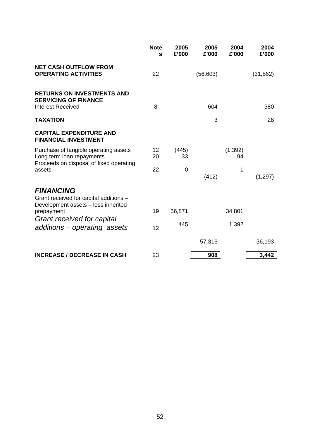|                                                                                                               | <b>Note</b><br>S | 2005<br>£'000 | 2005<br>£'000 | 2004<br>£'000  | 2004<br>£'000 |
|---------------------------------------------------------------------------------------------------------------|------------------|---------------|---------------|----------------|---------------|
| <b>NET CASH OUTFLOW FROM</b><br><b>OPERATING ACTIVITIES</b>                                                   | 22               |               | (56, 603)     |                | (31, 862)     |
| <b>RETURNS ON INVESTMENTS AND</b><br><b>SERVICING OF FINANCE</b><br><b>Interest Received</b>                  | 8                |               | 604           |                | 380           |
| <b>TAXATION</b>                                                                                               |                  |               | 3             |                | 28            |
| <b>CAPITAL EXPENDITURE AND</b><br><b>FINANCIAL INVESTMENT</b>                                                 |                  |               |               |                |               |
| Purchase of tangible operating assets<br>Long term loan repayments<br>Proceeds on disposal of fixed operating | 12<br>20         | (445)<br>33   |               | (1, 392)<br>94 |               |
| assets                                                                                                        | 22               | 0             | (412)         | 1              | (1, 297)      |
| <b>FINANCING</b><br>Grant received for capital additions -<br>Development assets - less inherited             |                  |               |               |                |               |
| prepayment                                                                                                    | 19               | 56,871        |               | 34,801         |               |
| Grant received for capital<br>additions - operating assets                                                    | 12               | 445           |               | 1,392          |               |
|                                                                                                               |                  |               | 57,316        |                | 36,193        |
| <b>INCREASE / DECREASE IN CASH</b>                                                                            | 23               |               | 908           |                | 3,442         |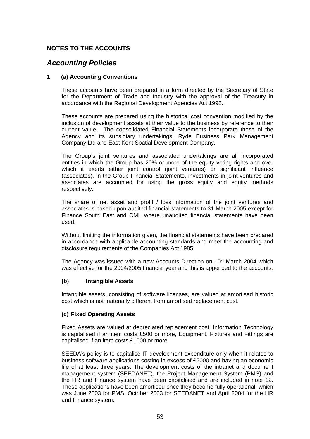# *Accounting Policies*

#### **1 (a) Accounting Conventions**

These accounts have been prepared in a form directed by the Secretary of State for the Department of Trade and Industry with the approval of the Treasury in accordance with the Regional Development Agencies Act 1998.

These accounts are prepared using the historical cost convention modified by the inclusion of development assets at their value to the business by reference to their current value. The consolidated Financial Statements incorporate those of the Agency and its subsidiary undertakings, Ryde Business Park Management Company Ltd and East Kent Spatial Development Company.

The Group's joint ventures and associated undertakings are all incorporated entities in which the Group has 20% or more of the equity voting rights and over which it exerts either joint control (joint ventures) or significant influence (associates). In the Group Financial Statements, investments in joint ventures and associates are accounted for using the gross equity and equity methods respectively.

The share of net asset and profit / loss information of the joint ventures and associates is based upon audited financial statements to 31 March 2005 except for Finance South East and CML where unaudited financial statements have been used.

Without limiting the information given, the financial statements have been prepared in accordance with applicable accounting standards and meet the accounting and disclosure requirements of the Companies Act 1985.

The Agency was issued with a new Accounts Direction on 10<sup>th</sup> March 2004 which was effective for the 2004/2005 financial year and this is appended to the accounts.

## **(b) Intangible Assets**

Intangible assets, consisting of software licenses, are valued at amortised historic cost which is not materially different from amortised replacement cost.

#### **(c) Fixed Operating Assets**

Fixed Assets are valued at depreciated replacement cost. Information Technology is capitalised if an item costs £500 or more, Equipment, Fixtures and Fittings are capitalised if an item costs £1000 or more.

SEEDA's policy is to capitalise IT development expenditure only when it relates to business software applications costing in excess of £5000 and having an economic life of at least three years. The development costs of the intranet and document management system (SEEDANET), the Project Management System (PMS) and the HR and Finance system have been capitalised and are included in note 12. These applications have been amortised once they become fully operational, which was June 2003 for PMS, October 2003 for SEEDANET and April 2004 for the HR and Finance system.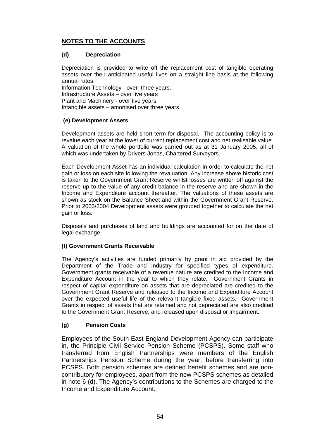# **(d) Depreciation**

Depreciation is provided to write off the replacement cost of tangible operating assets over their anticipated useful lives on a straight line basis at the following annual rates:

Information Technology - over three years. Infrastructure Assets – over five years Plant and Machinery - over five years. Intangible assets – amortised over three years.

# **(e) Development Assets**

Development assets are held short term for disposal. The accounting policy is to revalue each year at the lower of current replacement cost and net realisable value. A valuation of the whole portfolio was carried out as at 31 January 2005, all of which was undertaken by Drivers Jonas, Chartered Surveyors.

Each Development Asset has an individual calculation in order to calculate the net gain or loss on each site following the revaluation. Any increase above historic cost is taken to the Government Grant Reserve whilst losses are written off against the reserve up to the value of any credit balance in the reserve and are shown in the Income and Expenditure account thereafter. The valuations of these assets are shown as stock on the Balance Sheet and within the Government Grant Reserve. Prior to 2003/2004 Development assets were grouped together to calculate the net gain or loss.

Disposals and purchases of land and buildings are accounted for on the date of legal exchange.

# **(f) Government Grants Receivable**

The Agency's activities are funded primarily by grant in aid provided by the Department of the Trade and Industry for specified types of expenditure. Government grants receivable of a revenue nature are credited to the Income and Expenditure Account in the year to which they relate. Government Grants in respect of capital expenditure on assets that are depreciated are credited to the Government Grant Reserve and released to the Income and Expenditure Account over the expected useful life of the relevant tangible fixed assets. Government Grants in respect of assets that are retained and not depreciated are also credited to the Government Grant Reserve, and released upon disposal or impairment.

# **(g) Pension Costs**

Employees of the South East England Development Agency can participate in, the Principle Civil Service Pension Scheme (PCSPS). Some staff who transferred from English Partnerships were members of the English Partnerships Pension Scheme during the year, before transferring into PCSPS. Both pension schemes are defined benefit schemes and are noncontributory for employees, apart from the new PCSPS schemes as detailed in note 6 (d). The Agency's contributions to the Schemes are charged to the Income and Expenditure Account.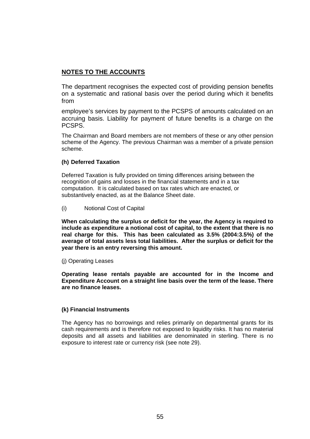The department recognises the expected cost of providing pension benefits on a systematic and rational basis over the period during which it benefits from

employee's services by payment to the PCSPS of amounts calculated on an accruing basis. Liability for payment of future benefits is a charge on the PCSPS.

The Chairman and Board members are not members of these or any other pension scheme of the Agency. The previous Chairman was a member of a private pension scheme.

## **(h) Deferred Taxation**

Deferred Taxation is fully provided on timing differences arising between the recognition of gains and losses in the financial statements and in a tax computation. It is calculated based on tax rates which are enacted, or substantively enacted, as at the Balance Sheet date.

(i) Notional Cost of Capital

**When calculating the surplus or deficit for the year, the Agency is required to include as expenditure a notional cost of capital, to the extent that there is no real charge for this. This has been calculated as 3.5% (2004:3.5%) of the average of total assets less total liabilities. After the surplus or deficit for the year there is an entry reversing this amount.** 

(j) Operating Leases

**Operating lease rentals payable are accounted for in the Income and Expenditure Account on a straight line basis over the term of the lease. There are no finance leases.** 

## **(k) Financial Instruments**

The Agency has no borrowings and relies primarily on departmental grants for its cash requirements and is therefore not exposed to liquidity risks. It has no material deposits and all assets and liabilities are denominated in sterling. There is no exposure to interest rate or currency risk (see note 29).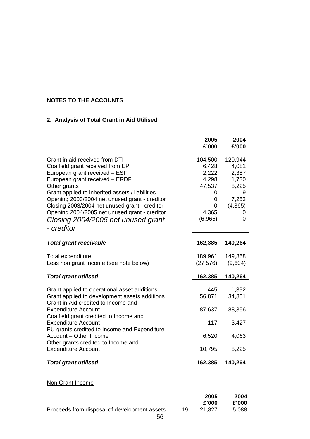# **2. Analysis of Total Grant in Aid Utilised**

|                                                                                                                                                                                                                                                                                                                                                                                                                 |    | 2005<br>£'000                                                                   | 2004<br>£'000                                                              |
|-----------------------------------------------------------------------------------------------------------------------------------------------------------------------------------------------------------------------------------------------------------------------------------------------------------------------------------------------------------------------------------------------------------------|----|---------------------------------------------------------------------------------|----------------------------------------------------------------------------|
| Grant in aid received from DTI<br>Coalfield grant received from EP<br>European grant received - ESF<br>European grant received - ERDF<br>Other grants<br>Grant applied to inherited assets / liabilities<br>Opening 2003/2004 net unused grant - creditor<br>Closing 2003/2004 net unused grant - creditor<br>Opening 2004/2005 net unused grant - creditor<br>Closing 2004/2005 net unused grant<br>- creditor |    | 104,500<br>6,428<br>2,222<br>4,298<br>47,537<br>0<br>0<br>0<br>4,365<br>(6,965) | 120,944<br>4,081<br>2,387<br>1,730<br>8,225<br>7,253<br>(4, 365)<br>0<br>0 |
| <b>Total grant receivable</b>                                                                                                                                                                                                                                                                                                                                                                                   |    | 162,385                                                                         | 140,264                                                                    |
| Total expenditure<br>Less non grant Income (see note below)                                                                                                                                                                                                                                                                                                                                                     |    | 189,961<br>(27, 576)                                                            | 149,868<br>(9,604)                                                         |
| <b>Total grant utilised</b>                                                                                                                                                                                                                                                                                                                                                                                     |    | 162,385                                                                         | 140,264                                                                    |
| Grant applied to operational asset additions<br>Grant applied to development assets additions<br>Grant in Aid credited to Income and                                                                                                                                                                                                                                                                            |    | 445<br>56,871                                                                   | 1,392<br>34,801                                                            |
| <b>Expenditure Account</b><br>Coalfield grant credited to Income and                                                                                                                                                                                                                                                                                                                                            |    | 87,637                                                                          | 88,356                                                                     |
| <b>Expenditure Account</b><br>EU grants credited to Income and Expenditure<br>Account - Other Income                                                                                                                                                                                                                                                                                                            |    | 117<br>6,520                                                                    | 3,427<br>4,063                                                             |
| Other grants credited to Income and<br><b>Expenditure Account</b>                                                                                                                                                                                                                                                                                                                                               |    | 10,795                                                                          | 8,225                                                                      |
| <b>Total grant utilised</b>                                                                                                                                                                                                                                                                                                                                                                                     |    | 162,385                                                                         | 140,264                                                                    |
| Non Grant Income                                                                                                                                                                                                                                                                                                                                                                                                |    |                                                                                 |                                                                            |
| Proceeds from disposal of development assets                                                                                                                                                                                                                                                                                                                                                                    | 19 | 2005<br>£'000<br>21,827                                                         | 2004<br>£'000<br>5,088                                                     |
| 56                                                                                                                                                                                                                                                                                                                                                                                                              |    |                                                                                 |                                                                            |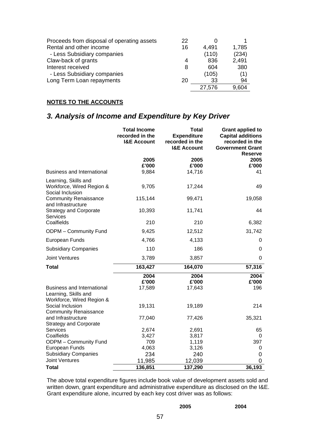| Proceeds from disposal of operating assets | 22 | O      |       |
|--------------------------------------------|----|--------|-------|
| Rental and other income                    | 16 | 4.491  | 1,785 |
| - Less Subsidiary companies                |    | (110)  | (234) |
| Claw-back of grants                        | 4  | 836    | 2,491 |
| Interest received                          | 8  | 604    | 380   |
| - Less Subsidiary companies                |    | (105)  | (1)   |
| Long Term Loan repayments                  | 20 | 33     | 94    |
|                                            |    | 27,576 | 9.604 |

# *3. Analysis of Income and Expenditure by Key Driver*

|                                                                                                       | <b>Total Income</b><br>recorded in the<br><b>I&amp;E Account</b> | <b>Total</b><br><b>Expenditure</b><br>recorded in the<br><b>I&amp;E Account</b> | <b>Grant applied to</b><br><b>Capital additions</b><br>recorded in the<br><b>Government Grant</b><br><b>Reserve</b> |
|-------------------------------------------------------------------------------------------------------|------------------------------------------------------------------|---------------------------------------------------------------------------------|---------------------------------------------------------------------------------------------------------------------|
|                                                                                                       | 2005                                                             | 2005                                                                            | 2005                                                                                                                |
| <b>Business and International</b>                                                                     | £'000<br>9,884                                                   | £'000<br>14,716                                                                 | £'000<br>41                                                                                                         |
| Learning, Skills and<br>Workforce, Wired Region &<br>Social Inclusion                                 | 9,705                                                            | 17,244                                                                          | 49                                                                                                                  |
| <b>Community Renaissance</b><br>and Infrastructure                                                    | 115,144                                                          | 99,471                                                                          | 19,058                                                                                                              |
| <b>Strategy and Corporate</b><br><b>Services</b>                                                      | 10,393                                                           | 11,741                                                                          | 44                                                                                                                  |
| Coalfields                                                                                            | 210                                                              | 210                                                                             | 6,382                                                                                                               |
| ODPM - Community Fund                                                                                 | 9,425                                                            | 12,512                                                                          | 31,742                                                                                                              |
| European Funds                                                                                        | 4,766                                                            | 4,133                                                                           | 0                                                                                                                   |
| <b>Subsidiary Companies</b>                                                                           | 110                                                              | 186                                                                             | $\Omega$                                                                                                            |
| <b>Joint Ventures</b>                                                                                 | 3,789                                                            | 3,857                                                                           | 0                                                                                                                   |
| <b>Total</b>                                                                                          | 163,427                                                          | 164,070                                                                         | 57,316                                                                                                              |
| <b>Business and International</b>                                                                     | 2004<br>£'000<br>17,589                                          | 2004<br>£'000<br>17,643                                                         | 2004<br>£'000<br>196                                                                                                |
| Learning, Skills and<br>Workforce, Wired Region &<br>Social Inclusion<br><b>Community Renaissance</b> | 19,131                                                           | 19,189                                                                          | 214                                                                                                                 |
| and Infrastructure<br><b>Strategy and Corporate</b>                                                   | 77,040                                                           | 77,426                                                                          | 35,321                                                                                                              |
| <b>Services</b>                                                                                       | 2,674                                                            | 2,691                                                                           | 65                                                                                                                  |
| Coalfields                                                                                            | 3,427                                                            | 3,817                                                                           | 0                                                                                                                   |
| ODPM - Community Fund                                                                                 | 709                                                              | 1,119                                                                           | 397                                                                                                                 |
| European Funds                                                                                        | 4,063                                                            | 3,126                                                                           | 0                                                                                                                   |
| <b>Subsidiary Companies</b><br><b>Joint Ventures</b>                                                  | 234<br>11,985                                                    | 240<br>12,039                                                                   | 0<br>0                                                                                                              |
| <b>Total</b>                                                                                          | 136,851                                                          | 137,290                                                                         | 36,193                                                                                                              |

The above total expenditure figures include book value of development assets sold and written down, grant expenditure and administrative expenditure as disclosed on the I&E. Grant expenditure alone, incurred by each key cost driver was as follows:

| 2005 | 2004 |
|------|------|
|      |      |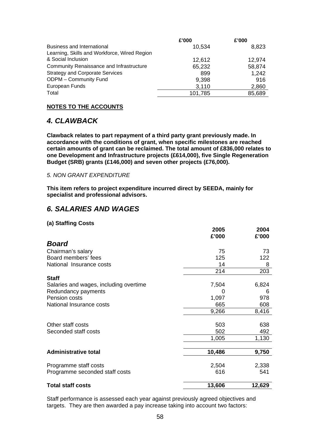|                                              | £'000   | £'000  |
|----------------------------------------------|---------|--------|
| <b>Business and International</b>            | 10,534  | 8,823  |
| Learning, Skills and Workforce, Wired Region |         |        |
| & Social Inclusion                           | 12,612  | 12.974 |
| Community Renaissance and Infrastructure     | 65,232  | 58,874 |
| <b>Strategy and Corporate Services</b>       | 899     | 1,242  |
| <b>ODPM - Community Fund</b>                 | 9,398   | 916    |
| European Funds                               | 3,110   | 2,860  |
| Total                                        | 101,785 | 85,689 |

# *4. CLAWBACK*

**Clawback relates to part repayment of a third party grant previously made. In accordance with the conditions of grant, when specific milestones are reached certain amounts of grant can be reclaimed. The total amount of £836,000 relates to one Development and Infrastructure projects (£614,000), five Single Regeneration Budget (SRB) grants (£146,000) and seven other projects (£76,000).** 

# *5. NON GRANT EXPENDITURE*

**This item refers to project expenditure incurred direct by SEEDA, mainly for specialist and professional advisors.** 

# *6. SALARIES AND WAGES*

## **(a) Staffing Costs**

|                                        | 2005<br>£'000 | 2004<br>£'000 |
|----------------------------------------|---------------|---------------|
| <b>Board</b>                           |               |               |
| Chairman's salary                      | 75            | 73            |
| Board members' fees                    | 125           | 122           |
| National Insurance costs               | 14            | 8             |
|                                        | 214           | 203           |
| <b>Staff</b>                           |               |               |
| Salaries and wages, including overtime | 7,504         | 6,824         |
| Redundancy payments                    | 0             | 6             |
| Pension costs                          | 1,097         | 978           |
| National Insurance costs               | 665           | 608           |
|                                        | 9,266         | 8,416         |
| Other staff costs                      | 503           | 638           |
| Seconded staff costs                   | 502           | 492           |
|                                        | 1,005         | 1,130         |
| <b>Administrative total</b>            | 10,486        | 9,750         |
|                                        |               |               |
| Programme staff costs                  | 2,504         | 2,338         |
| Programme seconded staff costs         | 616           | 541           |
| <b>Total staff costs</b>               | 13,606        | 12,629        |

Staff performance is assessed each year against previously agreed objectives and targets. They are then awarded a pay increase taking into account two factors: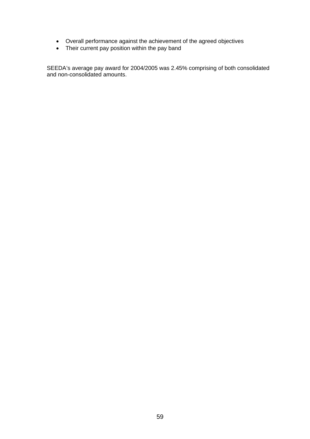- Overall performance against the achievement of the agreed objectives
- Their current pay position within the pay band

SEEDA's average pay award for 2004/2005 was 2.45% comprising of both consolidated and non-consolidated amounts.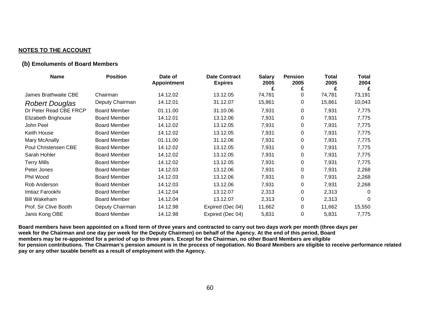#### **(b) Emoluments of Board Members**

| <b>Name</b>                 | <b>Position</b>     | Date of<br><b>Appointment</b> | <b>Date Contract</b><br><b>Expires</b> | <b>Salary</b><br>2005 | <b>Pension</b><br>2005 | Total<br>2005 | Total<br>2004 |
|-----------------------------|---------------------|-------------------------------|----------------------------------------|-----------------------|------------------------|---------------|---------------|
|                             |                     |                               |                                        |                       | £                      |               | £             |
| <b>James Brathwaite CBE</b> | Chairman            | 14.12.02                      | 13.12.05                               | 74,781                | 0                      | 74,781        | 73,191        |
| <b>Robert Douglas</b>       | Deputy Chairman     | 14.12.01                      | 31.12.07                               | 15,861                | 0                      | 15,861        | 10,043        |
| Dr Peter Read CBE FRCP      | <b>Board Member</b> | 01.11.00                      | 31.10.06                               | 7,931                 | 0                      | 7,931         | 7,775         |
| Elizabeth Brighouse         | <b>Board Member</b> | 14.12.01                      | 13.12.06                               | 7,931                 | 0                      | 7,931         | 7,775         |
| John Peel                   | <b>Board Member</b> | 14.12.02                      | 13.12.05                               | 7,931                 | 0                      | 7,931         | 7,775         |
| Keith House                 | <b>Board Member</b> | 14.12.02                      | 13.12.05                               | 7,931                 | 0                      | 7,931         | 7,775         |
| Mary McAnally               | <b>Board Member</b> | 01.11.00                      | 31.12.06                               | 7,931                 | 0                      | 7,931         | 7,775         |
| Poul Christensen CBE        | <b>Board Member</b> | 14.12.02                      | 13.12.05                               | 7,931                 | 0                      | 7,931         | 7,775         |
| Sarah Hohler                | <b>Board Member</b> | 14.12.02                      | 13.12.05                               | 7,931                 | 0                      | 7,931         | 7,775         |
| <b>Terry Mills</b>          | <b>Board Member</b> | 14.12.02                      | 13.12.05                               | 7,931                 | 0                      | 7,931         | 7,775         |
| Peter Jones                 | <b>Board Member</b> | 14.12.03                      | 13.12.06                               | 7,931                 | 0                      | 7,931         | 2,268         |
| Phil Wood                   | <b>Board Member</b> | 14.12.03                      | 13.12.06                               | 7,931                 | 0                      | 7,931         | 2,268         |
| Rob Anderson                | <b>Board Member</b> | 14.12.03                      | 13.12.06                               | 7,931                 | 0                      | 7,931         | 2,268         |
| Imtiaz Farookhi             | <b>Board Member</b> | 14.12.04                      | 13.12.07                               | 2,313                 | 0                      | 2,313         | 0             |
| <b>Bill Wakeham</b>         | <b>Board Member</b> | 14.12.04                      | 13.12.07                               | 2,313                 | 0                      | 2,313         | $\Omega$      |
| Prof. Sir Clive Booth       | Deputy Chairman     | 14.12.98                      | Expired (Dec 04)                       | 11,662                | 0                      | 11,662        | 15,550        |
| Janis Kong OBE              | <b>Board Member</b> | 14.12.98                      | Expired (Dec 04)                       | 5,831                 | 0                      | 5,831         | 7,775         |

**Board members have been appointed on a fixed term of three years and contracted to carry out two days work per month (three days per week for the Chairman and one day per week for the Deputy Chairmen) on behalf of the Agency. At the end of this period, Board members may be re-appointed for a period of up to three years. Except for the Chairman, no other Board Members are eligible for pension contributions. The Chairman's pension amount is in the process of negotiation. No Board Members are eligible to receive performance related pay or any other taxable benefit as a result of employment with the Agency.**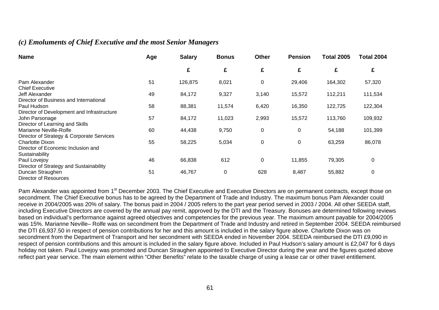# *(c) Emoluments of Chief Executive and the most Senior Managers*

| <b>Name</b>                                                                          | Age | <b>Salary</b> | <b>Bonus</b> | <b>Other</b> | <b>Pension</b> | <b>Total 2005</b> | <b>Total 2004</b> |
|--------------------------------------------------------------------------------------|-----|---------------|--------------|--------------|----------------|-------------------|-------------------|
|                                                                                      |     | £             | £            | £            | £              | £                 | £                 |
| Pam Alexander<br><b>Chief Executive</b>                                              | 51  | 126,875       | 8,021        | 0            | 29,406         | 164,302           | 57,320            |
| Jeff Alexander                                                                       | 49  | 84,172        | 9,327        | 3,140        | 15,572         | 112,211           | 111,534           |
| Director of Business and International<br>Paul Hudson                                | 58  | 88,381        | 11,574       | 6,420        | 16,350         | 122,725           | 122,304           |
| Director of Development and Infrastructure<br>John Parsonage                         | 57  | 84,172        | 11,023       | 2,993        | 15,572         | 113,760           | 109,932           |
| Director of Learning and Skills<br>Marianne Neville-Rolfe                            | 60  | 44,438        | 9,750        | 0            | $\mathbf 0$    | 54,188            | 101,399           |
| Director of Strategy & Corporate Services<br><b>Charlotte Dixon</b>                  | 55  | 58,225        | 5,034        | 0            | 0              | 63,259            | 86,078            |
| Director of Economic Inclusion and<br>Sustainability                                 |     |               |              |              |                |                   |                   |
| Paul Lovejoy                                                                         | 46  | 66,838        | 612          | 0            | 11,855         | 79,305            | $\pmb{0}$         |
| Director of Strategy and Sustainability<br>Duncan Straughen<br>Director of Resources | 51  | 46,767        | 0            | 628          | 8,487          | 55,882            | 0                 |

Pam Alexander was appointed from 1<sup>st</sup> December 2003. The Chief Executive and Executive Directors are on permanent contracts, except those on secondment. The Chief Executive bonus has to be agreed by the Department of Trade and Industry. The maximum bonus Pam Alexander could receive in 2004/2005 was 20% of salary. The bonus paid in 2004 / 2005 refers to the part year period served in 2003 / 2004. All other SEEDA staff, including Executive Directors are covered by the annual pay remit, approved by the DTI and the Treasury. Bonuses are determined following reviews based on individual's performance against agreed objectives and competencies for the previous year. The maximum amount payable for 2004/2005 was 15%. Marianne Neville– Rolfe was on secondment from the Department of Trade and Industry and retired in September 2004. SEEDA reimbursed the DTI £6,937.50 in respect of pension contributions for her and this amount is included in the salary figure above. Charlotte Dixon was on secondment from the Department of Transport and her secondment with SEEDA ended in November 2004. SEEDA reimbursed the DTI £9,090 in respect of pension contributions and this amount is included in the salary figure above. Included in Paul Hudson's salary amount is £2,047 for 6 days holiday not taken. Paul Lovejoy was promoted and Duncan Straughen appointed to Executive Director during the year and the figures quoted above reflect part year service. The main element within "Other Benefits" relate to the taxable charge of using a lease car or other travel entitlement.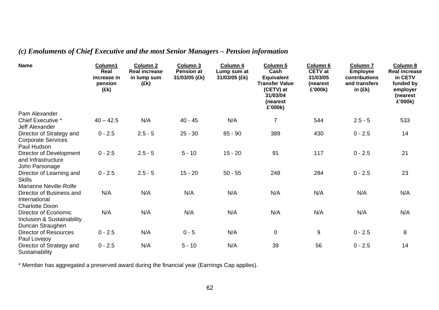# *(c) Emoluments of Chief Executive and the most Senior Managers – Pension information*

| <b>Name</b>                                                                | Column1<br>Real<br>increase in<br>pension<br>(£k) | Column <sub>2</sub><br><b>Real increase</b><br>in lump sum<br>(£k) | Column 3<br><b>Pension at</b><br>31/03/05 (£k) | Column 4<br>Lump sum at<br>31/03/05 (£k) | Column 5<br>Cash<br><b>Equivalent</b><br><b>Transfer Value</b><br>(CETV) at<br>31/03/04<br>(nearest<br>£'000k) | Column 6<br><b>CETV</b> at<br>31/03/05<br>(nearest<br>£'000k) | Column <sub>7</sub><br><b>Employee</b><br>contributions<br>and transfers<br>in $(Ek)$ | Column 8<br><b>Real increase</b><br>in CETV<br>funded by<br>employer<br>(nearest<br>£'000k) |
|----------------------------------------------------------------------------|---------------------------------------------------|--------------------------------------------------------------------|------------------------------------------------|------------------------------------------|----------------------------------------------------------------------------------------------------------------|---------------------------------------------------------------|---------------------------------------------------------------------------------------|---------------------------------------------------------------------------------------------|
| Pam Alexander                                                              |                                                   |                                                                    |                                                |                                          |                                                                                                                |                                                               |                                                                                       |                                                                                             |
| Chief Executive *<br>Jeff Alexander                                        | $40 - 42.5$                                       | N/A                                                                | $40 - 45$                                      | N/A                                      | $\overline{7}$                                                                                                 | 544                                                           | $2.5 - 5$                                                                             | 533                                                                                         |
| Director of Strategy and<br><b>Corporate Services</b><br>Paul Hudson       | $0 - 2.5$                                         | $2.5 - 5$                                                          | $25 - 30$                                      | $85 - 90$                                | 389                                                                                                            | 430                                                           | $0 - 2.5$                                                                             | 14                                                                                          |
| Director of Development<br>and Infrastructure<br>John Parsonage            | $0 - 2.5$                                         | $2.5 - 5$                                                          | $5 - 10$                                       | $15 - 20$                                | 91                                                                                                             | 117                                                           | $0 - 2.5$                                                                             | 21                                                                                          |
| Director of Learning and<br><b>Skills</b><br><b>Marianne Neville-Rolfe</b> | $0 - 2.5$                                         | $2.5 - 5$                                                          | $15 - 20$                                      | $50 - 55$                                | 248                                                                                                            | 284                                                           | $0 - 2.5$                                                                             | 23                                                                                          |
| Director of Business and<br>International<br><b>Charlotte Dixon</b>        | N/A                                               | N/A                                                                | N/A                                            | N/A                                      | N/A                                                                                                            | N/A                                                           | N/A                                                                                   | N/A                                                                                         |
| Director of Economic<br>Inclusion & Sustainability<br>Duncan Straughen     | N/A                                               | N/A                                                                | N/A                                            | N/A                                      | N/A                                                                                                            | N/A                                                           | N/A                                                                                   | N/A                                                                                         |
| <b>Director of Resources</b><br>Paul Lovejoy                               | $0 - 2.5$                                         | N/A                                                                | $0 - 5$                                        | N/A                                      | $\mathbf 0$                                                                                                    | $\boldsymbol{9}$                                              | $0 - 2.5$                                                                             | 8                                                                                           |
| Director of Strategy and<br>Sustainability                                 | $0 - 2.5$                                         | N/A                                                                | $5 - 10$                                       | N/A                                      | 39                                                                                                             | 56                                                            | $0 - 2.5$                                                                             | 14                                                                                          |

\* Member has aggregated a preserved award during the financial year (Earnings Cap applies).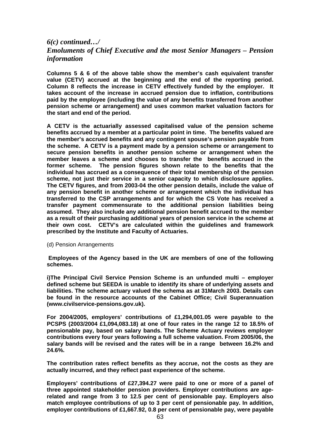# *6(c) continued…/ Emoluments of Chief Executive and the most Senior Managers – Pension information*

**Columns 5 & 6 of the above table show the member's cash equivalent transfer value (CETV) accrued at the beginning and the end of the reporting period. Column 8 reflects the increase in CETV effectively funded by the employer. It takes account of the increase in accrued pension due to inflation, contributions paid by the employee (including the value of any benefits transferred from another pension scheme or arrangement) and uses common market valuation factors for the start and end of the period.** 

**A CETV is the actuarially assessed capitalised value of the pension scheme benefits accrued by a member at a particular point in time. The benefits valued are the member's accrued benefits and any contingent spouse's pension payable from the scheme. A CETV is a payment made by a pension scheme or arrangement to secure pension benefits in another pension scheme or arrangement when the member leaves a scheme and chooses to transfer the benefits accrued in the former scheme. The pension figures shown relate to the benefits that the individual has accrued as a consequence of their total membership of the pension scheme, not just their service in a senior capacity to which disclosure applies. The CETV figures, and from 2003-04 the other pension details, include the value of any pension benefit in another scheme or arrangement which the individual has transferred to the CSP arrangements and for which the CS Vote has received a transfer payment commensurate to the additional pension liabilities being assumed. They also include any additional pension benefit accrued to the member as a result of their purchasing additional years of pension service in the scheme at their own cost. CETV's are calculated within the guidelines and framework prescribed by the Institute and Faculty of Actuaries.** 

(d) Pension Arrangements

 **Employees of the Agency based in the UK are members of one of the following schemes.** 

**i)The Principal Civil Service Pension Scheme is an unfunded multi – employer defined scheme but SEEDA is unable to identify its share of underlying assets and liabilities. The scheme actuary valued the schema as at 31March 2003. Details can be found in the resource accounts of the Cabinet Office; Civil Superannuation (www.civilservice-pensions.gov.uk).** 

**For 2004/2005, employers' contributions of £1,294,001.05 were payable to the PCSPS (2003/2004 £1,094,083.18) at one of four rates in the range 12 to 18.5% of pensionable pay, based on salary bands. The Scheme Actuary reviews employer contributions every four years following a full scheme valuation. From 2005/06, the salary bands will be revised and the rates will be in a range between 16.2% and 24.6%.** 

**The contribution rates reflect benefits as they accrue, not the costs as they are actually incurred, and they reflect past experience of the scheme.** 

**Employers' contributions of £27,394.27 were paid to one or more of a panel of three appointed stakeholder pension providers. Employer contributions are agerelated and range from 3 to 12.5 per cent of pensionable pay. Employers also match employee contributions of up to 3 per cent of pensionable pay. In addition, employer contributions of £1,667.92, 0.8 per cent of pensionable pay, were payable**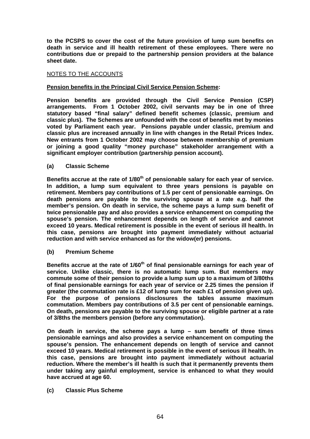**to the PCSPS to cover the cost of the future provision of lump sum benefits on death in service and ill health retirement of these employees. There were no contributions due or prepaid to the partnership pension providers at the balance sheet date.** 

## NOTES TO THE ACCOUNTS

## **Pension benefits in the Principal Civil Service Pension Scheme:**

**Pension benefits are provided through the Civil Service Pension (CSP) arrangements. From 1 October 2002, civil servants may be in one of three statutory based "final salary" defined benefit schemes (classic, premium and classic plus). The Schemes are unfounded with the cost of benefits met by monies voted by Parliament each year. Pensions payable under classic, premium and classic plus are increased annually in line with changes in the Retail Prices Index. New entrants from 1 October 2002 may choose between membership of premium or joining a good quality "money purchase" stakeholder arrangement with a significant employer contribution (partnership pension account).** 

#### **(a) Classic Scheme**

**Benefits accrue at the rate of 1/80th of pensionable salary for each year of service. In addition, a lump sum equivalent to three years pensions is payable on retirement. Members pay contributions of 1.5 per cent of pensionable earnings. On death pensions are payable to the surviving spouse at a rate e.g. half the member's pension. On death in service, the scheme pays a lump sum benefit of twice pensionable pay and also provides a service enhancement on computing the spouse's pension. The enhancement depends on length of service and cannot exceed 10 years. Medical retirement is possible in the event of serious ill health. In this case, pensions are brought into payment immediately without actuarial reduction and with service enhanced as for the widow(er) pensions.** 

#### **(b) Premium Scheme**

**Benefits accrue at the rate of 1/60th of final pensionable earnings for each year of service. Unlike classic, there is no automatic lump sum. But members may commute some of their pension to provide a lump sum up to a maximum of 3/80ths of final pensionable earnings for each year of service or 2.25 times the pension if greater (the commutation rate is £12 of lump sum for each £1 of pension given up). For the purpose of pensions disclosures the tables assume maximum commutation. Members pay contributions of 3.5 per cent of pensionable earnings. On death, pensions are payable to the surviving spouse or eligible partner at a rate of 3/8ths the members pension (before any commutation).** 

**On death in service, the scheme pays a lump – sum benefit of three times pensionable earnings and also provides a service enhancement on computing the spouse's pension. The enhancement depends on length of service and cannot exceed 10 years. Medical retirement is possible in the event of serious ill health. In this case, pensions are brought into payment immediately without actuarial reduction. Where the member's ill health is such that it permanently prevents them under taking any gainful employment, service is enhanced to what they would have accrued at age 60.** 

#### **(c) Classic Plus Scheme**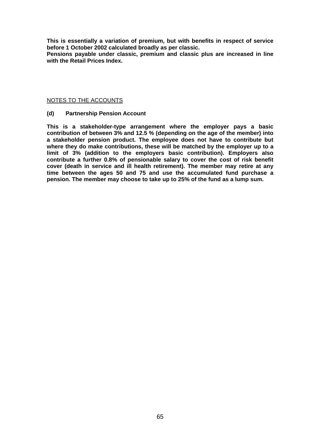**This is essentially a variation of premium, but with benefits in respect of service before 1 October 2002 calculated broadly as per classic.** 

**Pensions payable under classic, premium and classic plus are increased in line with the Retail Prices Index.** 

#### NOTES TO THE ACCOUNTS

#### **(d) Partnership Pension Account**

**This is a stakeholder-type arrangement where the employer pays a basic contribution of between 3% and 12.5 % (depending on the age of the member) into a stakeholder pension product. The employee does not have to contribute but where they do make contributions, these will be matched by the employer up to a limit of 3% (addition to the employers basic contribution). Employers also contribute a further 0.8% of pensionable salary to cover the cost of risk benefit cover (death in service and ill health retirement). The member may retire at any time between the ages 50 and 75 and use the accumulated fund purchase a pension. The member may choose to take up to 25% of the fund as a lump sum.**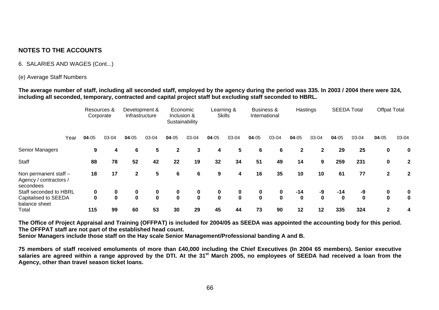## 6. SALARIES AND WAGES (Cont...)

#### (e) Average Staff Numbers

**The average number of staff, including all seconded staff, employed by the agency during the period was 335. In 2003 / 2004 there were 324, including all seconded, temporary, contracted and capital project staff but excluding staff seconded to HBRL.** 

|                                                              |      |       | Resources &<br>Corporate |             | Development &<br>Infrastructure |              | Economic<br>Inclusion &<br>Sustainability |             | Learning &<br><b>Skills</b> |             | <b>Business &amp;</b><br>International |              | Hastings     |          | <b>SEEDA Total</b> | <b>Offpat Total</b> |              |
|--------------------------------------------------------------|------|-------|--------------------------|-------------|---------------------------------|--------------|-------------------------------------------|-------------|-----------------------------|-------------|----------------------------------------|--------------|--------------|----------|--------------------|---------------------|--------------|
|                                                              | Year | 04-05 | 03-04                    | 04-05       | 03-04                           | $04 - 05$    | 03-04                                     | $04 - 05$   | 03-04                       | $04 - 05$   | 03-04                                  | 04-05        | 03-04        | 04-05    | 03-04              | 04-05               | 03-04        |
| Senior Managers                                              |      | 9     | 4                        | 6           | 5                               | $\mathbf{2}$ | 3                                         | 4           | 5                           | 6           | 6                                      | $\mathbf{2}$ | $\mathbf{2}$ | 29       | 25                 | 0                   | $\mathbf 0$  |
| Staff                                                        |      | 88    | 78                       | 52          | 42                              | 22           | 19                                        | 32          | 34                          | 51          | 49                                     | 14           | 9            | 259      | 231                | 0                   | $\mathbf{2}$ |
| Non permanent staff -<br>Agency / contractors /<br>secondees |      | 18    | 17                       | 2           | 5                               | 6            | 6                                         | 9           | 4                           | 16          | 35                                     | 10           | 10           | 61       | 77                 | $\mathbf{2}$        | $\mathbf{2}$ |
| Staff seconded to HBRL                                       |      | 0     | 0                        | 0           | 0                               | 0            | 0                                         | 0           | 0                           | 0           | 0                                      | $-14$        | -9           | $-14$    | -9                 | 0                   | 0            |
| Capitalised to SEEDA                                         |      | 0     | 0                        | $\mathbf 0$ | $\mathbf 0$                     | $\mathbf{0}$ | $\mathbf 0$                               | $\mathbf 0$ | $\mathbf 0$                 | $\mathbf 0$ | $\mathbf 0$                            | $\mathbf 0$  | $\mathbf{0}$ | $\bf{0}$ | $\bf{0}$           | $\bf{0}$            | 0            |
| balance sheet                                                |      |       |                          |             |                                 |              |                                           |             |                             |             |                                        |              |              |          |                    |                     |              |
| Total                                                        |      | 115   | 99                       | 60          | 53                              | 30           | 29                                        | 45          | 44                          | 73          | 90                                     | 12           | 12           | 335      | 324                | 2                   | 4            |

**The Office of Project Appraisal and Training (OFFPAT) is included for 2004/05 as SEEDA was appointed the accounting body for this period. The OFFPAT staff are not part of the established head count.** 

**Senior Managers include those staff on the Hay scale Senior Management/Professional banding A and B.** 

**75 members of staff received emoluments of more than £40,000 including the Chief Executives (In 2004 65 members). Senior executive**  salaries are agreed within a range approved by the DTI. At the 31<sup>st</sup> March 2005, no employees of SEEDA had received a loan from the **Agency, other than travel season ticket loans.**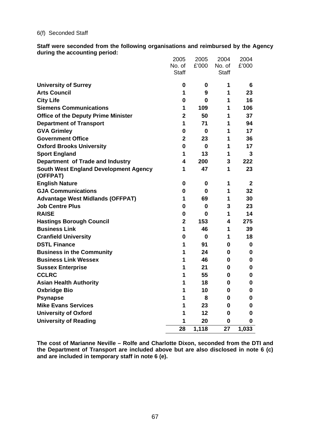#### 6(f) Seconded Staff

**Staff were seconded from the following organisations and reimbursed by the Agency during the accounting period:** 

|                                                          | 2005<br>No. of | 2005<br>£'000 | 2004<br>No. of | 2004<br>£'000 |
|----------------------------------------------------------|----------------|---------------|----------------|---------------|
|                                                          | <b>Staff</b>   |               | <b>Staff</b>   |               |
| <b>University of Surrey</b>                              | 0              | 0             | 1              | 6             |
| <b>Arts Council</b>                                      | 1              | 9             | 1              | 23            |
| <b>City Life</b>                                         | 0              | 0             | 1              | 16            |
| <b>Siemens Communications</b>                            | 1              | 109           | 1              | 106           |
| <b>Office of the Deputy Prime Minister</b>               | $\overline{2}$ | 50            | 1              | 37            |
| <b>Department of Transport</b>                           | 1              | 71            | 1              | 94            |
| <b>GVA Grimley</b>                                       | 0              | $\bf{0}$      | 1              | 17            |
| <b>Government Office</b>                                 | $\overline{2}$ | 23            | 1              | 36            |
| <b>Oxford Brooks University</b>                          | 0              | $\bf{0}$      | 1              | 17            |
| <b>Sport England</b>                                     | 1              | 13            | 1              | 3             |
| Department of Trade and Industry                         | 4              | 200           | 3              | 222           |
| <b>South West England Development Agency</b><br>(OFFPAT) | 1              | 47            | 1              | 23            |
| <b>English Nature</b>                                    | 0              | 0             | 1              | 2             |
| <b>GJA Communications</b>                                | 0              | 0             | 1              | 32            |
| <b>Advantage West Midlands (OFFPAT)</b>                  | 1              | 69            | 1              | 30            |
| <b>Job Centre Plus</b>                                   | 0              | 0             | 3              | 23            |
| <b>RAISE</b>                                             | 0              | 0             | 1              | 14            |
| <b>Hastings Borough Council</b>                          | $\mathbf{2}$   | 153           | 4              | 275           |
| <b>Business Link</b>                                     | 1              | 46            | 1              | 39            |
| <b>Cranfield University</b>                              | 0              | 0             | 1              | 18            |
| <b>DSTL Finance</b>                                      | 1              | 91            | 0              | 0             |
| <b>Business in the Community</b>                         | 1              | 24            | $\bf{0}$       | 0             |
| <b>Business Link Wessex</b>                              | 1              | 46            | 0              | 0             |
| <b>Sussex Enterprise</b>                                 | 1              | 21            | 0              | 0             |
| <b>CCLRC</b>                                             | 1              | 55            | 0              | 0             |
| <b>Asian Health Authority</b>                            | 1              | 18            | 0              | 0             |
| <b>Oxbridge Bio</b>                                      | 1              | 10            | <sup>0</sup>   | 0             |
| <b>Psynapse</b>                                          | 1              | 8             | $\bf{0}$       | 0             |
| <b>Mike Evans Services</b>                               | 1              | 23            | 0              | 0             |
| <b>University of Oxford</b>                              | 1              | 12            | 0              | 0             |
| <b>University of Reading</b>                             | 1              | 20            | $\mathbf 0$    | 0             |
|                                                          | 28             | 1,118         | 27             | 1,033         |

**The cost of Marianne Neville – Rolfe and Charlotte Dixon, seconded from the DTI and the Department of Transport are included above but are also disclosed in note 6 (c) and are included in temporary staff in note 6 (e).**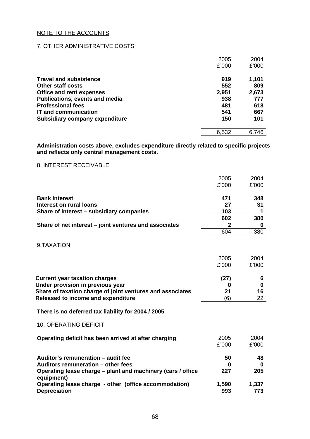## 7. OTHER ADMINISTRATIVE COSTS

|                                       | 2005  | 2004  |
|---------------------------------------|-------|-------|
|                                       | £'000 | £'000 |
| <b>Travel and subsistence</b>         | 919   | 1,101 |
| Other staff costs                     | 552   | 809   |
| <b>Office and rent expenses</b>       | 2,951 | 2,673 |
| <b>Publications, events and media</b> | 938   | 777   |
| <b>Professional fees</b>              | 481   | 618   |
| <b>IT and communication</b>           | 541   | 667   |
| <b>Subsidiary company expenditure</b> | 150   | 101   |
|                                       | 6,532 | 6,746 |

**Administration costs above, excludes expenditure directly related to specific projects and reflects only central management costs.** 

## 8. INTEREST RECEIVABLE

|                                                                                                                                                                             | 2005<br>£'000          | 2004<br>£'000      |
|-----------------------------------------------------------------------------------------------------------------------------------------------------------------------------|------------------------|--------------------|
| <b>Bank Interest</b><br><b>Interest on rural loans</b><br>Share of interest – subsidiary companies                                                                          | 471<br>27<br>103       | 348<br>31<br>1     |
|                                                                                                                                                                             | 602                    | 380                |
| Share of net interest – joint ventures and associates                                                                                                                       | 2                      | 0                  |
|                                                                                                                                                                             | 604                    | 380                |
| 9.TAXATION                                                                                                                                                                  |                        |                    |
|                                                                                                                                                                             | 2005                   | 2004               |
|                                                                                                                                                                             | £'000                  | £'000              |
| <b>Current year taxation charges</b><br>Under provision in previous year<br>Share of taxation charge of joint ventures and associates<br>Released to income and expenditure | (27)<br>0<br>21<br>(6) | 6<br>0<br>16<br>22 |
| There is no deferred tax liability for 2004 / 2005                                                                                                                          |                        |                    |
| <b>10. OPERATING DEFICIT</b>                                                                                                                                                |                        |                    |
| Operating deficit has been arrived at after charging                                                                                                                        | 2005<br>£'000          | 2004<br>£'000      |
| Auditor's remuneration - audit fee                                                                                                                                          | 50                     | 48                 |
| Auditors remuneration - other fees                                                                                                                                          | 0                      | 0                  |
| Operating lease charge – plant and machinery (cars / office<br>equipment)                                                                                                   | 227                    | 205                |
| Operating lease charge - other (office accommodation)<br><b>Depreciation</b>                                                                                                | 1,590<br>993           | 1,337<br>773       |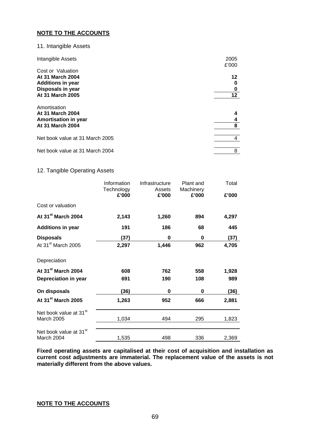#### 11. Intangible Assets

| Intangible Assets                                                                   | 2005<br>£'000 |
|-------------------------------------------------------------------------------------|---------------|
| Cost or Valuation                                                                   |               |
| <b>At 31 March 2004</b>                                                             | 12            |
| <b>Additions in year</b>                                                            | 0             |
| Disposals in year                                                                   | 0             |
| At 31 March 2005                                                                    | $12 \,$       |
| Amortisation<br><b>At 31 March 2004</b><br>Amortisation in year<br>At 31 March 2004 | 4<br>4<br>8   |
|                                                                                     |               |
| Net book value at 31 March 2005                                                     | 4             |
| Net book value at 31 March 2004                                                     | 8             |

#### 12. Tangible Operating Assets

|                                                  | Information<br>Technology<br>£'000 | Infrastructure<br>Assets<br>£'000 | Plant and<br>Machinery<br>£'000 | Total<br>£'000 |
|--------------------------------------------------|------------------------------------|-----------------------------------|---------------------------------|----------------|
| Cost or valuation                                |                                    |                                   |                                 |                |
| At 31 <sup>st</sup> March 2004                   | 2,143                              | 1,260                             | 894                             | 4,297          |
| <b>Additions in year</b>                         | 191                                | 186                               | 68                              | 445            |
| <b>Disposals</b>                                 | (37)                               | 0                                 | 0                               | (37)           |
| At 31 <sup>st</sup> March 2005                   | 2,297                              | 1,446                             | 962                             | 4,705          |
| Depreciation                                     |                                    |                                   |                                 |                |
| At 31 <sup>st</sup> March 2004                   | 608                                | 762                               | 558                             | 1,928          |
| Depreciation in year                             | 691                                | 190                               | 108                             | 989            |
| On disposals                                     | (36)                               | 0                                 | 0                               | (36)           |
| At 31 <sup>st</sup> March 2005                   | 1,263                              | 952                               | 666                             | 2,881          |
| Net book value at 31 <sup>st</sup><br>March 2005 | 1,034                              | 494                               | 295                             | 1,823          |
| Net book value at 31 <sup>st</sup><br>March 2004 | 1,535                              | 498                               | 336                             | 2,369          |

**Fixed operating assets are capitalised at their cost of acquisition and installation as current cost adjustments are immaterial. The replacement value of the assets is not materially different from the above values.** 

# **NOTE TO THE ACCOUNTS**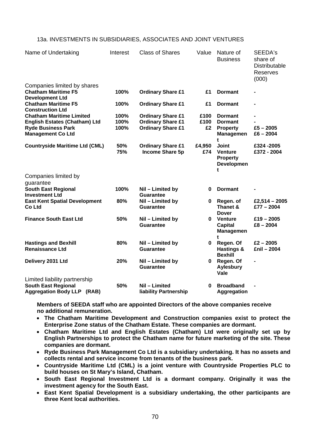| Name of Undertaking                                             | Interest   | <b>Class of Shares</b>                             | Value         | Nature of<br><b>Business</b>                                              | SEEDA's<br>share of<br><b>Distributable</b><br><b>Reserves</b><br>(000) |
|-----------------------------------------------------------------|------------|----------------------------------------------------|---------------|---------------------------------------------------------------------------|-------------------------------------------------------------------------|
| Companies limited by shares                                     |            |                                                    |               |                                                                           |                                                                         |
| <b>Chatham Maritime F5</b><br><b>Development Ltd</b>            | 100%       | <b>Ordinary Share £1</b>                           | £1            | <b>Dormant</b>                                                            |                                                                         |
| <b>Chatham Maritime F5</b>                                      | 100%       | <b>Ordinary Share £1</b>                           | £1            | <b>Dormant</b>                                                            |                                                                         |
| <b>Construction Ltd</b>                                         |            |                                                    |               |                                                                           |                                                                         |
| <b>Chatham Maritime Limited</b>                                 | 100%       | <b>Ordinary Share £1</b>                           | £100          | <b>Dormant</b>                                                            |                                                                         |
| <b>English Estates (Chatham) Ltd</b>                            | 100%       | <b>Ordinary Share £1</b>                           | £100          | <b>Dormant</b>                                                            |                                                                         |
| <b>Ryde Business Park</b><br><b>Management Co Ltd</b>           | 100%       | <b>Ordinary Share £1</b>                           | £2            | <b>Property</b><br><b>Managemen</b>                                       | $£5 - 2005$<br>$£6 - 2004$                                              |
| <b>Countryside Maritime Ltd (CML)</b>                           | 50%<br>75% | <b>Ordinary Share £1</b><br><b>Income Share 5p</b> | £4,950<br>£74 | t<br><b>Joint</b><br><b>Venture</b><br><b>Property</b><br>Developmen<br>t | £324-2005<br>£372 - 2004                                                |
| Companies limited by<br>guarantee                               |            |                                                    |               |                                                                           |                                                                         |
| <b>South East Regional</b><br><b>Investment Ltd</b>             | 100%       | Nil - Limited by<br><b>Guarantee</b>               | 0             | <b>Dormant</b>                                                            |                                                                         |
| <b>East Kent Spatial Development</b><br>Co Ltd                  | 80%        | Nil - Limited by<br><b>Guarantee</b>               | $\mathbf 0$   | Regen. of<br>Thanet &<br><b>Dover</b>                                     | £2,514 - 2005<br>$£77 - 2004$                                           |
| <b>Finance South East Ltd</b>                                   | 50%        | Nil - Limited by<br>Guarantee                      | 0             | <b>Venture</b><br><b>Capital</b><br>Managemen                             | $£19 - 2005$<br>$£8 - 2004$                                             |
| <b>Hastings and Bexhill</b><br><b>Renaissance Ltd</b>           | 80%        | Nil - Limited by<br>Guarantee                      | 0             | Regen. Of<br>Hastings &<br><b>Bexhill</b>                                 | $£2 - 2005$<br>£nil - 2004                                              |
| Delivery 2031 Ltd                                               | 20%        | Nil - Limited by<br><b>Guarantee</b>               | 0             | Regen. Of<br><b>Aylesbury</b><br>Vale                                     |                                                                         |
| Limited liability partnership                                   |            |                                                    |               |                                                                           |                                                                         |
| <b>South East Regional</b><br><b>Aggregation Body LLP (RAB)</b> | 50%        | Nil - Limited<br>liability Partnership             | 0             | <b>Broadband</b><br><b>Aggregation</b>                                    |                                                                         |

## 13a. INVESTMENTS IN SUBSIDIARIES, ASSOCIATES AND JOINT VENTURES

**Members of SEEDA staff who are appointed Directors of the above companies receive no additional remuneration.** 

- **The Chatham Maritime Development and Construction companies exist to protect the Enterprise Zone status of the Chatham Estate. These companies are dormant.**
- **Chatham Maritime Ltd and English Estates (Chatham) Ltd were originally set up by English Partnerships to protect the Chatham name for future marketing of the site. These companies are dormant.**
- **Ryde Business Park Management Co Ltd is a subsidiary undertaking. It has no assets and collects rental and service income from tenants of the business park.**
- **Countryside Maritime Ltd (CML) is a joint venture with Countryside Properties PLC to build houses on St Mary's Island, Chatham.**
- **South East Regional Investment Ltd is a dormant company. Originally it was the investment agency for the South East.**
- **East Kent Spatial Development is a subsidiary undertaking, the other participants are three Kent local authorities.**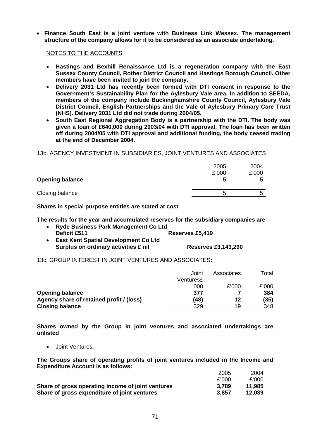• **Finance South East is a joint venture with Business Link Wessex. The management structure of the company allows for it to be considered as an associate undertaking.** 

#### NOTES TO THE ACCOUNTS

- **Hastings and Bexhill Renaissance Ltd is a regeneration company with the East Sussex County Council, Rother District Council and Hastings Borough Council. Other members have been invited to join the company.**
- **Delivery 2031 Ltd has recently been formed with DTI consent in response to the Government's Sustainability Plan for the Aylesbury Vale area. In addition to SEEDA, members of the company include Buckinghamshire County Council, Aylesbury Vale District Council, English Partnerships and the Vale of Aylesbury Primary Care Trust (NHS). Delivery 2031 Ltd did not trade during 2004/05.**
- **South East Regional Aggregation Body is a partnership with the DTI. The body was given a loan of £640,000 during 2003/04 with DTI approval. The loan has been written off during 2004/05 with DTI approval and additional funding, the body ceased trading at the end of December 2004.**

13b. AGENCY INVESTMENT IN SUBSIDIARIES, JOINT VENTURES AND ASSOCIATES

|                        | 2005<br>£'000 | 2004<br>£'000 |
|------------------------|---------------|---------------|
| <b>Opening balance</b> | C             | C             |
| Closing balance        | b             | G             |

**Shares in special purpose entities are stated at cost** 

**The results for the year and accumulated reserves for the subsidiary companies are** 

- **Ryde Business Park Management Co Ltd Deficit £511 Reserves £5,419**
- **East Kent Spatial Development Co Ltd**  Surplus on ordinary activities £ nil **Reserves £3,143,290**

13c. GROUP INTEREST IN JOINT VENTURES AND ASSOCIATES**:** 

|                                          | Joint     | Associates | Total |
|------------------------------------------|-----------|------------|-------|
|                                          | Ventures£ |            |       |
|                                          | '000      | £'000      | £'000 |
| <b>Opening balance</b>                   | 377       |            | 384   |
| Agency share of retained profit / (loss) | (48)      | 12         | (35)  |
| <b>Closing balance</b>                   | 329       | 19         | 348   |

**Shares owned by the Group in joint ventures and associated undertakings are unlisted** 

• Joint Ventures**.** 

**The Groups share of operating profits of joint ventures included in the Income and Expenditure Account is as follows:**   $2.22$ 2004

| 2005  | 2004   |
|-------|--------|
| £'000 | £'000  |
| 3.789 | 11.985 |
| 3.857 | 12.039 |
|       |        |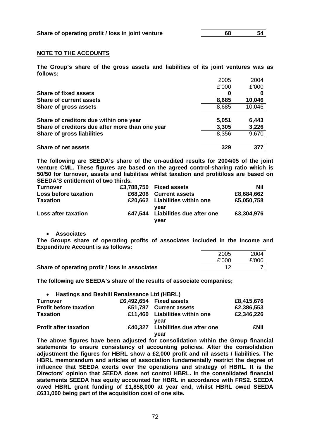#### **NOTE TO THE ACCOUNTS**

**The Group's share of the gross assets and liabilities of its joint ventures was as follows:** 

|                                                 | 2005  | 2004   |
|-------------------------------------------------|-------|--------|
|                                                 | £'000 | £'000  |
| <b>Share of fixed assets</b>                    | 0     | 0      |
| <b>Share of current assets</b>                  | 8,685 | 10,046 |
| Share of gross assets                           | 8,685 | 10,046 |
| Share of creditors due within one year          | 5,051 | 6,443  |
| Share of creditors due after more than one year | 3,305 | 3,226  |
| <b>Share of gross liabilities</b>               | 8,356 | 9,670  |
| <b>Share of net assets</b>                      | 329   | 377    |
|                                                 |       |        |

**The following are SEEDA's share of the un-audited results for 2004/05 of the joint venture CML. These figures are based on the agreed control-sharing ratio which is 50/50 for turnover, assets and liabilities whilst taxation and profit/loss are based on SEEDA'S entitlement of two thirds.** 

| <b>Turnover</b>             | £3,788,750 Fixed assets                   | Nil        |
|-----------------------------|-------------------------------------------|------------|
| <b>Loss before taxation</b> | £68,206 Current assets                    | £8,684,662 |
| <b>Taxation</b>             | £20,662 Liabilities within one<br>vear    | £5,050,758 |
| Loss after taxation         | £47,544 Liabilities due after one<br>vear | £3,304,976 |

• **Associates** 

**The Groups share of operating profits of associates included in the Income and Expenditure Account is as follows:** 

|                                                | 2005  | 2004  |
|------------------------------------------------|-------|-------|
|                                                | £'000 | £'000 |
| Share of operating profit / loss in associates |       |       |

**The following are SEEDA's share of the results of associate companies;** 

| • Hastings and Bexhill Renaissance Ltd (HBRL) |                                           |            |
|-----------------------------------------------|-------------------------------------------|------------|
| <b>Turnover</b>                               | £6,492,654 Fixed assets                   | £8,415,676 |
| <b>Profit before taxation</b>                 | £51,787 Current assets                    | £2,386,553 |
| <b>Taxation</b>                               | £11,460 Liabilities within one<br>vear    | £2,346,226 |
| <b>Profit after taxation</b>                  | £40,327 Liabilities due after one<br>year | £Nil       |

**The above figures have been adjusted for consolidation within the Group financial statements to ensure consistency of accounting policies. After the consolidation adjustment the figures for HBRL show a £2,000 profit and nil assets / liabilities. The HBRL memorandum and articles of association fundamentally restrict the degree of influence that SEEDA exerts over the operations and strategy of HBRL. It is the Directors' opinion that SEEDA does not control HBRL. In the consolidated financial statements SEEDA has equity accounted for HBRL in accordance with FRS2. SEEDA owed HBRL grant funding of £1,858,000 at year end, whilst HBRL owed SEEDA £631,000 being part of the acquisition cost of one site.**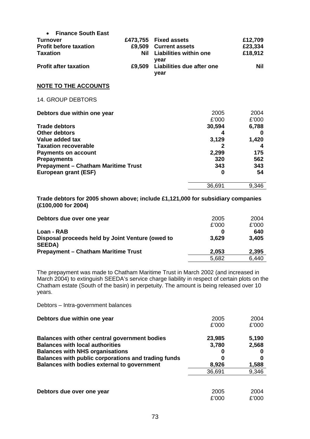| <b>Finance South East</b>                  |        |                            |         |
|--------------------------------------------|--------|----------------------------|---------|
| <b>Turnover</b>                            |        | £473,755 Fixed assets      | £12,709 |
| <b>Profit before taxation</b>              |        | £9,509 Current assets      | £23,334 |
| <b>Taxation</b>                            |        | Nil Liabilities within one | £18,912 |
|                                            |        | year                       |         |
| <b>Profit after taxation</b>               | £9,509 | Liabilities due after one  | Nil     |
|                                            |        | year                       |         |
| <b>NOTE TO THE ACCOUNTS</b>                |        |                            |         |
| <b>14. GROUP DEBTORS</b>                   |        |                            |         |
| Debtors due within one year                |        | 2005                       | 2004    |
|                                            |        | £'000                      | £'000   |
| <b>Trade debtors</b>                       |        | 30,594                     | 6,788   |
| <b>Other debtors</b>                       |        | 4                          | 0       |
| Value added tax                            |        | 3,129                      | 1,420   |
| <b>Taxation recoverable</b>                |        | $\mathbf{2}$               | 4       |
| <b>Payments on account</b>                 |        | 2,299                      | 175     |
| <b>Prepayments</b>                         |        | 320                        | 562     |
| <b>Prepayment - Chatham Maritime Trust</b> |        | 343                        | 343     |
| European grant (ESF)                       |        | O                          | 54      |
|                                            |        | 36,691                     | 9,346   |

**Trade debtors for 2005 shown above; include £1,121,000 for subsidiary companies (£100,000 for 2004)** 

| Debtors due over one year                                         | 2005  | 2004  |
|-------------------------------------------------------------------|-------|-------|
|                                                                   | £'000 | £'000 |
| Loan - RAB                                                        | 0     | 640   |
| Disposal proceeds held by Joint Venture (owed to<br><b>SEEDA)</b> | 3,629 | 3,405 |
| <b>Prepayment – Chatham Maritime Trust</b>                        | 2,053 | 2,395 |
|                                                                   | 5,682 | 6,440 |

The prepayment was made to Chatham Maritime Trust in March 2002 (and increased in March 2004) to extinguish SEEDA's service charge liability in respect of certain plots on the Chatham estate (South of the basin) in perpetuity. The amount is being released over 10 years.

Debtors – Intra-government balances

| Debtors due within one year                         | 2005   | 2004  |
|-----------------------------------------------------|--------|-------|
|                                                     | £'000  | £'000 |
| Balances with other central government bodies       | 23,985 | 5,190 |
| <b>Balances with local authorities</b>              | 3,780  | 2,568 |
| <b>Balances with NHS organisations</b>              | O      |       |
| Balances with public corporations and trading funds | 0      |       |
| Balances with bodies external to government         | 8,926  | 1,588 |
|                                                     | 36,691 | 9,346 |
|                                                     |        |       |
| Debtors due over one year                           | 2005   | 2004  |
|                                                     | £'000  | £'000 |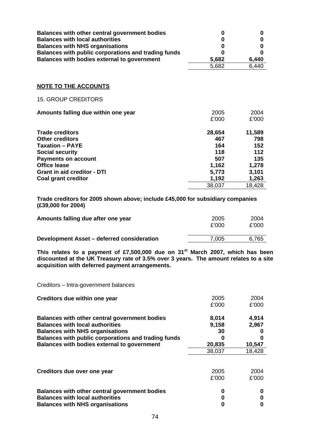| Balances with other central government bodies<br><b>Balances with local authorities</b><br><b>Balances with NHS organisations</b><br>Balances with public corporations and trading funds<br>Balances with bodies external to government | 0<br>0<br>0<br>0<br>5,682<br>5,682                                      | 0<br>0<br>0<br>0<br>6,440<br>6,440                                      |
|-----------------------------------------------------------------------------------------------------------------------------------------------------------------------------------------------------------------------------------------|-------------------------------------------------------------------------|-------------------------------------------------------------------------|
| <b>NOTE TO THE ACCOUNTS</b>                                                                                                                                                                                                             |                                                                         |                                                                         |
| <b>15. GROUP CREDITORS</b>                                                                                                                                                                                                              |                                                                         |                                                                         |
| Amounts falling due within one year                                                                                                                                                                                                     | 2005<br>£'000                                                           | 2004<br>£'000                                                           |
| <b>Trade creditors</b><br><b>Other creditors</b><br><b>Taxation - PAYE</b><br><b>Social security</b><br><b>Payments on account</b><br><b>Office lease</b><br><b>Grant in aid creditor - DTI</b><br><b>Coal grant creditor</b>           | 28,654<br>467<br>164<br>118<br>507<br>1,162<br>5,773<br>1,192<br>38,037 | 11,589<br>798<br>152<br>112<br>135<br>1,278<br>3,101<br>1,263<br>18,428 |

**Trade creditors for 2005 shown above; include £45,000 for subsidiary companies (£39,000 for 2004)** 

| Amounts falling due after one year         | 2005<br>£'000 | 2004<br>£'000 |
|--------------------------------------------|---------------|---------------|
| Development Asset – deferred consideration | 7.005         | 6.765         |

**This relates to a payment of £7,500,000 due on 31st March 2007, which has been discounted at the UK Treasury rate of 3.5% over 3 years. The amount relates to a site acquisition with deferred payment arrangements.** 

Creditors – Intra-government balances

| Creditors due within one year                                                                                                                                                                                                           | 2005<br>£'000                  | 2004<br>£'000            |
|-----------------------------------------------------------------------------------------------------------------------------------------------------------------------------------------------------------------------------------------|--------------------------------|--------------------------|
| Balances with other central government bodies<br><b>Balances with local authorities</b><br><b>Balances with NHS organisations</b><br>Balances with public corporations and trading funds<br>Balances with bodies external to government | 8,014<br>9,158<br>30<br>20,835 | 4,914<br>2,967<br>10,547 |
|                                                                                                                                                                                                                                         | 38,037                         | 18,428                   |
| Creditors due over one year                                                                                                                                                                                                             | 2005<br>£'000                  | 2004<br>£'000            |
| Balances with other central government bodies                                                                                                                                                                                           | 0                              | 0                        |
| <b>Balances with local authorities</b><br><b>Balances with NHS organisations</b>                                                                                                                                                        | 0                              |                          |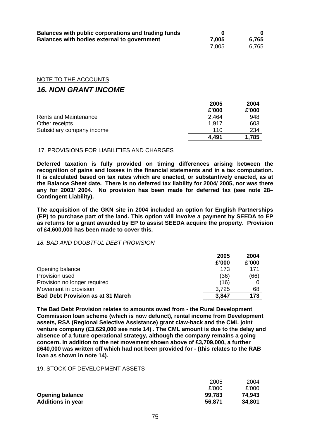| Balances with public corporations and trading funds |       |       |
|-----------------------------------------------------|-------|-------|
| Balances with bodies external to government         | 7,005 | 6,765 |
|                                                     | 7.005 | 6.765 |

## NOTE TO THE ACCOUNTS

# *16. NON GRANT INCOME*

|                           | 2005  | 2004  |
|---------------------------|-------|-------|
|                           | £'000 | £'000 |
| Rents and Maintenance     | 2,464 | 948   |
| Other receipts            | 1.917 | 603   |
| Subsidiary company income | 110   | 234   |
|                           | 4,491 | 1,785 |

## 17. PROVISIONS FOR LIABILITIES AND CHARGES

**Deferred taxation is fully provided on timing differences arising between the recognition of gains and losses in the financial statements and in a tax computation. It is calculated based on tax rates which are enacted, or substantively enacted, as at the Balance Sheet date. There is no deferred tax liability for 2004/ 2005, nor was there any for 2003/ 2004. No provision has been made for deferred tax (see note 28– Contingent Liability).** 

**The acquisition of the GKN site in 2004 included an option for English Partnerships (EP) to purchase part of the land. This option will involve a payment by SEEDA to EP as returns for a grant awarded by EP to assist SEEDA acquire the property. Provision of £4,600,000 has been made to cover this.** 

#### *18. BAD AND DOUBTFUL DEBT PROVISION*

|                                          | 2005  | 2004  |
|------------------------------------------|-------|-------|
|                                          | £'000 | £'000 |
| Opening balance                          | 173   | 171   |
| Provision used                           | (36)  | (66)  |
| Provision no longer required             | (16)  |       |
| Movement in provision                    | 3.725 | 68    |
| <b>Bad Debt Provision as at 31 March</b> | 3,847 | 173   |

**The Bad Debt Provision relates to amounts owed from - the Rural Development Commission loan scheme (which is now defunct), rental income from Development assets, RSA (Regional Selective Assistance) grant claw-back and the CML joint venture company (£3,629,000 see note 14) . The CML amount is due to the delay and absence of a future operational strategy, although the company remains a going concern. In addition to the net movement shown above of £3,709,000, a further £640,000 was written off which had not been provided for - (this relates to the RAB loan as shown in note 14).** 

## 19. STOCK OF DEVELOPMENT ASSETS

|                          | 2005   | 2004   |
|--------------------------|--------|--------|
|                          | £'000  | £'000  |
| <b>Opening balance</b>   | 99,783 | 74,943 |
| <b>Additions in year</b> | 56,871 | 34,801 |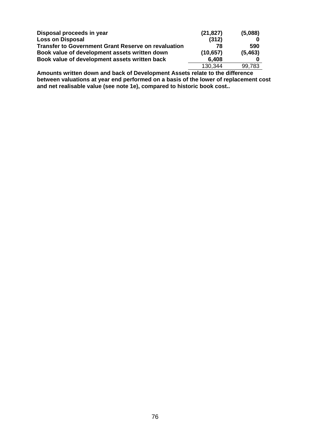| Disposal proceeds in year                                  | (21, 827) | (5,088)  |
|------------------------------------------------------------|-----------|----------|
| <b>Loss on Disposal</b>                                    | (312)     |          |
| <b>Transfer to Government Grant Reserve on revaluation</b> | 78        | 590      |
| Book value of development assets written down              | (10, 657) | (5, 463) |
| Book value of development assets written back              | 6,408     |          |
|                                                            | 130.344   | 99,783   |

**Amounts written down and back of Development Assets relate to the difference between valuations at year end performed on a basis of the lower of replacement cost and net realisable value (see note 1e), compared to historic book cost..**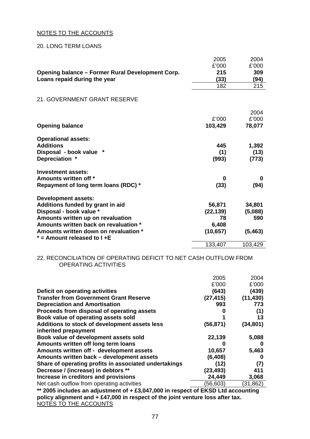### NOTES TO THE ACCOUNTS

#### 20. LONG TERM LOANS

|                                                                        | 2005      | 2004     |
|------------------------------------------------------------------------|-----------|----------|
|                                                                        | £'000     | £'000    |
| Opening balance - Former Rural Development Corp.                       | 215       | 309      |
| Loans repaid during the year                                           | (33)      | (94)     |
|                                                                        | 182       | 215      |
| 21. GOVERNMENT GRANT RESERVE                                           |           |          |
|                                                                        |           | 2004     |
|                                                                        | £'000     | £'000    |
| <b>Opening balance</b>                                                 | 103,429   | 78,077   |
| <b>Operational assets:</b>                                             |           |          |
| <b>Additions</b>                                                       | 445       | 1,392    |
| Disposal - book value *                                                | (1)       | (13)     |
| Depreciation *                                                         | (993)     | (773)    |
| Investment assets:                                                     |           |          |
| Amounts written off *                                                  | 0         | 0        |
| Repayment of long term loans (RDC) *                                   | (33)      | (94)     |
| <b>Development assets:</b>                                             |           |          |
| Additions funded by grant in aid                                       | 56,871    | 34,801   |
| Disposal - book value *                                                | (22, 139) | (5,088)  |
| Amounts written up on revaluation                                      | 78        | 590      |
| Amounts written back on revaluation *                                  | 6,408     |          |
| Amounts written down on revaluation *<br>$*$ = Amount released to I +E | (10, 657) | (5, 463) |
|                                                                        | 133,407   | 103,429  |

## 22. RECONCILIATION OF OPERATING DEFICIT TO NET CASH OUTFLOW FROM OPERATING ACTIVITIES

|                                                       | 2005      | 2004      |
|-------------------------------------------------------|-----------|-----------|
|                                                       | £'000     | £'000     |
| Deficit on operating activities                       | (643)     | (439)     |
| <b>Transfer from Government Grant Reserve</b>         | (27, 415) | (11, 430) |
| <b>Depreciation and Amortisation</b>                  | 993       | 773       |
| Proceeds from disposal of operating assets            | o         | (1)       |
| Book value of operating assets sold                   |           | 13        |
| Additions to stock of development assets less         | (56, 871) | (34, 801) |
| inherited prepayment                                  |           |           |
| Book value of development assets sold                 | 22,139    | 5,088     |
| Amounts written off long term loans                   |           | o         |
| Amounts written off - development assets              | 10,657    | 5,463     |
| Amounts written back - development assets             | (6, 408)  | 0         |
| Share of operating profits in associated undertakings | (12)      | (7)       |
| Decrease / (increase) in debtors **                   | (23, 493) | 411       |
| Increase in creditors and provisions                  | 24,449    | 3,068     |
| Net cash outflow from operating activities            | (56,603)  | (31, 862) |
|                                                       |           |           |

**\*\* 2005 includes an adjustment of + £3,047,000 in respect of EKSD Ltd accounting policy alignment and + £47,000 in respect of the joint venture loss after tax.**  NOTES TO THE ACCOUNTS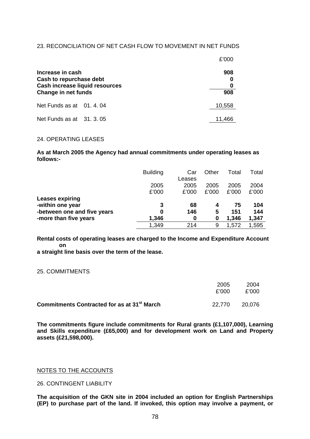#### 23. RECONCILIATION OF NET CASH FLOW TO MOVEMENT IN NET FUNDS

|                                                                                                             | £'000      |
|-------------------------------------------------------------------------------------------------------------|------------|
| Increase in cash<br>Cash to repurchase debt<br><b>Cash increase liquid resources</b><br>Change in net funds | 908<br>908 |
| Net Funds as at 01.4.04                                                                                     | 10,558     |
| Net Funds as at 31.3.05                                                                                     | 11.466     |

#### 24. OPERATING LEASES

**As at March 2005 the Agency had annual commitments under operating leases as follows:-** 

|                                                 | <b>Building</b> | Car<br>Leases | Other         | Total         | Total         |
|-------------------------------------------------|-----------------|---------------|---------------|---------------|---------------|
|                                                 | 2005<br>£'000   | 2005<br>£'000 | 2005<br>£'000 | 2005<br>£'000 | 2004<br>£'000 |
| <b>Leases expiring</b>                          |                 |               |               |               |               |
| -within one year<br>-between one and five years | 3<br>0          | 68<br>146     | 4<br>5        | 75<br>151     | 104<br>144    |
| -more than five years                           | 1,346           | 0             | 0             | 1,346         | 1,347         |
|                                                 | 1,349           | 214           | 9             | 1,572         | 1,595         |

**Rental costs of operating leases are charged to the Income and Expenditure Account on a straight line basis over the term of the lease.** 

# 25. COMMITMENTS

|                                                         | 2005<br>£'000 | 2004<br>£'000 |
|---------------------------------------------------------|---------------|---------------|
| Commitments Contracted for as at 31 <sup>st</sup> March | 22.770        | 20.076        |

**The commitments figure include commitments for Rural grants (£1,107,000), Learning and Skills expenditure (£65,000) and for development work on Land and Property assets (£21,598,000).** 

#### NOTES TO THE ACCOUNTS

26. CONTINGENT LIABILITY

**The acquisition of the GKN site in 2004 included an option for English Partnerships (EP) to purchase part of the land. If invoked, this option may involve a payment, or**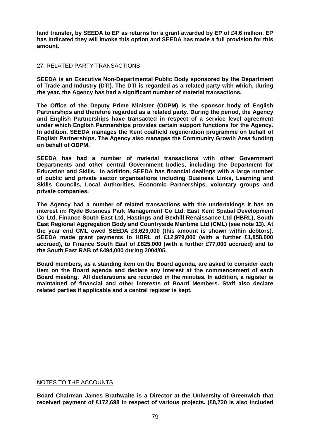**land transfer, by SEEDA to EP as returns for a grant awarded by EP of £4.6 million. EP has indicated they will invoke this option and SEEDA has made a full provision for this amount.** 

## 27. RELATED PARTY TRANSACTIONS

**SEEDA is an Executive Non-Departmental Public Body sponsored by the Department of Trade and Industry (DTI). The DTI is regarded as a related party with which, during the year, the Agency has had a significant number of material transactions.** 

**The Office of the Deputy Prime Minister (ODPM) is the sponsor body of English Partnerships and therefore regarded as a related party. During the period, the Agency and English Partnerships have transacted in respect of a service level agreement under which English Partnerships provides certain support functions for the Agency. In addition, SEEDA manages the Kent coalfield regeneration programme on behalf of English Partnerships. The Agency also manages the Community Growth Area funding on behalf of ODPM.** 

**SEEDA has had a number of material transactions with other Government Departments and other central Government bodies, including the Department for Education and Skills. In addition, SEEDA has financial dealings with a large number of public and private sector organisations including Business Links, Learning and Skills Councils, Local Authorities, Economic Partnerships, voluntary groups and private companies.** 

**The Agency had a number of related transactions with the undertakings it has an interest in: Ryde Business Park Management Co Ltd, East Kent Spatial Development Co Ltd, Finance South East Ltd, Hastings and Bexhill Renaissance Ltd (HBRL), South East Regional Aggregation Body and Countryside Maritime Ltd (CML) (see note 13). At the year end CML owed SEEDA £3,629,000 (this amount is shown within debtors). SEEDA made grant payments to HBRL of £12,979,000 (with a further £1,858,000 accrued), to Finance South East of £825,000 (with a further £77,000 accrued) and to the South East RAB of £494,000 during 2004/05.** 

**Board members, as a standing item on the Board agenda, are asked to consider each item on the Board agenda and declare any interest at the commencement of each Board meeting. All declarations are recorded in the minutes. In addition, a register is maintained of financial and other interests of Board Members. Staff also declare related parties if applicable and a central register is kept.** 

## NOTES TO THE ACCOUNTS

**Board Chairman James Brathwaite is a Director at the University of Greenwich that received payment of £172,698 in respect of various projects. (£8,720 is also included**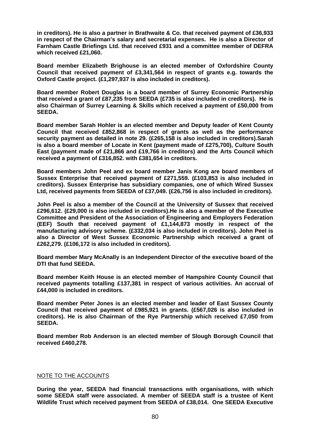**in creditors). He is also a partner in Brathwaite & Co. that received payment of £36,933 in respect of the Chairman's salary and secretarial expenses. He is also a Director of Farnham Castle Briefings Ltd. that received £931 and a committee member of DEFRA which received £21,060.** 

**Board member Elizabeth Brighouse is an elected member of Oxfordshire County Council that received payment of £3,341,564 in respect of grants e.g. towards the Oxford Castle project. (£1,297,937 is also included in creditors).** 

**Board member Robert Douglas is a board member of Surrey Economic Partnership that received a grant of £87,235 from SEEDA (£735 is also included in creditors). He is also Chairman of Surrey Learning & Skills which received a payment of £50,000 from SEEDA.** 

**Board member Sarah Hohler is an elected member and Deputy leader of Kent County Council that received £852,868 in respect of grants as well as the performance security payment as detailed in note 29. (£265,158 is also included in creditors).Sarah is also a board member of Locate in Kent (payment made of £275,700), Culture South East (payment made of £21,866 and £19,766 in creditors) and the Arts Council which received a payment of £316,852. with £381,654 in creditors.** 

**Board members John Peel and ex board member Janis Kong are board members of Sussex Enterprise that received payment of £271,559. (£103,853 is also included in creditors). Sussex Enterprise has subsidiary companies, one of which Wired Sussex Ltd, received payments from SEEDA of £37,049. (£26,756 is also included in creditors).** 

**John Peel is also a member of the Council at the University of Sussex that received £296,612. (£29,000 is also included in creditors).He is also a member of the Executive Committee and President of the Association of Engineering and Employers Federation (EEF) South that received payment of £1,144,873 mostly in respect of the manufacturing advisory scheme. (£332,034 is also included in creditors). John Peel is also a Director of West Sussex Economic Partnership which received a grant of £262,279. (£106,172 is also included in creditors).** 

**Board member Mary McAnally is an Independent Director of the executive board of the DTI that fund SEEDA.** 

**Board member Keith House is an elected member of Hampshire County Council that received payments totalling £137,381 in respect of various activities. An accrual of £44,000 is included in creditors.** 

**Board member Peter Jones is an elected member and leader of East Sussex County Council that received payment of £985,921 in grants. (£567,026 is also included in creditors). He is also Chairman of the Rye Partnership which received £7,050 from SEEDA.** 

**Board member Rob Anderson is an elected member of Slough Borough Council that received £460,278.** 

## NOTE TO THE ACCOUNTS

**During the year, SEEDA had financial transactions with organisations, with which some SEEDA staff were associated. A member of SEEDA staff is a trustee of Kent Wildlife Trust which received payment from SEEDA of £38,014. One SEEDA Executive**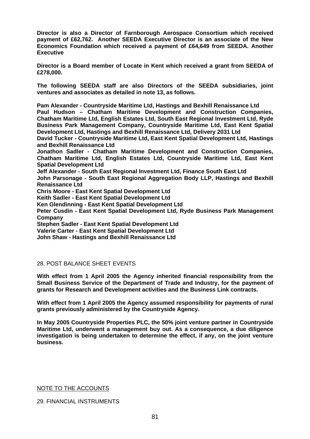**Director is also a Director of Farnborough Aerospace Consortium which received payment of £62,762. Another SEEDA Executive Director is an associate of the New Economics Foundation which received a payment of £64,649 from SEEDA. Another Executive** 

**Director is a Board member of Locate in Kent which received a grant from SEEDA of £278,000.** 

**The following SEEDA staff are also Directors of the SEEDA subsidiaries, joint ventures and associates as detailed in note 13, as follows.** 

**Pam Alexander - Countryside Maritime Ltd, Hastings and Bexhill Renaissance Ltd Paul Hudson – Chatham Maritime Development and Construction Companies, Chatham Maritime Ltd, English Estates Ltd, South East Regional Investment Ltd, Ryde Business Park Management Company, Countryside Maritime Ltd, East Kent Spatial Development Ltd, Hastings and Bexhill Renaissance Ltd, Delivery 2031 Ltd** 

**David Tucker - Countryside Maritime Ltd, East Kent Spatial Development Ltd, Hastings and Bexhill Renaissance Ltd** 

**Jonathon Sadler - Chatham Maritime Development and Construction Companies, Chatham Maritime Ltd, English Estates Ltd, Countryside Maritime Ltd, East Kent Spatial Development Ltd** 

**Jeff Alexander - South East Regional Investment Ltd, Finance South East Ltd** 

**John Parsonage - South East Regional Aggregation Body LLP, Hastings and Bexhill Renaissance Ltd** 

**Chris Moore - East Kent Spatial Development Ltd** 

**Keith Sadler - East Kent Spatial Development Ltd** 

**Ken Glendinning - East Kent Spatial Development Ltd** 

**Peter Cusdin - East Kent Spatial Development Ltd, Ryde Business Park Management Company** 

**Stephen Sadler - East Kent Spatial Development Ltd** 

**Valerie Carter - East Kent Spatial Development Ltd** 

**John Shaw - Hastings and Bexhill Renaissance Ltd** 

## 28. POST BALANCE SHEET EVENTS

**With effect from 1 April 2005 the Agency inherited financial responsibility from the Small Business Service of the Department of Trade and Industry, for the payment of grants for Research and Development activities and the Business Link contracts.** 

**With effect from 1 April 2005 the Agency assumed responsibility for payments of rural grants previously administered by the Countryside Agency.** 

**In May 2005 Countryside Properties PLC, the 50% joint venture partner in Countryside Maritime Ltd, underwent a management buy out. As a consequence, a due diligence investigation is being undertaken to determine the effect, if any, on the joint venture business.** 

NOTE TO THE ACCOUNTS

29. FINANCIAL INSTRUMENTS